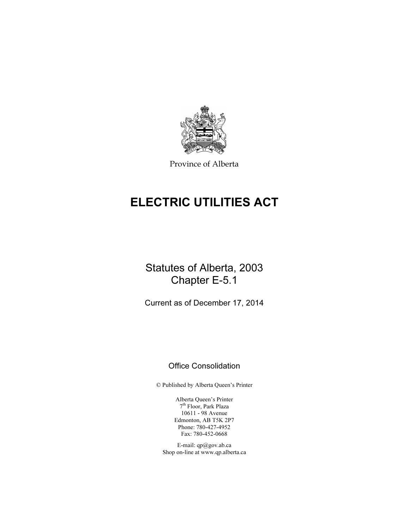

Province of Alberta

# ELECTRIC UTILITIES ACT

# Statutes of Alberta, 2003 Chapter E-5.1

Current as of December 17, 2014

# Office Consolidation

© Published by Alberta Queen's Printer

Alberta Queen's Printer 7th Floor, Park Plaza 10611 - 98 Avenue Edmonton, AB T5K 2P7 Phone: 780-427-4952 Fax: 780-452-0668

E-mail: qp@gov.ab.ca Shop on-line at www.qp.alberta.ca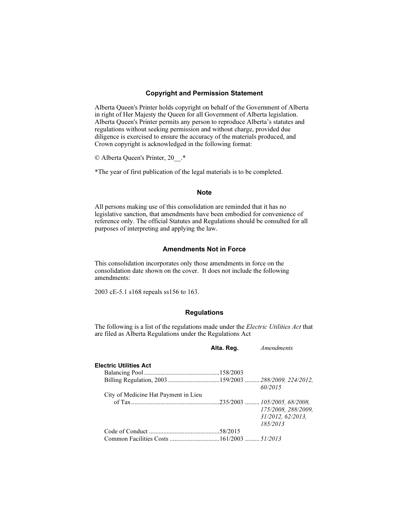#### Copyright and Permission Statement

Alberta Queen's Printer holds copyright on behalf of the Government of Alberta in right of Her Majesty the Queen for all Government of Alberta legislation. Alberta Queen's Printer permits any person to reproduce Alberta's statutes and regulations without seeking permission and without charge, provided due diligence is exercised to ensure the accuracy of the materials produced, and Crown copyright is acknowledged in the following format:

© Alberta Queen's Printer, 20\_\_.\*

\*The year of first publication of the legal materials is to be completed.

#### Note

All persons making use of this consolidation are reminded that it has no legislative sanction, that amendments have been embodied for convenience of reference only. The official Statutes and Regulations should be consulted for all purposes of interpreting and applying the law.

### Amendments Not in Force

This consolidation incorporates only those amendments in force on the consolidation date shown on the cover. It does not include the following amendments:

2003 cE-5.1 s168 repeals ss156 to 163.

#### **Regulations**

The following is a list of the regulations made under the Electric Utilities Act that are filed as Alberta Regulations under the Regulations Act

|                                                        | Alta. Reg. | <i>Amendments</i>   |
|--------------------------------------------------------|------------|---------------------|
| <b>Electric Utilities Act</b>                          |            |                     |
|                                                        |            |                     |
| Billing Regulation, 2003 159/2003  288/2009, 224/2012, |            |                     |
|                                                        |            | 60/2015             |
| City of Medicine Hat Payment in Lieu                   |            |                     |
|                                                        |            |                     |
|                                                        |            | 175/2008, 288/2009, |
|                                                        |            | 31/2012, 62/2013,   |
|                                                        |            | 185/2013            |
|                                                        |            |                     |
|                                                        |            |                     |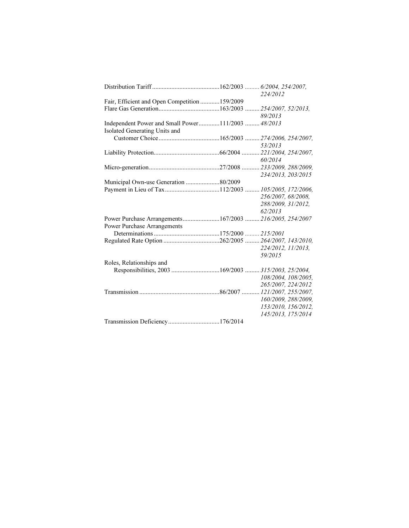|                                                    | 224/2012                                                |
|----------------------------------------------------|---------------------------------------------------------|
| Fair, Efficient and Open Competition  159/2009     |                                                         |
|                                                    |                                                         |
|                                                    | 89/2013                                                 |
| Independent Power and Small Power111/2003  48/2013 |                                                         |
| Isolated Generating Units and                      |                                                         |
|                                                    |                                                         |
|                                                    | 53/2013                                                 |
|                                                    |                                                         |
|                                                    | 60/2014                                                 |
|                                                    |                                                         |
|                                                    | 234/2013, 203/2015                                      |
| Municipal Own-use Generation 80/2009               |                                                         |
|                                                    |                                                         |
|                                                    | 256/2007, 68/2008,                                      |
|                                                    | 288/2009, 31/2012,                                      |
|                                                    | 62/2013                                                 |
|                                                    | Power Purchase Arrangements167/2003  216/2005, 254/2007 |
| Power Purchase Arrangements                        |                                                         |
|                                                    |                                                         |
|                                                    |                                                         |
|                                                    | 224/2012, 11/2013,                                      |
|                                                    | 59/2015                                                 |
| Roles, Relationships and                           |                                                         |
|                                                    |                                                         |
|                                                    | 108/2004, 108/2005,                                     |
|                                                    | 265/2007, 224/2012                                      |
|                                                    |                                                         |
|                                                    | 160/2009, 288/2009,                                     |
|                                                    | 153/2010, 156/2012,                                     |
|                                                    | 145/2013, 175/2014                                      |
| Transmission Deficiency176/2014                    |                                                         |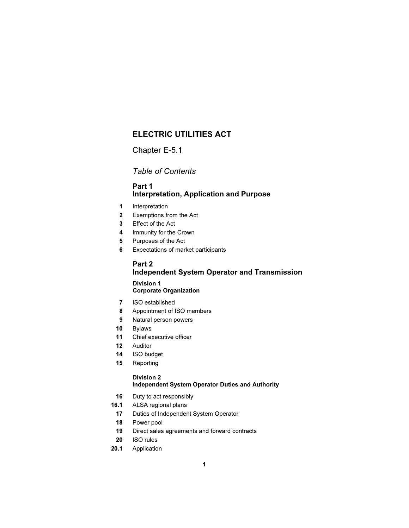# ELECTRIC UTILITIES ACT

Chapter E-5.1

Table of Contents

# Part 1 Interpretation, Application and Purpose

- 1 Interpretation
- 2 Exemptions from the Act
- 3 Effect of the Act
- 4 Immunity for the Crown
- 5 Purposes of the Act
- 6 Expectations of market participants

# Part 2 Independent System Operator and Transmission

#### Division 1 Corporate Organization

- 7 ISO established
- 8 Appointment of ISO members
- 9 Natural person powers
- 10 Bylaws
- 11 Chief executive officer
- 12 Auditor
- 14 ISO budget
- 15 Reporting

#### Division 2 Independent System Operator Duties and Authority

- 16 Duty to act responsibly
- 16.1 ALSA regional plans
	- 17 Duties of Independent System Operator
	- 18 Power pool
	- 19 Direct sales agreements and forward contracts
- 20 ISO rules
- 20.1 Application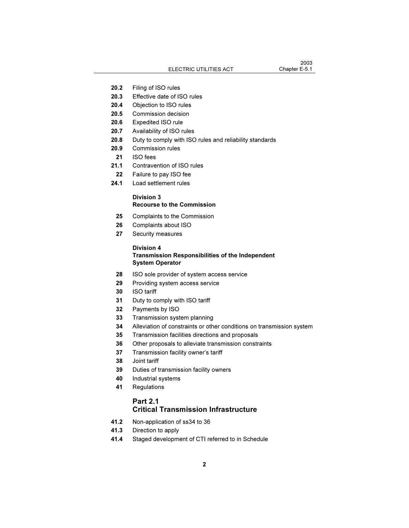- 20.2 Filing of ISO rules
- 20.3 Effective date of ISO rules
- 20.4 Objection to ISO rules
- 20.5 Commission decision
- 20.6 Expedited ISO rule
- 20.7 Availability of ISO rules
- 20.8 Duty to comply with ISO rules and reliability standards
- 20.9 Commission rules
- 21 ISO fees
- 21.1 Contravention of ISO rules
	- 22 Failure to pay ISO fee
- 24.1 Load settlement rules

#### Division 3 Recourse to the Commission

- 25 Complaints to the Commission
- 26 Complaints about ISO
- 27 Security measures

#### Division 4 Transmission Responsibilities of the Independent System Operator

- 28 ISO sole provider of system access service
- 29 Providing system access service
- 30 ISO tariff
- 31 Duty to comply with ISO tariff
- 32 Payments by ISO
- 33 Transmission system planning
- 34 Alleviation of constraints or other conditions on transmission system
- 35 Transmission facilities directions and proposals
- 36 Other proposals to alleviate transmission constraints
- 37 Transmission facility owner's tariff
- 38 Joint tariff
- 39 Duties of transmission facility owners
- 40 Industrial systems
- 41 Regulations

### Part 2.1 Critical Transmission Infrastructure

- 41.2 Non-application of ss34 to 36
- 41.3 Direction to apply
- 41.4 Staged development of CTI referred to in Schedule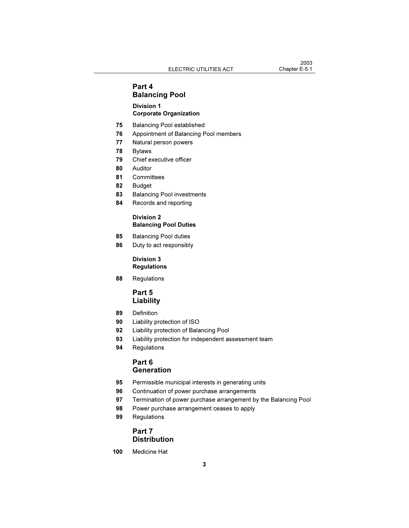# Part 4 Balancing Pool

#### Division 1 Corporate Organization

- 75 Balancing Pool established
- 76 Appointment of Balancing Pool members
- 77 Natural person powers
- 78 Bylaws
- 79 Chief executive officer
- 80 Auditor
- 81 Committees
- 82 Budget
- 83 Balancing Pool investments
- 84 Records and reporting

#### Division 2 Balancing Pool Duties

- 85 Balancing Pool duties
- 86 Duty to act responsibly

#### Division 3 Regulations

88 Regulations

# Part 5 Liability

- 89 Definition
- 90 Liability protection of ISO
- 92 Liability protection of Balancing Pool
- 93 Liability protection for independent assessment team
- 94 Regulations

#### Part 6 **Generation**

- 95 Permissible municipal interests in generating units
- 96 Continuation of power purchase arrangements
- 97 Termination of power purchase arrangement by the Balancing Pool
- 98 Power purchase arrangement ceases to apply
- 99 Regulations

### Part 7 **Distribution**

100 Medicine Hat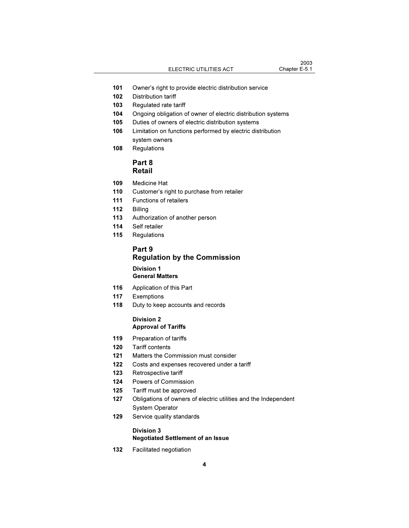- 101 Owner's right to provide electric distribution service
- 102 Distribution tariff
- 103 Regulated rate tariff
- 104 Ongoing obligation of owner of electric distribution systems
- 105 Duties of owners of electric distribution systems
- 106 Limitation on functions performed by electric distribution system owners
- 108 Regulations

# Part 8 Retail

- 109 Medicine Hat
- 110 Customer's right to purchase from retailer
- 111 Functions of retailers
- 112 Billing
- 113 Authorization of another person
- 114 Self retailer
- 115 Regulations

# Part 9 Regulation by the Commission

#### Division 1 General Matters

- 116 Application of this Part
- 117 Exemptions
- 118 Duty to keep accounts and records

#### Division 2 Approval of Tariffs

- 119 Preparation of tariffs
- 120 Tariff contents
- 121 Matters the Commission must consider
- 122 Costs and expenses recovered under a tariff
- 123 Retrospective tariff
- 124 Powers of Commission
- 125 Tariff must be approved
- 127 Obligations of owners of electric utilities and the Independent System Operator
- 129 Service quality standards

#### Division 3

#### Negotiated Settlement of an Issue

132 Facilitated negotiation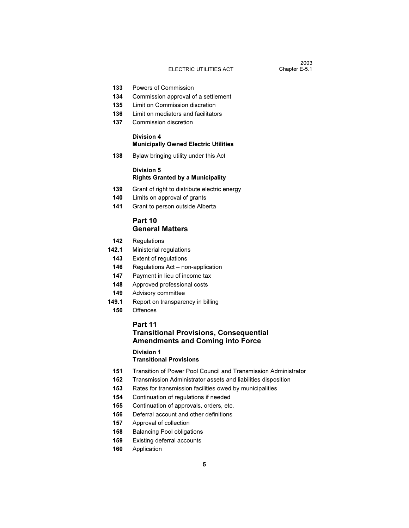- 133 Powers of Commission
- 134 Commission approval of a settlement
- 135 Limit on Commission discretion
- 136 Limit on mediators and facilitators
- 137 Commission discretion

#### Division 4 Municipally Owned Electric Utilities

138 Bylaw bringing utility under this Act

#### Division 5 Rights Granted by a Municipality

- 139 Grant of right to distribute electric energy
- 140 Limits on approval of grants
- 141 Grant to person outside Alberta

#### Part 10 General Matters

- 142 Regulations
- 142.1 Ministerial regulations
- 143 Extent of regulations
- 146 Regulations Act non-application
- 147 Payment in lieu of income tax
- 148 Approved professional costs
- 149 Advisory committee
- 149.1 Report on transparency in billing
	- 150 Offences

# Part 11 Transitional Provisions, Consequential Amendments and Coming into Force

# Division 1

- Transitional Provisions
- 151 Transition of Power Pool Council and Transmission Administrator
- 152 Transmission Administrator assets and liabilities disposition
- 153 Rates for transmission facilities owed by municipalities
- 154 Continuation of regulations if needed
- 155 Continuation of approvals, orders, etc.
- 156 Deferral account and other definitions
- 157 Approval of collection
- 158 Balancing Pool obligations
- 159 Existing deferral accounts
- 160 Application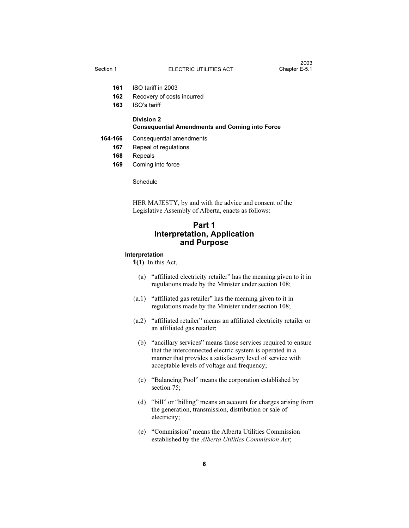- 161 ISO tariff in 2003
- 162 Recovery of costs incurred
- 163 ISO's tariff

#### Division 2 Consequential Amendments and Coming into Force

- 164-166 Consequential amendments
	- 167 Repeal of regulations
	- 168 Repeals
	- 169 Coming into force

**Schedule** 

HER MAJESTY, by and with the advice and consent of the Legislative Assembly of Alberta, enacts as follows:

# Part 1 Interpretation, Application and Purpose

#### Interpretation

 $1(1)$  In this Act,

- (a) "affiliated electricity retailer" has the meaning given to it in regulations made by the Minister under section 108;
- (a.1) "affiliated gas retailer" has the meaning given to it in regulations made by the Minister under section 108;
- (a.2) "affiliated retailer" means an affiliated electricity retailer or an affiliated gas retailer;
- (b) "ancillary services" means those services required to ensure that the interconnected electric system is operated in a manner that provides a satisfactory level of service with acceptable levels of voltage and frequency;
- (c) "Balancing Pool" means the corporation established by section 75;
- (d) "bill" or "billing" means an account for charges arising from the generation, transmission, distribution or sale of electricity;
- (e) "Commission" means the Alberta Utilities Commission established by the Alberta Utilities Commission Act;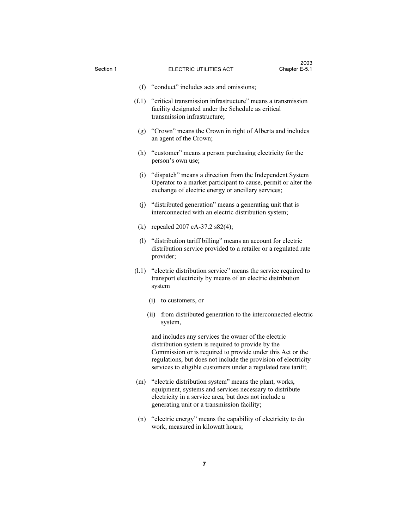- (f) "conduct" includes acts and omissions;
- (f.1) "critical transmission infrastructure" means a transmission facility designated under the Schedule as critical transmission infrastructure;
	- (g) "Crown" means the Crown in right of Alberta and includes an agent of the Crown;
	- (h) "customer" means a person purchasing electricity for the person's own use;
	- (i) "dispatch" means a direction from the Independent System Operator to a market participant to cause, permit or alter the exchange of electric energy or ancillary services;
	- (j) "distributed generation" means a generating unit that is interconnected with an electric distribution system;
	- (k) repealed 2007 cA-37.2 s82(4);
	- (l) "distribution tariff billing" means an account for electric distribution service provided to a retailer or a regulated rate provider;
- (l.1) "electric distribution service" means the service required to transport electricity by means of an electric distribution system
	- (i) to customers, or
	- (ii) from distributed generation to the interconnected electric system,

 and includes any services the owner of the electric distribution system is required to provide by the Commission or is required to provide under this Act or the regulations, but does not include the provision of electricity services to eligible customers under a regulated rate tariff;

- (m) "electric distribution system" means the plant, works, equipment, systems and services necessary to distribute electricity in a service area, but does not include a generating unit or a transmission facility;
- (n) "electric energy" means the capability of electricity to do work, measured in kilowatt hours;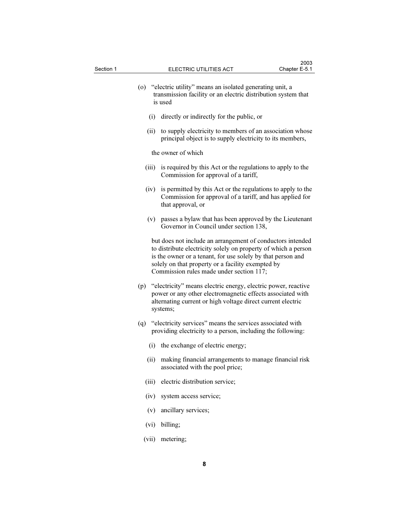|       | (o) "electric utility" means an isolated generating unit, a<br>transmission facility or an electric distribution system that<br>is used                                                                                                                                                      |
|-------|----------------------------------------------------------------------------------------------------------------------------------------------------------------------------------------------------------------------------------------------------------------------------------------------|
| (i)   | directly or indirectly for the public, or                                                                                                                                                                                                                                                    |
| (ii)  | to supply electricity to members of an association whose<br>principal object is to supply electricity to its members,                                                                                                                                                                        |
|       | the owner of which                                                                                                                                                                                                                                                                           |
| (iii) | is required by this Act or the regulations to apply to the<br>Commission for approval of a tariff,                                                                                                                                                                                           |
|       | (iv) is permitted by this Act or the regulations to apply to the<br>Commission for approval of a tariff, and has applied for<br>that approval, or                                                                                                                                            |
|       | (v) passes a bylaw that has been approved by the Lieutenant<br>Governor in Council under section 138,                                                                                                                                                                                        |
|       | but does not include an arrangement of conductors intended<br>to distribute electricity solely on property of which a person<br>is the owner or a tenant, for use solely by that person and<br>solely on that property or a facility exempted by<br>Commission rules made under section 117; |
|       | (p) "electricity" means electric energy, electric power, reactive<br>power or any other electromagnetic effects associated with<br>alternating current or high voltage direct current electric<br>systems;                                                                                   |
| (q)   | "electricity services" means the services associated with<br>providing electricity to a person, including the following:                                                                                                                                                                     |
|       | (i) the exchange of electric energy;                                                                                                                                                                                                                                                         |
| (ii)  | making financial arrangements to manage financial risk<br>associated with the pool price;                                                                                                                                                                                                    |
| (iii) | electric distribution service;                                                                                                                                                                                                                                                               |
| (iv)  | system access service;                                                                                                                                                                                                                                                                       |
| (v)   | ancillary services;                                                                                                                                                                                                                                                                          |
| (vi)  | billing;                                                                                                                                                                                                                                                                                     |

(vii) metering;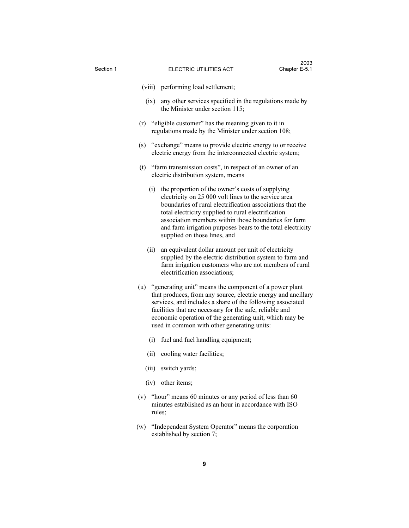- (viii) performing load settlement;
- (ix) any other services specified in the regulations made by the Minister under section 115;
- (r) "eligible customer" has the meaning given to it in regulations made by the Minister under section 108;
- (s) "exchange" means to provide electric energy to or receive electric energy from the interconnected electric system;
- (t) "farm transmission costs", in respect of an owner of an electric distribution system, means
	- (i) the proportion of the owner's costs of supplying electricity on 25 000 volt lines to the service area boundaries of rural electrification associations that the total electricity supplied to rural electrification association members within those boundaries for farm and farm irrigation purposes bears to the total electricity supplied on those lines, and
	- (ii) an equivalent dollar amount per unit of electricity supplied by the electric distribution system to farm and farm irrigation customers who are not members of rural electrification associations;
- (u) "generating unit" means the component of a power plant that produces, from any source, electric energy and ancillary services, and includes a share of the following associated facilities that are necessary for the safe, reliable and economic operation of the generating unit, which may be used in common with other generating units:
	- (i) fuel and fuel handling equipment;
	- (ii) cooling water facilities;
	- (iii) switch yards;
	- (iv) other items;
- (v) "hour" means 60 minutes or any period of less than 60 minutes established as an hour in accordance with ISO rules;
- (w) "Independent System Operator" means the corporation established by section 7;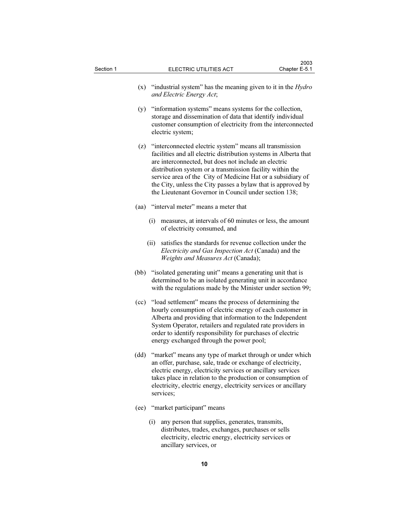| Section 1 |      | ELECTRIC UTILITIES ACT                                                                                                                                                                                                                                                                                                                                                                                                                   | 2003<br>Chapter E-5.1 |
|-----------|------|------------------------------------------------------------------------------------------------------------------------------------------------------------------------------------------------------------------------------------------------------------------------------------------------------------------------------------------------------------------------------------------------------------------------------------------|-----------------------|
|           | (x)  | "industrial system" has the meaning given to it in the <i>Hydro</i><br>and Electric Energy Act;                                                                                                                                                                                                                                                                                                                                          |                       |
|           | (y)  | "information systems" means systems for the collection,<br>storage and dissemination of data that identify individual<br>customer consumption of electricity from the interconnected<br>electric system;                                                                                                                                                                                                                                 |                       |
|           | (z)  | "interconnected electric system" means all transmission<br>facilities and all electric distribution systems in Alberta that<br>are interconnected, but does not include an electric<br>distribution system or a transmission facility within the<br>service area of the City of Medicine Hat or a subsidiary of<br>the City, unless the City passes a bylaw that is approved by<br>the Lieutenant Governor in Council under section 138; |                       |
|           | (aa) | "interval meter" means a meter that                                                                                                                                                                                                                                                                                                                                                                                                      |                       |
|           |      | measures, at intervals of 60 minutes or less, the amount<br>(i)<br>of electricity consumed, and                                                                                                                                                                                                                                                                                                                                          |                       |
|           |      | satisfies the standards for revenue collection under the<br>(ii)<br>Electricity and Gas Inspection Act (Canada) and the<br>Weights and Measures Act (Canada);                                                                                                                                                                                                                                                                            |                       |
|           | (bb) | "isolated generating unit" means a generating unit that is<br>determined to be an isolated generating unit in accordance<br>with the regulations made by the Minister under section 99;                                                                                                                                                                                                                                                  |                       |
|           | (cc) | "load settlement" means the process of determining the<br>hourly consumption of electric energy of each customer in<br>Alberta and providing that information to the Independent<br>System Operator, retailers and regulated rate providers in<br>order to identify responsibility for purchases of electric<br>energy exchanged through the power pool;                                                                                 |                       |
|           | (dd) | "market" means any type of market through or under which<br>an offer, purchase, sale, trade or exchange of electricity,<br>electric energy, electricity services or ancillary services<br>takes place in relation to the production or consumption of<br>electricity, electric energy, electricity services or ancillary<br>services:                                                                                                    |                       |

- (ee) "market participant" means
	- (i) any person that supplies, generates, transmits, distributes, trades, exchanges, purchases or sells electricity, electric energy, electricity services or ancillary services, or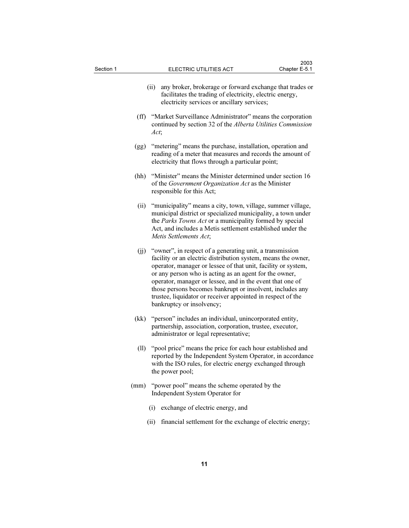| Section 1 |              | ELECTRIC UTILITIES ACT                                                                                                                                                                                                                                                                                                                                                                                                                        | 2003<br>Chapter E-5.1 |
|-----------|--------------|-----------------------------------------------------------------------------------------------------------------------------------------------------------------------------------------------------------------------------------------------------------------------------------------------------------------------------------------------------------------------------------------------------------------------------------------------|-----------------------|
|           |              | any broker, brokerage or forward exchange that trades or<br>(ii)<br>facilitates the trading of electricity, electric energy,<br>electricity services or ancillary services;                                                                                                                                                                                                                                                                   |                       |
|           | $(f\bar{f})$ | "Market Surveillance Administrator" means the corporation<br>continued by section 32 of the Alberta Utilities Commission<br>Act;                                                                                                                                                                                                                                                                                                              |                       |
|           | (gg)         | "metering" means the purchase, installation, operation and<br>reading of a meter that measures and records the amount of<br>electricity that flows through a particular point;                                                                                                                                                                                                                                                                |                       |
|           | (hh)         | "Minister" means the Minister determined under section 16<br>of the Government Organization Act as the Minister<br>responsible for this Act;                                                                                                                                                                                                                                                                                                  |                       |
|           | (ii)         | "municipality" means a city, town, village, summer village,<br>municipal district or specialized municipality, a town under<br>the Parks Towns Act or a municipality formed by special<br>Act, and includes a Metis settlement established under the<br>Metis Settlements Act;                                                                                                                                                                |                       |
|           | (jj)         | "owner", in respect of a generating unit, a transmission<br>facility or an electric distribution system, means the owner,<br>operator, manager or lessee of that unit, facility or system,<br>or any person who is acting as an agent for the owner,<br>operator, manager or lessee, and in the event that one of<br>those persons becomes bankrupt or insolvent, includes any<br>trustee, liquidator or receiver appointed in respect of the |                       |

- (kk) "person" includes an individual, unincorporated entity, partnership, association, corporation, trustee, executor, administrator or legal representative;
- (ll) "pool price" means the price for each hour established and reported by the Independent System Operator, in accordance with the ISO rules, for electric energy exchanged through the power pool;
- (mm) "power pool" means the scheme operated by the Independent System Operator for
	- (i) exchange of electric energy, and

bankruptcy or insolvency;

(ii) financial settlement for the exchange of electric energy;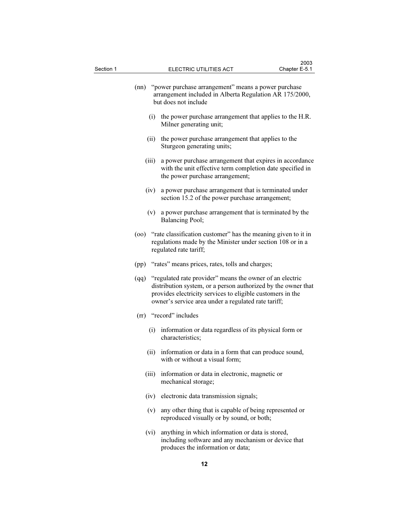|       | (nn) "power purchase arrangement" means a power purchase<br>arrangement included in Alberta Regulation AR 175/2000,<br>but does not include                                                                                                         |
|-------|-----------------------------------------------------------------------------------------------------------------------------------------------------------------------------------------------------------------------------------------------------|
|       | (i) the power purchase arrangement that applies to the H.R.<br>Milner generating unit;                                                                                                                                                              |
| (ii)  | the power purchase arrangement that applies to the<br>Sturgeon generating units;                                                                                                                                                                    |
| (iii) | a power purchase arrangement that expires in accordance<br>with the unit effective term completion date specified in<br>the power purchase arrangement;                                                                                             |
|       | (iv) a power purchase arrangement that is terminated under<br>section 15.2 of the power purchase arrangement;                                                                                                                                       |
|       | (v) a power purchase arrangement that is terminated by the<br>Balancing Pool;                                                                                                                                                                       |
| (00)  | "rate classification customer" has the meaning given to it in<br>regulations made by the Minister under section 108 or in a<br>regulated rate tariff;                                                                                               |
|       | (pp) "rates" means prices, rates, tolls and charges;                                                                                                                                                                                                |
|       | (qq) "regulated rate provider" means the owner of an electric<br>distribution system, or a person authorized by the owner that<br>provides electricity services to eligible customers in the<br>owner's service area under a regulated rate tariff; |
|       | (rr) "record" includes                                                                                                                                                                                                                              |
| (i)   | information or data regardless of its physical form or<br>characteristics;                                                                                                                                                                          |
| (ii)  | information or data in a form that can produce sound,<br>with or without a visual form;                                                                                                                                                             |
|       | (iii) information or data in electronic, magnetic or<br>mechanical storage;                                                                                                                                                                         |
| (iv)  | electronic data transmission signals;                                                                                                                                                                                                               |
| (v)   | any other thing that is capable of being represented or<br>reproduced visually or by sound, or both;                                                                                                                                                |
| (vi)  | anything in which information or data is stored,<br>including software and any mechanism or device that<br>produces the information or data;                                                                                                        |
|       |                                                                                                                                                                                                                                                     |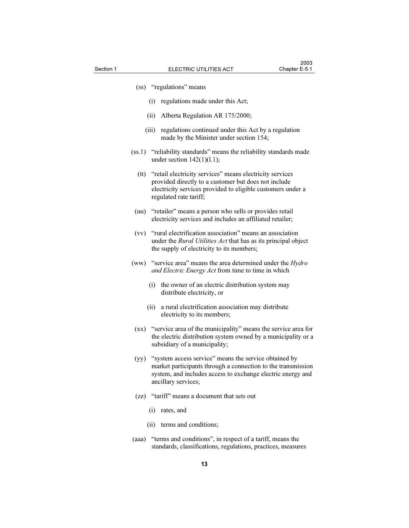- (ss) "regulations" means
	- (i) regulations made under this Act;
	- (ii) Alberta Regulation AR 175/2000;
	- (iii) regulations continued under this Act by a regulation made by the Minister under section 154;
- (ss.1) "reliability standards" means the reliability standards made under section  $142(1)(1.1)$ ;
	- (tt) "retail electricity services" means electricity services provided directly to a customer but does not include electricity services provided to eligible customers under a regulated rate tariff;
	- (uu) "retailer" means a person who sells or provides retail electricity services and includes an affiliated retailer;
- (vv) "rural electrification association" means an association under the *Rural Utilities Act* that has as its principal object the supply of electricity to its members;
- (ww) "service area" means the area determined under the *Hydro* and Electric Energy Act from time to time in which
	- (i) the owner of an electric distribution system may distribute electricity, or
	- (ii) a rural electrification association may distribute electricity to its members;
- (xx) "service area of the municipality" means the service area for the electric distribution system owned by a municipality or a subsidiary of a municipality;
- (yy) "system access service" means the service obtained by market participants through a connection to the transmission system, and includes access to exchange electric energy and ancillary services;
- (zz) "tariff" means a document that sets out
	- (i) rates, and
	- (ii) terms and conditions;
- (aaa) "terms and conditions", in respect of a tariff, means the standards, classifications, regulations, practices, measures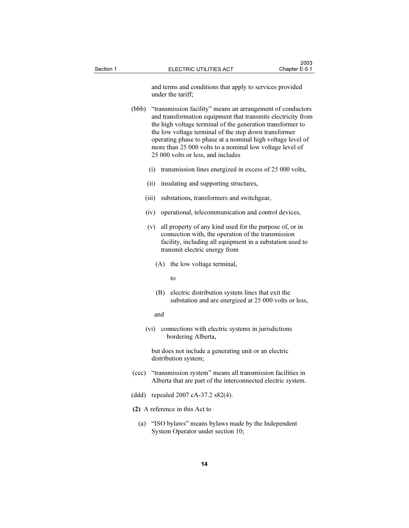and terms and conditions that apply to services provided under the tariff;

 (bbb) "transmission facility" means an arrangement of conductors and transformation equipment that transmits electricity from the high voltage terminal of the generation transformer to the low voltage terminal of the step down transformer operating phase to phase at a nominal high voltage level of more than 25 000 volts to a nominal low voltage level of 25 000 volts or less, and includes

- (i) transmission lines energized in excess of 25 000 volts,
- (ii) insulating and supporting structures,
- (iii) substations, transformers and switchgear,
- (iv) operational, telecommunication and control devices,
- (v) all property of any kind used for the purpose of, or in connection with, the operation of the transmission facility, including all equipment in a substation used to transmit electric energy from
	- (A) the low voltage terminal,

to

 (B) electric distribution system lines that exit the substation and are energized at 25 000 volts or less,

and

 (vi) connections with electric systems in jurisdictions bordering Alberta,

 but does not include a generating unit or an electric distribution system;

- (ccc) "transmission system" means all transmission facilities in Alberta that are part of the interconnected electric system.
- (ddd) repealed 2007 cA-37.2 s82(4).
- (2) A reference in this Act to
	- (a) "ISO bylaws" means bylaws made by the Independent System Operator under section 10;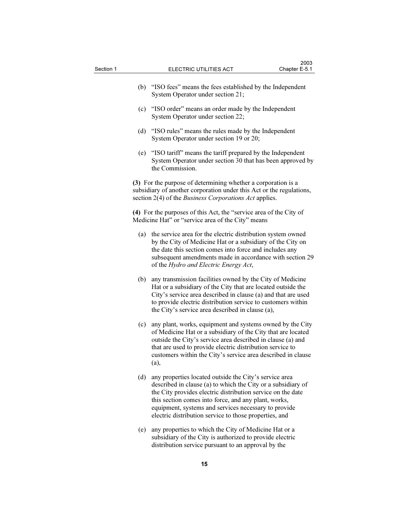| Section 1 |     | ELECTRIC UTILITIES ACT                                                                                                                                                                                                                                                                                                                                          | 2003<br>Chapter E-5.1 |
|-----------|-----|-----------------------------------------------------------------------------------------------------------------------------------------------------------------------------------------------------------------------------------------------------------------------------------------------------------------------------------------------------------------|-----------------------|
|           | (b) | "ISO fees" means the fees established by the Independent<br>System Operator under section 21;                                                                                                                                                                                                                                                                   |                       |
|           |     | (c) "ISO order" means an order made by the Independent<br>System Operator under section 22;                                                                                                                                                                                                                                                                     |                       |
|           |     | (d) "ISO rules" means the rules made by the Independent<br>System Operator under section 19 or 20;                                                                                                                                                                                                                                                              |                       |
|           | (e) | "ISO tariff" means the tariff prepared by the Independent<br>System Operator under section 30 that has been approved by<br>the Commission.                                                                                                                                                                                                                      |                       |
|           |     | (3) For the purpose of determining whether a corporation is a<br>subsidiary of another corporation under this Act or the regulations,<br>section 2(4) of the <i>Business Corporations Act</i> applies.                                                                                                                                                          |                       |
|           |     | (4) For the purposes of this Act, the "service area of the City of<br>Medicine Hat" or "service area of the City" means                                                                                                                                                                                                                                         |                       |
|           |     | (a) the service area for the electric distribution system owned<br>by the City of Medicine Hat or a subsidiary of the City on<br>the date this section comes into force and includes any<br>subsequent amendments made in accordance with section 29<br>of the Hydro and Electric Energy Act,                                                                   |                       |
|           | (b) | any transmission facilities owned by the City of Medicine<br>Hat or a subsidiary of the City that are located outside the<br>City's service area described in clause (a) and that are used<br>to provide electric distribution service to customers within<br>the City's service area described in clause (a),                                                  |                       |
|           | (c) | any plant, works, equipment and systems owned by the City<br>of Medicine Hat or a subsidiary of the City that are located<br>outside the City's service area described in clause (a) and<br>that are used to provide electric distribution service to<br>customers within the City's service area described in clause<br>(a),                                   |                       |
|           | (d) | any properties located outside the City's service area<br>described in clause (a) to which the City or a subsidiary of<br>the City provides electric distribution service on the date<br>this section comes into force, and any plant, works,<br>equipment, systems and services necessary to provide<br>electric distribution service to those properties, and |                       |

 (e) any properties to which the City of Medicine Hat or a subsidiary of the City is authorized to provide electric distribution service pursuant to an approval by the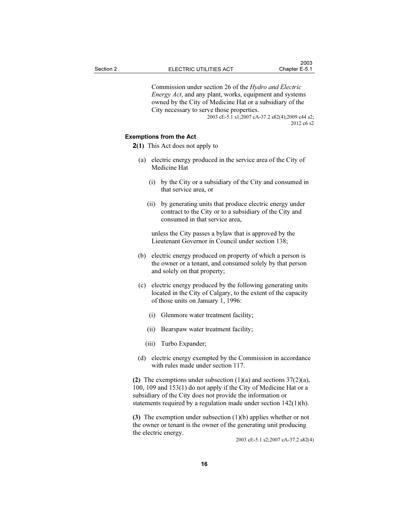Commission under section 26 of the Hydro and Electric Energy Act, and any plant, works, equipment and systems owned by the City of Medicine Hat or a subsidiary of the City necessary to serve those properties.

2003 cE-5.1 s1;2007 cA-37.2 s82(4);2009 c44 s2; 2012 c6 s2

#### Exemptions from the Act

- 2(1) This Act does not apply to
	- (a) electric energy produced in the service area of the City of Medicine Hat
		- (i) by the City or a subsidiary of the City and consumed in that service area, or
		- (ii) by generating units that produce electric energy under contract to the City or to a subsidiary of the City and consumed in that service area,

 unless the City passes a bylaw that is approved by the Lieutenant Governor in Council under section 138;

- (b) electric energy produced on property of which a person is the owner or a tenant, and consumed solely by that person and solely on that property;
- (c) electric energy produced by the following generating units located in the City of Calgary, to the extent of the capacity of those units on January 1, 1996:
	- (i) Glenmore water treatment facility;
	- (ii) Bearspaw water treatment facility;
	- (iii) Turbo Expander;
- (d) electric energy exempted by the Commission in accordance with rules made under section 117.

(2) The exemptions under subsection  $(1)(a)$  and sections  $37(2)(a)$ , 100, 109 and 153(1) do not apply if the City of Medicine Hat or a subsidiary of the City does not provide the information or statements required by a regulation made under section 142(1)(h).

(3) The exemption under subsection (1)(b) applies whether or not the owner or tenant is the owner of the generating unit producing the electric energy.

2003 cE-5.1 s2;2007 cA-37.2 s82(4)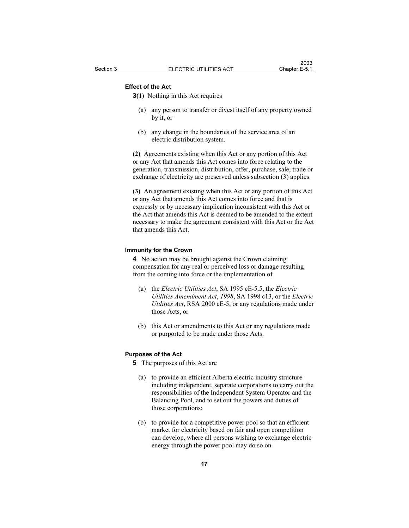# Effect of the Act

3(1) Nothing in this Act requires

- (a) any person to transfer or divest itself of any property owned by it, or
- (b) any change in the boundaries of the service area of an electric distribution system.

(2) Agreements existing when this Act or any portion of this Act or any Act that amends this Act comes into force relating to the generation, transmission, distribution, offer, purchase, sale, trade or exchange of electricity are preserved unless subsection (3) applies.

(3) An agreement existing when this Act or any portion of this Act or any Act that amends this Act comes into force and that is expressly or by necessary implication inconsistent with this Act or the Act that amends this Act is deemed to be amended to the extent necessary to make the agreement consistent with this Act or the Act that amends this Act.

#### Immunity for the Crown

4 No action may be brought against the Crown claiming compensation for any real or perceived loss or damage resulting from the coming into force or the implementation of

- (a) the Electric Utilities Act, SA 1995 cE-5.5, the Electric Utilities Amendment Act, 1998, SA 1998 c13, or the Electric Utilities Act, RSA 2000 cE-5, or any regulations made under those Acts, or
- (b) this Act or amendments to this Act or any regulations made or purported to be made under those Acts.

#### Purposes of the Act

- 5 The purposes of this Act are
	- (a) to provide an efficient Alberta electric industry structure including independent, separate corporations to carry out the responsibilities of the Independent System Operator and the Balancing Pool, and to set out the powers and duties of those corporations;
	- (b) to provide for a competitive power pool so that an efficient market for electricity based on fair and open competition can develop, where all persons wishing to exchange electric energy through the power pool may do so on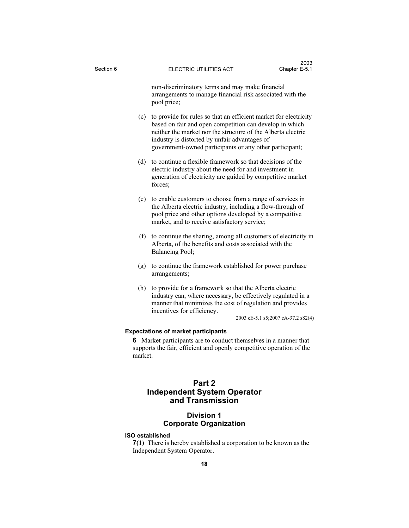non-discriminatory terms and may make financial arrangements to manage financial risk associated with the pool price;

- (c) to provide for rules so that an efficient market for electricity based on fair and open competition can develop in which neither the market nor the structure of the Alberta electric industry is distorted by unfair advantages of government-owned participants or any other participant;
- (d) to continue a flexible framework so that decisions of the electric industry about the need for and investment in generation of electricity are guided by competitive market forces;
- (e) to enable customers to choose from a range of services in the Alberta electric industry, including a flow-through of pool price and other options developed by a competitive market, and to receive satisfactory service;
- (f) to continue the sharing, among all customers of electricity in Alberta, of the benefits and costs associated with the Balancing Pool;
- (g) to continue the framework established for power purchase arrangements;
- (h) to provide for a framework so that the Alberta electric industry can, where necessary, be effectively regulated in a manner that minimizes the cost of regulation and provides incentives for efficiency.

2003 cE-5.1 s5;2007 cA-37.2 s82(4)

#### Expectations of market participants

6 Market participants are to conduct themselves in a manner that supports the fair, efficient and openly competitive operation of the market.

# Part 2 Independent System Operator and Transmission

## Division 1 Corporate Organization

#### ISO established

7(1) There is hereby established a corporation to be known as the Independent System Operator.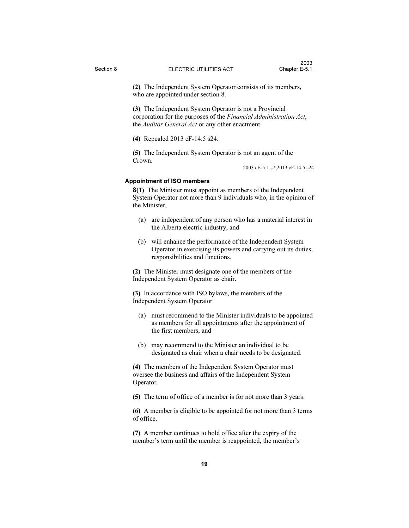(2) The Independent System Operator consists of its members, who are appointed under section 8.

(3) The Independent System Operator is not a Provincial corporation for the purposes of the Financial Administration Act, the Auditor General Act or any other enactment.

(4) Repealed 2013 cF-14.5 s24.

(5) The Independent System Operator is not an agent of the Crown.

2003 cE-5.1 s7;2013 cF-14.5 s24

#### Appointment of ISO members

8(1) The Minister must appoint as members of the Independent System Operator not more than 9 individuals who, in the opinion of the Minister,

- (a) are independent of any person who has a material interest in the Alberta electric industry, and
- (b) will enhance the performance of the Independent System Operator in exercising its powers and carrying out its duties, responsibilities and functions.

(2) The Minister must designate one of the members of the Independent System Operator as chair.

(3) In accordance with ISO bylaws, the members of the Independent System Operator

- (a) must recommend to the Minister individuals to be appointed as members for all appointments after the appointment of the first members, and
- (b) may recommend to the Minister an individual to be designated as chair when a chair needs to be designated.

(4) The members of the Independent System Operator must oversee the business and affairs of the Independent System Operator.

(5) The term of office of a member is for not more than 3 years.

(6) A member is eligible to be appointed for not more than 3 terms of office.

(7) A member continues to hold office after the expiry of the member's term until the member is reappointed, the member's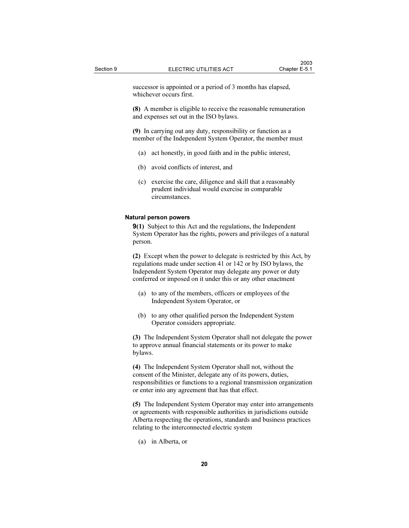successor is appointed or a period of 3 months has elapsed, whichever occurs first.

(8) A member is eligible to receive the reasonable remuneration and expenses set out in the ISO bylaws.

(9) In carrying out any duty, responsibility or function as a member of the Independent System Operator, the member must

- (a) act honestly, in good faith and in the public interest,
- (b) avoid conflicts of interest, and
- (c) exercise the care, diligence and skill that a reasonably prudent individual would exercise in comparable circumstances.

#### Natural person powers

9(1) Subject to this Act and the regulations, the Independent System Operator has the rights, powers and privileges of a natural person.

(2) Except when the power to delegate is restricted by this Act, by regulations made under section 41 or 142 or by ISO bylaws, the Independent System Operator may delegate any power or duty conferred or imposed on it under this or any other enactment

- (a) to any of the members, officers or employees of the Independent System Operator, or
- (b) to any other qualified person the Independent System Operator considers appropriate.

(3) The Independent System Operator shall not delegate the power to approve annual financial statements or its power to make bylaws.

(4) The Independent System Operator shall not, without the consent of the Minister, delegate any of its powers, duties, responsibilities or functions to a regional transmission organization or enter into any agreement that has that effect.

(5) The Independent System Operator may enter into arrangements or agreements with responsible authorities in jurisdictions outside Alberta respecting the operations, standards and business practices relating to the interconnected electric system

(a) in Alberta, or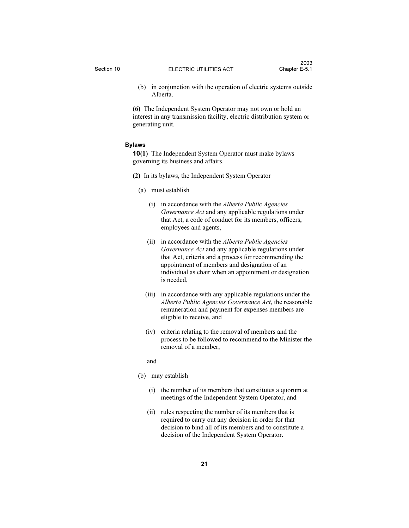(b) in conjunction with the operation of electric systems outside Alberta.

(6) The Independent System Operator may not own or hold an interest in any transmission facility, electric distribution system or generating unit.

#### Bylaws

10(1) The Independent System Operator must make bylaws governing its business and affairs.

- (2) In its bylaws, the Independent System Operator
	- (a) must establish
		- (i) in accordance with the Alberta Public Agencies Governance Act and any applicable regulations under that Act, a code of conduct for its members, officers, employees and agents,
		- (ii) in accordance with the Alberta Public Agencies Governance Act and any applicable regulations under that Act, criteria and a process for recommending the appointment of members and designation of an individual as chair when an appointment or designation is needed,
		- (iii) in accordance with any applicable regulations under the Alberta Public Agencies Governance Act, the reasonable remuneration and payment for expenses members are eligible to receive, and
		- (iv) criteria relating to the removal of members and the process to be followed to recommend to the Minister the removal of a member,
		- and
	- (b) may establish
		- (i) the number of its members that constitutes a quorum at meetings of the Independent System Operator, and
		- (ii) rules respecting the number of its members that is required to carry out any decision in order for that decision to bind all of its members and to constitute a decision of the Independent System Operator.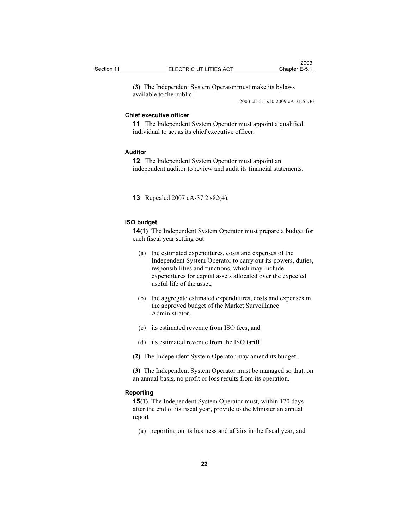$2003$ 

(3) The Independent System Operator must make its bylaws available to the public.

2003 cE-5.1 s10;2009 cA-31.5 s36

#### Chief executive officer

11 The Independent System Operator must appoint a qualified individual to act as its chief executive officer.

#### Auditor

12 The Independent System Operator must appoint an independent auditor to review and audit its financial statements.

13 Repealed 2007 cA-37.2 s82(4).

#### ISO budget

14(1) The Independent System Operator must prepare a budget for each fiscal year setting out

- (a) the estimated expenditures, costs and expenses of the Independent System Operator to carry out its powers, duties, responsibilities and functions, which may include expenditures for capital assets allocated over the expected useful life of the asset,
- (b) the aggregate estimated expenditures, costs and expenses in the approved budget of the Market Surveillance Administrator,
- (c) its estimated revenue from ISO fees, and
- (d) its estimated revenue from the ISO tariff.
- (2) The Independent System Operator may amend its budget.

(3) The Independent System Operator must be managed so that, on an annual basis, no profit or loss results from its operation.

#### Reporting

15(1) The Independent System Operator must, within 120 days after the end of its fiscal year, provide to the Minister an annual report

(a) reporting on its business and affairs in the fiscal year, and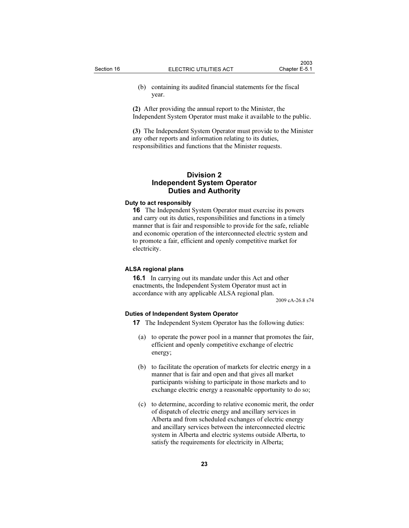(b) containing its audited financial statements for the fiscal year.

(2) After providing the annual report to the Minister, the Independent System Operator must make it available to the public.

(3) The Independent System Operator must provide to the Minister any other reports and information relating to its duties, responsibilities and functions that the Minister requests.

#### Division 2 Independent System Operator Duties and Authority

#### Duty to act responsibly

16 The Independent System Operator must exercise its powers and carry out its duties, responsibilities and functions in a timely manner that is fair and responsible to provide for the safe, reliable and economic operation of the interconnected electric system and to promote a fair, efficient and openly competitive market for electricity.

#### ALSA regional plans

16.1 In carrying out its mandate under this Act and other enactments, the Independent System Operator must act in accordance with any applicable ALSA regional plan.

2009 cA-26.8 s74

#### Duties of Independent System Operator

- 17 The Independent System Operator has the following duties:
	- (a) to operate the power pool in a manner that promotes the fair, efficient and openly competitive exchange of electric energy;
	- (b) to facilitate the operation of markets for electric energy in a manner that is fair and open and that gives all market participants wishing to participate in those markets and to exchange electric energy a reasonable opportunity to do so;
	- (c) to determine, according to relative economic merit, the order of dispatch of electric energy and ancillary services in Alberta and from scheduled exchanges of electric energy and ancillary services between the interconnected electric system in Alberta and electric systems outside Alberta, to satisfy the requirements for electricity in Alberta;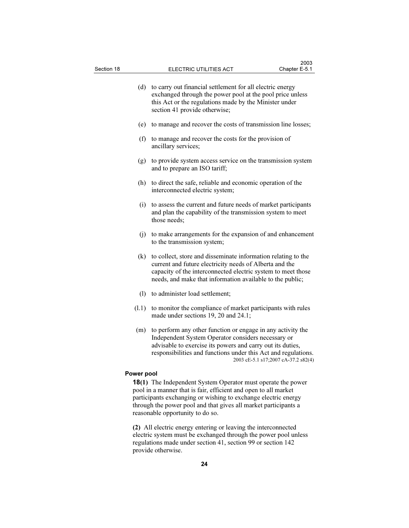| (d)        | to carry out financial settlement for all electric energy<br>exchanged through the power pool at the pool price unless<br>this Act or the regulations made by the Minister under<br>section 41 provide otherwise;                                                                        |
|------------|------------------------------------------------------------------------------------------------------------------------------------------------------------------------------------------------------------------------------------------------------------------------------------------|
| (e)        | to manage and recover the costs of transmission line losses;                                                                                                                                                                                                                             |
| (f)        | to manage and recover the costs for the provision of<br>ancillary services;                                                                                                                                                                                                              |
| (g)        | to provide system access service on the transmission system<br>and to prepare an ISO tariff;                                                                                                                                                                                             |
| (h)        | to direct the safe, reliable and economic operation of the<br>interconnected electric system;                                                                                                                                                                                            |
| (i)        | to assess the current and future needs of market participants<br>and plan the capability of the transmission system to meet<br>those needs;                                                                                                                                              |
| (i)        | to make arrangements for the expansion of and enhancement<br>to the transmission system;                                                                                                                                                                                                 |
| (k)        | to collect, store and disseminate information relating to the<br>current and future electricity needs of Alberta and the<br>capacity of the interconnected electric system to meet those<br>needs, and make that information available to the public;                                    |
| (1)        | to administer load settlement;                                                                                                                                                                                                                                                           |
| (1.1)      | to monitor the compliance of market participants with rules<br>made under sections 19, 20 and 24.1;                                                                                                                                                                                      |
| (m)        | to perform any other function or engage in any activity the<br>Independent System Operator considers necessary or<br>advisable to exercise its powers and carry out its duties,<br>responsibilities and functions under this Act and regulations.<br>2003 cE-5.1 s17;2007 cA-37.2 s82(4) |
| Power pool |                                                                                                                                                                                                                                                                                          |

18(1) The Independent System Operator must operate the power pool in a manner that is fair, efficient and open to all market participants exchanging or wishing to exchange electric energy through the power pool and that gives all market participants a reasonable opportunity to do so.

(2) All electric energy entering or leaving the interconnected electric system must be exchanged through the power pool unless regulations made under section 41, section 99 or section 142 provide otherwise.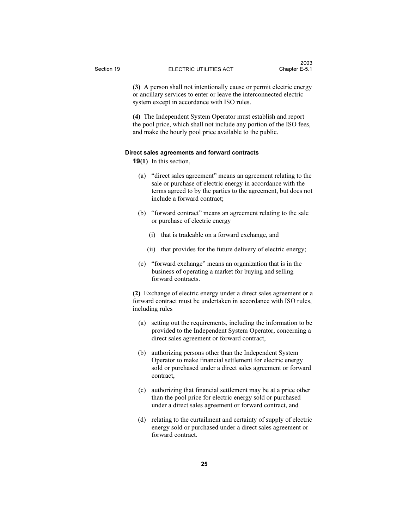(3) A person shall not intentionally cause or permit electric energy or ancillary services to enter or leave the interconnected electric system except in accordance with ISO rules.

(4) The Independent System Operator must establish and report the pool price, which shall not include any portion of the ISO fees, and make the hourly pool price available to the public.

#### Direct sales agreements and forward contracts

19(1) In this section,

- (a) "direct sales agreement" means an agreement relating to the sale or purchase of electric energy in accordance with the terms agreed to by the parties to the agreement, but does not include a forward contract;
- (b) "forward contract" means an agreement relating to the sale or purchase of electric energy
	- (i) that is tradeable on a forward exchange, and
	- (ii) that provides for the future delivery of electric energy;
- (c) "forward exchange" means an organization that is in the business of operating a market for buying and selling forward contracts.

(2) Exchange of electric energy under a direct sales agreement or a forward contract must be undertaken in accordance with ISO rules, including rules

- (a) setting out the requirements, including the information to be provided to the Independent System Operator, concerning a direct sales agreement or forward contract,
- (b) authorizing persons other than the Independent System Operator to make financial settlement for electric energy sold or purchased under a direct sales agreement or forward contract,
- (c) authorizing that financial settlement may be at a price other than the pool price for electric energy sold or purchased under a direct sales agreement or forward contract, and
- (d) relating to the curtailment and certainty of supply of electric energy sold or purchased under a direct sales agreement or forward contract.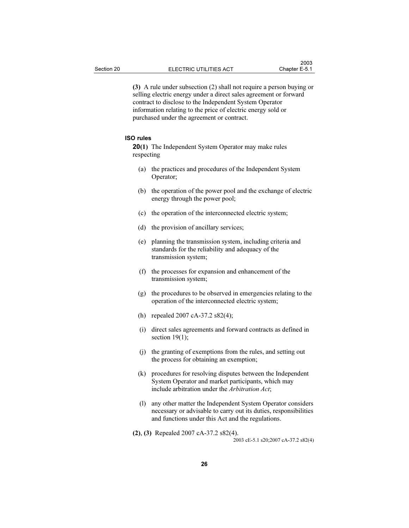(3) A rule under subsection (2) shall not require a person buying or selling electric energy under a direct sales agreement or forward contract to disclose to the Independent System Operator information relating to the price of electric energy sold or purchased under the agreement or contract.

#### ISO rules

20(1) The Independent System Operator may make rules respecting

- (a) the practices and procedures of the Independent System Operator;
- (b) the operation of the power pool and the exchange of electric energy through the power pool;
- (c) the operation of the interconnected electric system;
- (d) the provision of ancillary services;
- (e) planning the transmission system, including criteria and standards for the reliability and adequacy of the transmission system;
- (f) the processes for expansion and enhancement of the transmission system;
- (g) the procedures to be observed in emergencies relating to the operation of the interconnected electric system;
- (h) repealed 2007 cA-37.2 s82(4);
- (i) direct sales agreements and forward contracts as defined in section  $19(1)$ ;
- (j) the granting of exemptions from the rules, and setting out the process for obtaining an exemption;
- (k) procedures for resolving disputes between the Independent System Operator and market participants, which may include arbitration under the Arbitration Act;
- (l) any other matter the Independent System Operator considers necessary or advisable to carry out its duties, responsibilities and functions under this Act and the regulations.
- (2), (3) Repealed 2007 cA-37.2 s82(4).

2003 cE-5.1 s20;2007 cA-37.2 s82(4)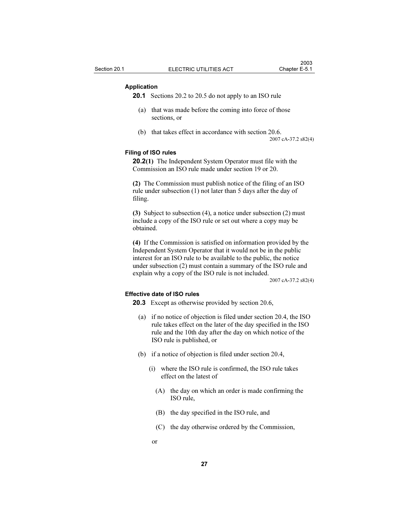#### Application

20.1 Sections 20.2 to 20.5 do not apply to an ISO rule

- (a) that was made before the coming into force of those sections, or
- (b) that takes effect in accordance with section 20.6.

2007 cA-37.2 s82(4)

#### Filing of ISO rules

20.2(1) The Independent System Operator must file with the Commission an ISO rule made under section 19 or 20.

(2) The Commission must publish notice of the filing of an ISO rule under subsection (1) not later than 5 days after the day of filing.

(3) Subject to subsection (4), a notice under subsection (2) must include a copy of the ISO rule or set out where a copy may be obtained.

(4) If the Commission is satisfied on information provided by the Independent System Operator that it would not be in the public interest for an ISO rule to be available to the public, the notice under subsection (2) must contain a summary of the ISO rule and explain why a copy of the ISO rule is not included.

2007 cA-37.2 s82(4)

#### Effective date of ISO rules

20.3 Except as otherwise provided by section 20.6,

- (a) if no notice of objection is filed under section 20.4, the ISO rule takes effect on the later of the day specified in the ISO rule and the 10th day after the day on which notice of the ISO rule is published, or
- (b) if a notice of objection is filed under section 20.4,
	- (i) where the ISO rule is confirmed, the ISO rule takes effect on the latest of
		- (A) the day on which an order is made confirming the ISO rule,
		- (B) the day specified in the ISO rule, and
		- (C) the day otherwise ordered by the Commission,
- or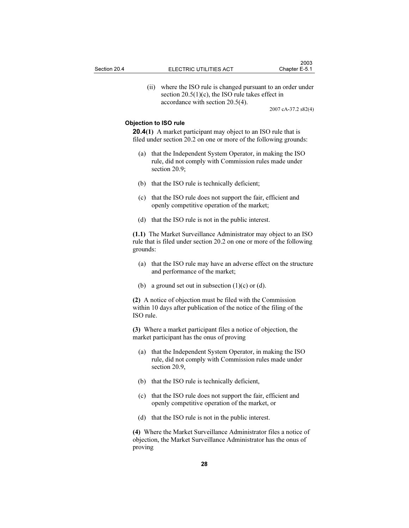(ii) where the ISO rule is changed pursuant to an order under section  $20.5(1)(c)$ , the ISO rule takes effect in accordance with section 20.5(4).

2007 cA-37.2 s82(4)

#### Objection to ISO rule

**20.4(1)** A market participant may object to an ISO rule that is filed under section 20.2 on one or more of the following grounds:

- (a) that the Independent System Operator, in making the ISO rule, did not comply with Commission rules made under section 20.9;
- (b) that the ISO rule is technically deficient;
- (c) that the ISO rule does not support the fair, efficient and openly competitive operation of the market;
- (d) that the ISO rule is not in the public interest.

(1.1) The Market Surveillance Administrator may object to an ISO rule that is filed under section 20.2 on one or more of the following grounds:

- (a) that the ISO rule may have an adverse effect on the structure and performance of the market;
- (b) a ground set out in subsection  $(1)(c)$  or  $(d)$ .

(2) A notice of objection must be filed with the Commission within 10 days after publication of the notice of the filing of the ISO rule.

(3) Where a market participant files a notice of objection, the market participant has the onus of proving

- (a) that the Independent System Operator, in making the ISO rule, did not comply with Commission rules made under section 20.9,
- (b) that the ISO rule is technically deficient,
- (c) that the ISO rule does not support the fair, efficient and openly competitive operation of the market, or
- (d) that the ISO rule is not in the public interest.

(4) Where the Market Surveillance Administrator files a notice of objection, the Market Surveillance Administrator has the onus of proving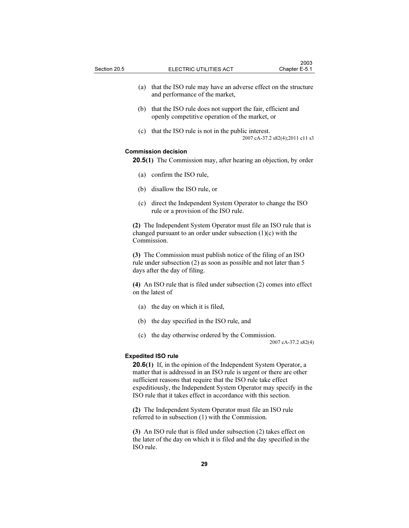- (a) that the ISO rule may have an adverse effect on the structure and performance of the market,
- (b) that the ISO rule does not support the fair, efficient and openly competitive operation of the market, or
- (c) that the ISO rule is not in the public interest. 2007 cA-37.2 s82(4);2011 c11 s3

#### Commission decision

20.5(1) The Commission may, after hearing an objection, by order

- (a) confirm the ISO rule,
- (b) disallow the ISO rule, or
- (c) direct the Independent System Operator to change the ISO rule or a provision of the ISO rule.

(2) The Independent System Operator must file an ISO rule that is changed pursuant to an order under subsection (1)(c) with the Commission.

(3) The Commission must publish notice of the filing of an ISO rule under subsection (2) as soon as possible and not later than 5 days after the day of filing.

(4) An ISO rule that is filed under subsection (2) comes into effect on the latest of

- (a) the day on which it is filed,
- (b) the day specified in the ISO rule, and
- (c) the day otherwise ordered by the Commission.

2007 cA-37.2 s82(4)

#### Expedited ISO rule

20.6(1) If, in the opinion of the Independent System Operator, a matter that is addressed in an ISO rule is urgent or there are other sufficient reasons that require that the ISO rule take effect expeditiously, the Independent System Operator may specify in the ISO rule that it takes effect in accordance with this section.

(2) The Independent System Operator must file an ISO rule referred to in subsection (1) with the Commission.

(3) An ISO rule that is filed under subsection (2) takes effect on the later of the day on which it is filed and the day specified in the ISO rule.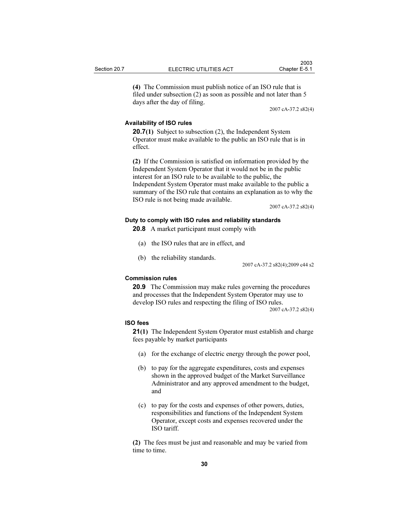(4) The Commission must publish notice of an ISO rule that is filed under subsection (2) as soon as possible and not later than 5 days after the day of filing.

2007 cA-37.2 s82(4)

#### Availability of ISO rules

**20.7(1)** Subject to subsection (2), the Independent System Operator must make available to the public an ISO rule that is in effect.

(2) If the Commission is satisfied on information provided by the Independent System Operator that it would not be in the public interest for an ISO rule to be available to the public, the Independent System Operator must make available to the public a summary of the ISO rule that contains an explanation as to why the ISO rule is not being made available.

2007 cA-37.2 s82(4)

#### Duty to comply with ISO rules and reliability standards

20.8 A market participant must comply with

- (a) the ISO rules that are in effect, and
- (b) the reliability standards.

2007 cA-37.2 s82(4);2009 c44 s2

#### Commission rules

20.9 The Commission may make rules governing the procedures and processes that the Independent System Operator may use to develop ISO rules and respecting the filing of ISO rules.

2007 cA-37.2 s82(4)

#### ISO fees

21(1) The Independent System Operator must establish and charge fees payable by market participants

- (a) for the exchange of electric energy through the power pool,
- (b) to pay for the aggregate expenditures, costs and expenses shown in the approved budget of the Market Surveillance Administrator and any approved amendment to the budget, and
- (c) to pay for the costs and expenses of other powers, duties, responsibilities and functions of the Independent System Operator, except costs and expenses recovered under the ISO tariff.

(2) The fees must be just and reasonable and may be varied from time to time.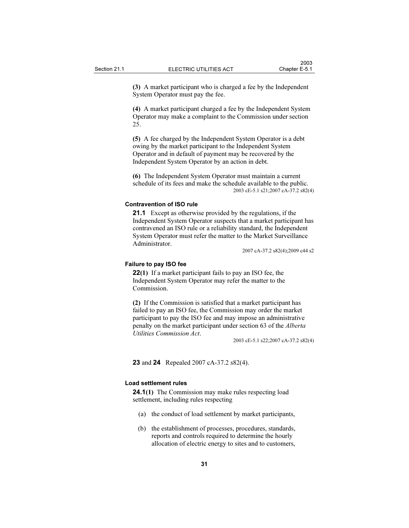(3) A market participant who is charged a fee by the Independent System Operator must pay the fee.

(4) A market participant charged a fee by the Independent System Operator may make a complaint to the Commission under section 25.

(5) A fee charged by the Independent System Operator is a debt owing by the market participant to the Independent System Operator and in default of payment may be recovered by the Independent System Operator by an action in debt.

(6) The Independent System Operator must maintain a current schedule of its fees and make the schedule available to the public. 2003 cE-5.1 s21;2007 cA-37.2 s82(4)

#### Contravention of ISO rule

21.1 Except as otherwise provided by the regulations, if the Independent System Operator suspects that a market participant has contravened an ISO rule or a reliability standard, the Independent System Operator must refer the matter to the Market Surveillance Administrator.

2007 cA-37.2 s82(4);2009 c44 s2

### Failure to pay ISO fee

22(1) If a market participant fails to pay an ISO fee, the Independent System Operator may refer the matter to the Commission.

(2) If the Commission is satisfied that a market participant has failed to pay an ISO fee, the Commission may order the market participant to pay the ISO fee and may impose an administrative penalty on the market participant under section 63 of the Alberta Utilities Commission Act.

2003 cE-5.1 s22;2007 cA-37.2 s82(4)

23 and 24 Repealed 2007 cA-37.2 s82(4).

#### Load settlement rules

**24.1(1)** The Commission may make rules respecting load settlement, including rules respecting

- (a) the conduct of load settlement by market participants,
- (b) the establishment of processes, procedures, standards, reports and controls required to determine the hourly allocation of electric energy to sites and to customers,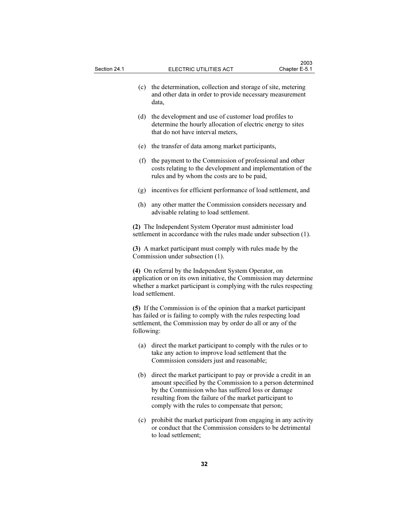- (c) the determination, collection and storage of site, metering and other data in order to provide necessary measurement data, (d) the development and use of customer load profiles to
- determine the hourly allocation of electric energy to sites that do not have interval meters,
- (e) the transfer of data among market participants,
- (f) the payment to the Commission of professional and other costs relating to the development and implementation of the rules and by whom the costs are to be paid,
- (g) incentives for efficient performance of load settlement, and
- (h) any other matter the Commission considers necessary and advisable relating to load settlement.

(2) The Independent System Operator must administer load settlement in accordance with the rules made under subsection (1).

(3) A market participant must comply with rules made by the Commission under subsection (1).

(4) On referral by the Independent System Operator, on application or on its own initiative, the Commission may determine whether a market participant is complying with the rules respecting load settlement.

(5) If the Commission is of the opinion that a market participant has failed or is failing to comply with the rules respecting load settlement, the Commission may by order do all or any of the following:

- (a) direct the market participant to comply with the rules or to take any action to improve load settlement that the Commission considers just and reasonable;
- (b) direct the market participant to pay or provide a credit in an amount specified by the Commission to a person determined by the Commission who has suffered loss or damage resulting from the failure of the market participant to comply with the rules to compensate that person;
- (c) prohibit the market participant from engaging in any activity or conduct that the Commission considers to be detrimental to load settlement;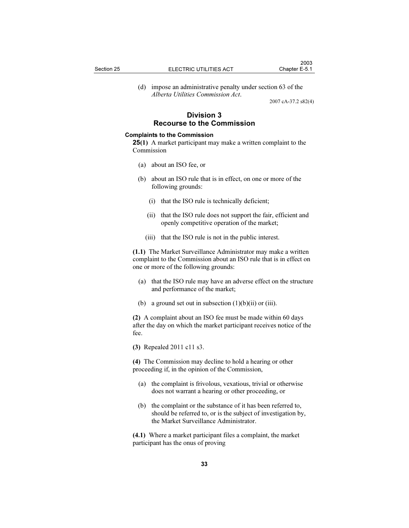(d) impose an administrative penalty under section 63 of the Alberta Utilities Commission Act.

2007 cA-37.2 s82(4)

## Division 3 Recourse to the Commission

## Complaints to the Commission

25(1) A market participant may make a written complaint to the Commission

- (a) about an ISO fee, or
- (b) about an ISO rule that is in effect, on one or more of the following grounds:
	- (i) that the ISO rule is technically deficient;
	- (ii) that the ISO rule does not support the fair, efficient and openly competitive operation of the market;
	- (iii) that the ISO rule is not in the public interest.

(1.1) The Market Surveillance Administrator may make a written complaint to the Commission about an ISO rule that is in effect on one or more of the following grounds:

- (a) that the ISO rule may have an adverse effect on the structure and performance of the market;
- (b) a ground set out in subsection  $(1)(b)(ii)$  or (iii).

(2) A complaint about an ISO fee must be made within 60 days after the day on which the market participant receives notice of the fee.

(3) Repealed 2011 c11 s3.

(4) The Commission may decline to hold a hearing or other proceeding if, in the opinion of the Commission,

- (a) the complaint is frivolous, vexatious, trivial or otherwise does not warrant a hearing or other proceeding, or
- (b) the complaint or the substance of it has been referred to, should be referred to, or is the subject of investigation by, the Market Surveillance Administrator.

(4.1) Where a market participant files a complaint, the market participant has the onus of proving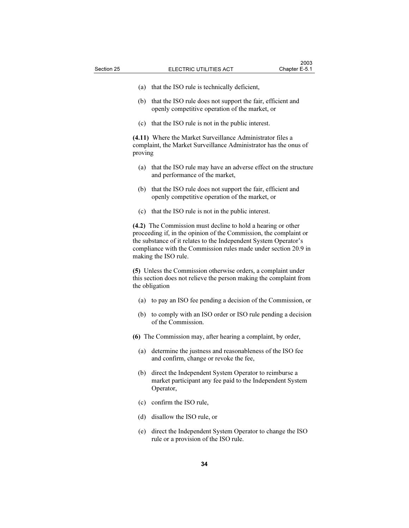- (a) that the ISO rule is technically deficient,
- (b) that the ISO rule does not support the fair, efficient and openly competitive operation of the market, or
- (c) that the ISO rule is not in the public interest.

(4.11) Where the Market Surveillance Administrator files a complaint, the Market Surveillance Administrator has the onus of proving

- (a) that the ISO rule may have an adverse effect on the structure and performance of the market,
- (b) that the ISO rule does not support the fair, efficient and openly competitive operation of the market, or
- (c) that the ISO rule is not in the public interest.

(4.2) The Commission must decline to hold a hearing or other proceeding if, in the opinion of the Commission, the complaint or the substance of it relates to the Independent System Operator's compliance with the Commission rules made under section 20.9 in making the ISO rule.

(5) Unless the Commission otherwise orders, a complaint under this section does not relieve the person making the complaint from the obligation

- (a) to pay an ISO fee pending a decision of the Commission, or
- (b) to comply with an ISO order or ISO rule pending a decision of the Commission.
- (6) The Commission may, after hearing a complaint, by order,
	- (a) determine the justness and reasonableness of the ISO fee and confirm, change or revoke the fee,
	- (b) direct the Independent System Operator to reimburse a market participant any fee paid to the Independent System Operator,
	- (c) confirm the ISO rule,
	- (d) disallow the ISO rule, or
	- (e) direct the Independent System Operator to change the ISO rule or a provision of the ISO rule.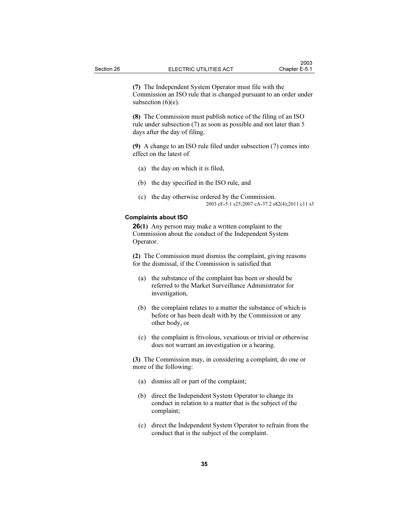(7) The Independent System Operator must file with the Commission an ISO rule that is changed pursuant to an order under subsection  $(6)(e)$ .

(8) The Commission must publish notice of the filing of an ISO rule under subsection (7) as soon as possible and not later than 5 days after the day of filing.

(9) A change to an ISO rule filed under subsection (7) comes into effect on the latest of

- (a) the day on which it is filed,
- (b) the day specified in the ISO rule, and
- (c) the day otherwise ordered by the Commission. 2003 cE-5.1 s25;2007 cA-37.2 s82(4);2011 c11 s3

## Complaints about ISO

26(1) Any person may make a written complaint to the Commission about the conduct of the Independent System Operator.

(2) The Commission must dismiss the complaint, giving reasons for the dismissal, if the Commission is satisfied that

- (a) the substance of the complaint has been or should be referred to the Market Surveillance Administrator for investigation,
- (b) the complaint relates to a matter the substance of which is before or has been dealt with by the Commission or any other body, or
- (c) the complaint is frivolous, vexatious or trivial or otherwise does not warrant an investigation or a hearing.

(3) The Commission may, in considering a complaint, do one or more of the following:

- (a) dismiss all or part of the complaint;
- (b) direct the Independent System Operator to change its conduct in relation to a matter that is the subject of the complaint;
- (c) direct the Independent System Operator to refrain from the conduct that is the subject of the complaint.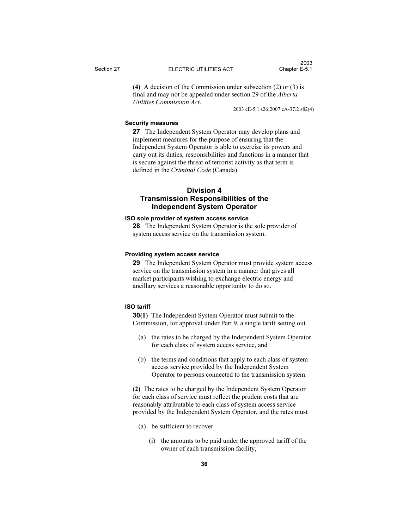(4) A decision of the Commission under subsection (2) or (3) is final and may not be appealed under section 29 of the Alberta Utilities Commission Act.

2003 cE-5.1 s26;2007 cA-37.2 s82(4)

### Security measures

27 The Independent System Operator may develop plans and implement measures for the purpose of ensuring that the Independent System Operator is able to exercise its powers and carry out its duties, responsibilities and functions in a manner that is secure against the threat of terrorist activity as that term is defined in the Criminal Code (Canada).

## Division 4 Transmission Responsibilities of the Independent System Operator

## ISO sole provider of system access service

28 The Independent System Operator is the sole provider of system access service on the transmission system.

## Providing system access service

29 The Independent System Operator must provide system access service on the transmission system in a manner that gives all market participants wishing to exchange electric energy and ancillary services a reasonable opportunity to do so.

## ISO tariff

30(1) The Independent System Operator must submit to the Commission, for approval under Part 9, a single tariff setting out

- (a) the rates to be charged by the Independent System Operator for each class of system access service, and
- (b) the terms and conditions that apply to each class of system access service provided by the Independent System Operator to persons connected to the transmission system.

(2) The rates to be charged by the Independent System Operator for each class of service must reflect the prudent costs that are reasonably attributable to each class of system access service provided by the Independent System Operator, and the rates must

- (a) be sufficient to recover
	- (i) the amounts to be paid under the approved tariff of the owner of each transmission facility,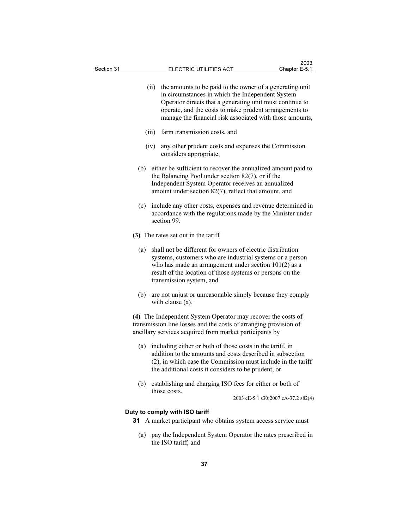| Section 31 |       | ELECTRIC UTILITIES ACT                                                                                                                                                                                                                                                                         | 2003<br>Chapter E-5.1               |
|------------|-------|------------------------------------------------------------------------------------------------------------------------------------------------------------------------------------------------------------------------------------------------------------------------------------------------|-------------------------------------|
|            | (ii)  | the amounts to be paid to the owner of a generating unit<br>in circumstances in which the Independent System<br>Operator directs that a generating unit must continue to<br>operate, and the costs to make prudent arrangements to<br>manage the financial risk associated with those amounts, |                                     |
|            | (iii) | farm transmission costs, and                                                                                                                                                                                                                                                                   |                                     |
|            | (iv)  | any other prudent costs and expenses the Commission<br>considers appropriate,                                                                                                                                                                                                                  |                                     |
| (b)        |       | either be sufficient to recover the annualized amount paid to<br>the Balancing Pool under section $82(7)$ , or if the<br>Independent System Operator receives an annualized<br>amount under section 82(7), reflect that amount, and                                                            |                                     |
| (c)        |       | include any other costs, expenses and revenue determined in<br>accordance with the regulations made by the Minister under<br>section 99.                                                                                                                                                       |                                     |
|            |       | (3) The rates set out in the tariff                                                                                                                                                                                                                                                            |                                     |
| (a)        |       | shall not be different for owners of electric distribution<br>systems, customers who are industrial systems or a person<br>who has made an arrangement under section $101(2)$ as a<br>result of the location of those systems or persons on the<br>transmission system, and                    |                                     |
| (b)        |       | are not unjust or unreasonable simply because they comply<br>with clause (a).                                                                                                                                                                                                                  |                                     |
|            |       | (4) The Independent System Operator may recover the costs of<br>transmission line losses and the costs of arranging provision of<br>ancillary services acquired from market participants by                                                                                                    |                                     |
| (a)        |       | including either or both of those costs in the tariff, in<br>addition to the amounts and costs described in subsection<br>(2), in which case the Commission must include in the tariff<br>the additional costs it considers to be prudent, or                                                  |                                     |
| (b)        |       | establishing and charging ISO fees for either or both of<br>those costs.                                                                                                                                                                                                                       | 2003 cE-5.1 s30;2007 cA-37.2 s82(4) |
|            |       | Duty to comply with ISO tariff<br>31 A market participant who obtains system access service must                                                                                                                                                                                               |                                     |
|            |       |                                                                                                                                                                                                                                                                                                |                                     |

 (a) pay the Independent System Operator the rates prescribed in the ISO tariff, and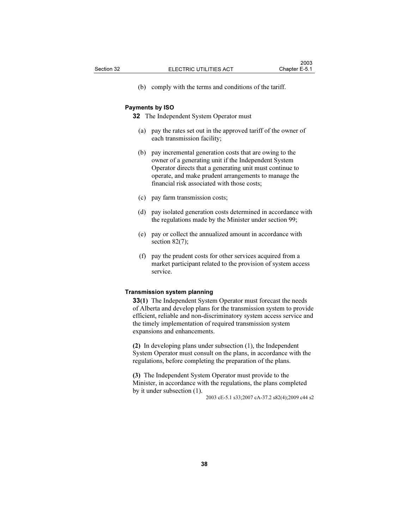(b) comply with the terms and conditions of the tariff.

### Payments by ISO

32 The Independent System Operator must

- (a) pay the rates set out in the approved tariff of the owner of each transmission facility;
- (b) pay incremental generation costs that are owing to the owner of a generating unit if the Independent System Operator directs that a generating unit must continue to operate, and make prudent arrangements to manage the financial risk associated with those costs;
- (c) pay farm transmission costs;
- (d) pay isolated generation costs determined in accordance with the regulations made by the Minister under section 99;
- (e) pay or collect the annualized amount in accordance with section 82(7);
- (f) pay the prudent costs for other services acquired from a market participant related to the provision of system access service.

#### Transmission system planning

33(1) The Independent System Operator must forecast the needs of Alberta and develop plans for the transmission system to provide efficient, reliable and non-discriminatory system access service and the timely implementation of required transmission system expansions and enhancements.

(2) In developing plans under subsection (1), the Independent System Operator must consult on the plans, in accordance with the regulations, before completing the preparation of the plans.

(3) The Independent System Operator must provide to the Minister, in accordance with the regulations, the plans completed by it under subsection (1).

2003 cE-5.1 s33;2007 cA-37.2 s82(4);2009 c44 s2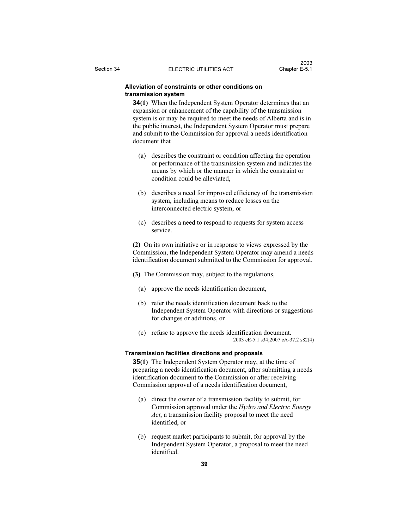## Alleviation of constraints or other conditions on transmission system

34(1) When the Independent System Operator determines that an expansion or enhancement of the capability of the transmission system is or may be required to meet the needs of Alberta and is in the public interest, the Independent System Operator must prepare and submit to the Commission for approval a needs identification document that

- (a) describes the constraint or condition affecting the operation or performance of the transmission system and indicates the means by which or the manner in which the constraint or condition could be alleviated,
- (b) describes a need for improved efficiency of the transmission system, including means to reduce losses on the interconnected electric system, or
- (c) describes a need to respond to requests for system access service.

(2) On its own initiative or in response to views expressed by the Commission, the Independent System Operator may amend a needs identification document submitted to the Commission for approval.

- (3) The Commission may, subject to the regulations,
	- (a) approve the needs identification document,
	- (b) refer the needs identification document back to the Independent System Operator with directions or suggestions for changes or additions, or
	- (c) refuse to approve the needs identification document. 2003 cE-5.1 s34;2007 cA-37.2 s82(4)

### Transmission facilities directions and proposals

35(1) The Independent System Operator may, at the time of preparing a needs identification document, after submitting a needs identification document to the Commission or after receiving Commission approval of a needs identification document,

- (a) direct the owner of a transmission facility to submit, for Commission approval under the Hydro and Electric Energy Act, a transmission facility proposal to meet the need identified, or
- (b) request market participants to submit, for approval by the Independent System Operator, a proposal to meet the need identified.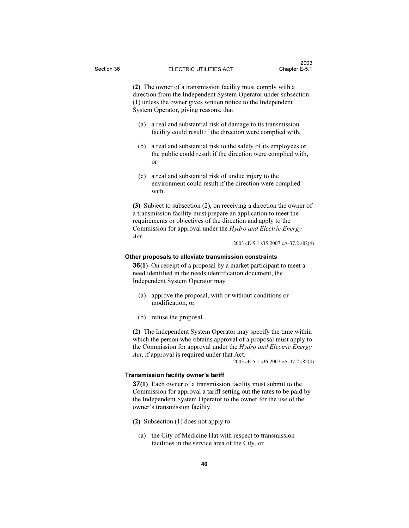(2) The owner of a transmission facility must comply with a direction from the Independent System Operator under subsection (1) unless the owner gives written notice to the Independent System Operator, giving reasons, that

- (a) a real and substantial risk of damage to its transmission facility could result if the direction were complied with,
- (b) a real and substantial risk to the safety of its employees or the public could result if the direction were complied with, or
- (c) a real and substantial risk of undue injury to the environment could result if the direction were complied with.

(3) Subject to subsection (2), on receiving a direction the owner of a transmission facility must prepare an application to meet the requirements or objectives of the direction and apply to the Commission for approval under the Hydro and Electric Energy Act.

2003 cE-5.1 s35;2007 cA-37.2 s82(4)

### Other proposals to alleviate transmission constraints

**36(1)** On receipt of a proposal by a market participant to meet a need identified in the needs identification document, the Independent System Operator may

- (a) approve the proposal, with or without conditions or modification, or
- (b) refuse the proposal.

(2) The Independent System Operator may specify the time within which the person who obtains approval of a proposal must apply to the Commission for approval under the Hydro and Electric Energy Act, if approval is required under that Act.

2003 cE-5.1 s36;2007 cA-37.2 s82(4)

### Transmission facility owner's tariff

37(1) Each owner of a transmission facility must submit to the Commission for approval a tariff setting out the rates to be paid by the Independent System Operator to the owner for the use of the owner's transmission facility.

- (2) Subsection (1) does not apply to
	- (a) the City of Medicine Hat with respect to transmission facilities in the service area of the City, or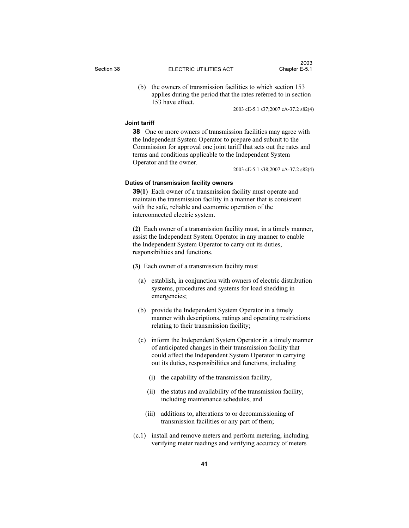(b) the owners of transmission facilities to which section 153 applies during the period that the rates referred to in section 153 have effect.

2003 cE-5.1 s37;2007 cA-37.2 s82(4)

## Joint tariff

38 One or more owners of transmission facilities may agree with the Independent System Operator to prepare and submit to the Commission for approval one joint tariff that sets out the rates and terms and conditions applicable to the Independent System Operator and the owner.

2003 cE-5.1 s38;2007 cA-37.2 s82(4)

## Duties of transmission facility owners

39(1) Each owner of a transmission facility must operate and maintain the transmission facility in a manner that is consistent with the safe, reliable and economic operation of the interconnected electric system.

(2) Each owner of a transmission facility must, in a timely manner, assist the Independent System Operator in any manner to enable the Independent System Operator to carry out its duties, responsibilities and functions.

(3) Each owner of a transmission facility must

- (a) establish, in conjunction with owners of electric distribution systems, procedures and systems for load shedding in emergencies;
- (b) provide the Independent System Operator in a timely manner with descriptions, ratings and operating restrictions relating to their transmission facility;
- (c) inform the Independent System Operator in a timely manner of anticipated changes in their transmission facility that could affect the Independent System Operator in carrying out its duties, responsibilities and functions, including
	- (i) the capability of the transmission facility,
	- (ii) the status and availability of the transmission facility, including maintenance schedules, and
	- (iii) additions to, alterations to or decommissioning of transmission facilities or any part of them;
- (c.1) install and remove meters and perform metering, including verifying meter readings and verifying accuracy of meters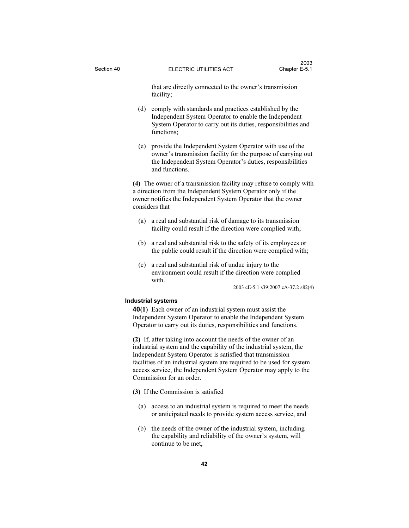that are directly connected to the owner's transmission facility;

- (d) comply with standards and practices established by the Independent System Operator to enable the Independent System Operator to carry out its duties, responsibilities and functions;
- (e) provide the Independent System Operator with use of the owner's transmission facility for the purpose of carrying out the Independent System Operator's duties, responsibilities and functions.

(4) The owner of a transmission facility may refuse to comply with a direction from the Independent System Operator only if the owner notifies the Independent System Operator that the owner considers that

- (a) a real and substantial risk of damage to its transmission facility could result if the direction were complied with;
- (b) a real and substantial risk to the safety of its employees or the public could result if the direction were complied with;
- (c) a real and substantial risk of undue injury to the environment could result if the direction were complied with.

2003 cE-5.1 s39;2007 cA-37.2 s82(4)

### Industrial systems

40(1) Each owner of an industrial system must assist the Independent System Operator to enable the Independent System Operator to carry out its duties, responsibilities and functions.

(2) If, after taking into account the needs of the owner of an industrial system and the capability of the industrial system, the Independent System Operator is satisfied that transmission facilities of an industrial system are required to be used for system access service, the Independent System Operator may apply to the Commission for an order.

- (3) If the Commission is satisfied
	- (a) access to an industrial system is required to meet the needs or anticipated needs to provide system access service, and
	- (b) the needs of the owner of the industrial system, including the capability and reliability of the owner's system, will continue to be met,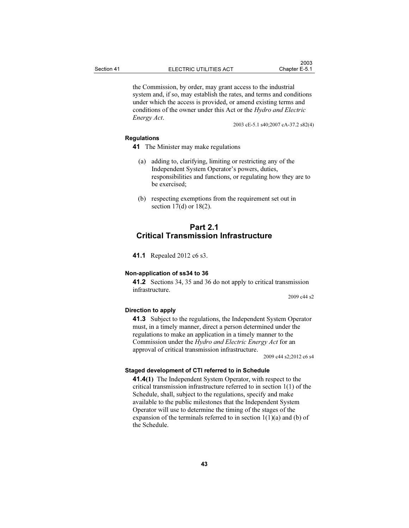the Commission, by order, may grant access to the industrial system and, if so, may establish the rates, and terms and conditions under which the access is provided, or amend existing terms and conditions of the owner under this Act or the Hydro and Electric Energy Act.

2003 cE-5.1 s40;2007 cA-37.2 s82(4)

## Regulations

- 41 The Minister may make regulations
	- (a) adding to, clarifying, limiting or restricting any of the Independent System Operator's powers, duties, responsibilities and functions, or regulating how they are to be exercised;
	- (b) respecting exemptions from the requirement set out in section 17(d) or 18(2).

# Part 2.1 Critical Transmission Infrastructure

**41.1** Repealed 2012 c6 s3.

## Non-application of ss34 to 36

41.2 Sections 34, 35 and 36 do not apply to critical transmission infrastructure.

2009 c44 s2

## Direction to apply

41.3 Subject to the regulations, the Independent System Operator must, in a timely manner, direct a person determined under the regulations to make an application in a timely manner to the Commission under the Hydro and Electric Energy Act for an approval of critical transmission infrastructure.

2009 c44 s2;2012 c6 s4

## Staged development of CTI referred to in Schedule

41.4(1) The Independent System Operator, with respect to the critical transmission infrastructure referred to in section 1(1) of the Schedule, shall, subject to the regulations, specify and make available to the public milestones that the Independent System Operator will use to determine the timing of the stages of the expansion of the terminals referred to in section  $1(1)(a)$  and (b) of the Schedule.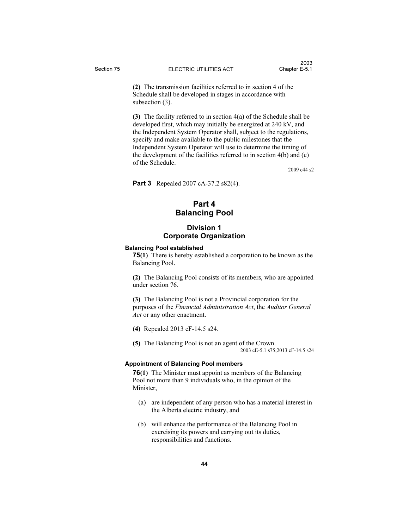(2) The transmission facilities referred to in section 4 of the Schedule shall be developed in stages in accordance with subsection (3).

(3) The facility referred to in section 4(a) of the Schedule shall be developed first, which may initially be energized at 240 kV, and the Independent System Operator shall, subject to the regulations, specify and make available to the public milestones that the Independent System Operator will use to determine the timing of the development of the facilities referred to in section 4(b) and (c) of the Schedule.

2009 c44 s2

**Part 3** Repealed 2007 cA-37.2 s82(4).

# Part 4 Balancing Pool

## Division 1 Corporate Organization

### Balancing Pool established

75(1) There is hereby established a corporation to be known as the Balancing Pool.

(2) The Balancing Pool consists of its members, who are appointed under section 76.

(3) The Balancing Pool is not a Provincial corporation for the purposes of the Financial Administration Act, the Auditor General Act or any other enactment.

- (4) Repealed 2013 cF-14.5 s24.
- (5) The Balancing Pool is not an agent of the Crown. 2003 cE-5.1 s75;2013 cF-14.5 s24

## Appointment of Balancing Pool members

76(1) The Minister must appoint as members of the Balancing Pool not more than 9 individuals who, in the opinion of the Minister,

- (a) are independent of any person who has a material interest in the Alberta electric industry, and
- (b) will enhance the performance of the Balancing Pool in exercising its powers and carrying out its duties, responsibilities and functions.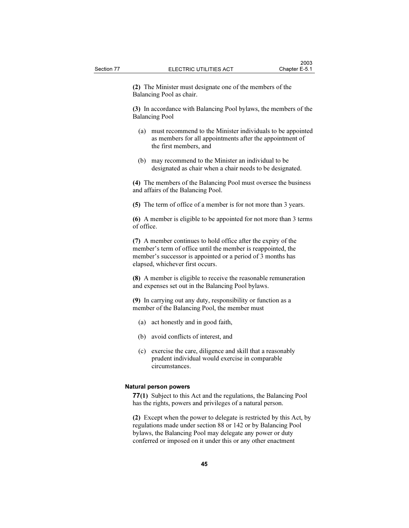(2) The Minister must designate one of the members of the Balancing Pool as chair.

(3) In accordance with Balancing Pool bylaws, the members of the Balancing Pool

- (a) must recommend to the Minister individuals to be appointed as members for all appointments after the appointment of the first members, and
- (b) may recommend to the Minister an individual to be designated as chair when a chair needs to be designated.

(4) The members of the Balancing Pool must oversee the business and affairs of the Balancing Pool.

(5) The term of office of a member is for not more than 3 years.

(6) A member is eligible to be appointed for not more than 3 terms of office.

(7) A member continues to hold office after the expiry of the member's term of office until the member is reappointed, the member's successor is appointed or a period of 3 months has elapsed, whichever first occurs.

(8) A member is eligible to receive the reasonable remuneration and expenses set out in the Balancing Pool bylaws.

(9) In carrying out any duty, responsibility or function as a member of the Balancing Pool, the member must

- (a) act honestly and in good faith,
- (b) avoid conflicts of interest, and
- (c) exercise the care, diligence and skill that a reasonably prudent individual would exercise in comparable circumstances.

### Natural person powers

77(1) Subject to this Act and the regulations, the Balancing Pool has the rights, powers and privileges of a natural person.

(2) Except when the power to delegate is restricted by this Act, by regulations made under section 88 or 142 or by Balancing Pool bylaws, the Balancing Pool may delegate any power or duty conferred or imposed on it under this or any other enactment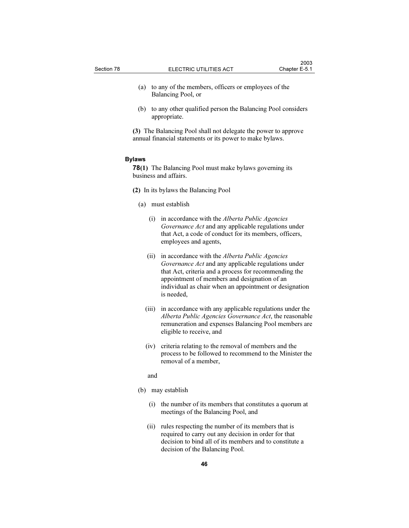- (a) to any of the members, officers or employees of the Balancing Pool, or
- (b) to any other qualified person the Balancing Pool considers appropriate.
- (3) The Balancing Pool shall not delegate the power to approve annual financial statements or its power to make bylaws.

### Bylaws

78(1) The Balancing Pool must make bylaws governing its business and affairs.

- (2) In its bylaws the Balancing Pool
	- (a) must establish
		- (i) in accordance with the Alberta Public Agencies Governance Act and any applicable regulations under that Act, a code of conduct for its members, officers, employees and agents,
		- (ii) in accordance with the *Alberta Public Agencies* Governance Act and any applicable regulations under that Act, criteria and a process for recommending the appointment of members and designation of an individual as chair when an appointment or designation is needed,
		- (iii) in accordance with any applicable regulations under the Alberta Public Agencies Governance Act, the reasonable remuneration and expenses Balancing Pool members are eligible to receive, and
		- (iv) criteria relating to the removal of members and the process to be followed to recommend to the Minister the removal of a member,

and

- (b) may establish
	- (i) the number of its members that constitutes a quorum at meetings of the Balancing Pool, and
	- (ii) rules respecting the number of its members that is required to carry out any decision in order for that decision to bind all of its members and to constitute a decision of the Balancing Pool.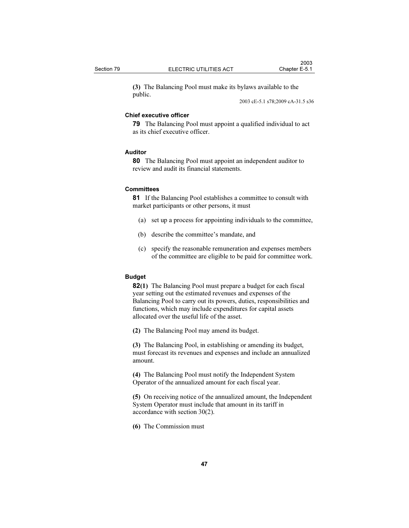(3) The Balancing Pool must make its bylaws available to the public.

2003 cE-5.1 s78;2009 cA-31.5 s36

### Chief executive officer

79 The Balancing Pool must appoint a qualified individual to act as its chief executive officer.

## Auditor

80 The Balancing Pool must appoint an independent auditor to review and audit its financial statements.

## **Committees**

81 If the Balancing Pool establishes a committee to consult with market participants or other persons, it must

- (a) set up a process for appointing individuals to the committee,
- (b) describe the committee's mandate, and
- (c) specify the reasonable remuneration and expenses members of the committee are eligible to be paid for committee work.

### Budget

82(1) The Balancing Pool must prepare a budget for each fiscal year setting out the estimated revenues and expenses of the Balancing Pool to carry out its powers, duties, responsibilities and functions, which may include expenditures for capital assets allocated over the useful life of the asset.

(2) The Balancing Pool may amend its budget.

(3) The Balancing Pool, in establishing or amending its budget, must forecast its revenues and expenses and include an annualized amount.

(4) The Balancing Pool must notify the Independent System Operator of the annualized amount for each fiscal year.

(5) On receiving notice of the annualized amount, the Independent System Operator must include that amount in its tariff in accordance with section 30(2).

(6) The Commission must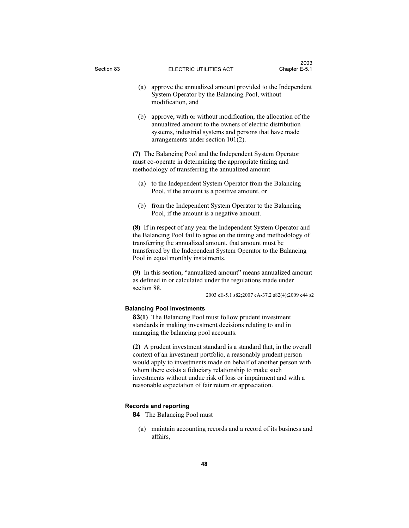- (a) approve the annualized amount provided to the Independent System Operator by the Balancing Pool, without modification, and
- (b) approve, with or without modification, the allocation of the annualized amount to the owners of electric distribution systems, industrial systems and persons that have made arrangements under section 101(2).

(7) The Balancing Pool and the Independent System Operator must co-operate in determining the appropriate timing and methodology of transferring the annualized amount

- (a) to the Independent System Operator from the Balancing Pool, if the amount is a positive amount, or
- (b) from the Independent System Operator to the Balancing Pool, if the amount is a negative amount.

(8) If in respect of any year the Independent System Operator and the Balancing Pool fail to agree on the timing and methodology of transferring the annualized amount, that amount must be transferred by the Independent System Operator to the Balancing Pool in equal monthly instalments.

(9) In this section, "annualized amount" means annualized amount as defined in or calculated under the regulations made under section 88.

2003 cE-5.1 s82;2007 cA-37.2 s82(4);2009 c44 s2

### Balancing Pool investments

83(1) The Balancing Pool must follow prudent investment standards in making investment decisions relating to and in managing the balancing pool accounts.

(2) A prudent investment standard is a standard that, in the overall context of an investment portfolio, a reasonably prudent person would apply to investments made on behalf of another person with whom there exists a fiduciary relationship to make such investments without undue risk of loss or impairment and with a reasonable expectation of fair return or appreciation.

## Records and reporting

- 84 The Balancing Pool must
	- (a) maintain accounting records and a record of its business and affairs,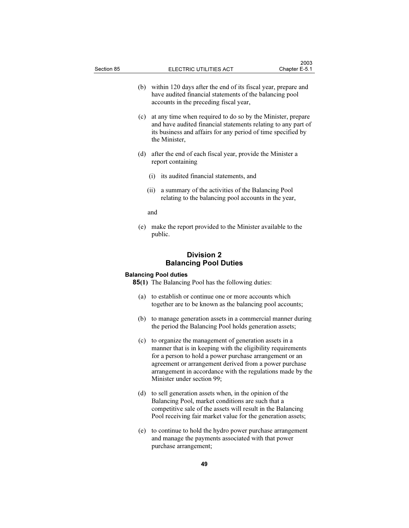- (b) within 120 days after the end of its fiscal year, prepare and have audited financial statements of the balancing pool accounts in the preceding fiscal year,
- (c) at any time when required to do so by the Minister, prepare and have audited financial statements relating to any part of its business and affairs for any period of time specified by the Minister,
- (d) after the end of each fiscal year, provide the Minister a report containing
	- (i) its audited financial statements, and
	- (ii) a summary of the activities of the Balancing Pool relating to the balancing pool accounts in the year,
	- and
- (e) make the report provided to the Minister available to the public.

## Division 2 Balancing Pool Duties

## Balancing Pool duties

85(1) The Balancing Pool has the following duties:

- (a) to establish or continue one or more accounts which together are to be known as the balancing pool accounts;
- (b) to manage generation assets in a commercial manner during the period the Balancing Pool holds generation assets;
- (c) to organize the management of generation assets in a manner that is in keeping with the eligibility requirements for a person to hold a power purchase arrangement or an agreement or arrangement derived from a power purchase arrangement in accordance with the regulations made by the Minister under section 99;
- (d) to sell generation assets when, in the opinion of the Balancing Pool, market conditions are such that a competitive sale of the assets will result in the Balancing Pool receiving fair market value for the generation assets;
- (e) to continue to hold the hydro power purchase arrangement and manage the payments associated with that power purchase arrangement;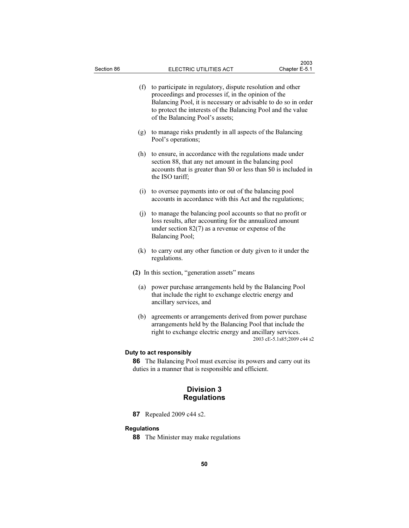| (f) | to participate in regulatory, dispute resolution and other<br>proceedings and processes if, in the opinion of the<br>Balancing Pool, it is necessary or advisable to do so in order<br>to protect the interests of the Balancing Pool and the value<br>of the Balancing Pool's assets; |
|-----|----------------------------------------------------------------------------------------------------------------------------------------------------------------------------------------------------------------------------------------------------------------------------------------|
| (g) | to manage risks prudently in all aspects of the Balancing<br>Pool's operations;                                                                                                                                                                                                        |
| (h) | to ensure, in accordance with the regulations made under<br>section 88, that any net amount in the balancing pool<br>accounts that is greater than \$0 or less than \$0 is included in<br>the ISO tariff;                                                                              |
|     | (i) to oversee payments into or out of the balancing pool<br>accounts in accordance with this Act and the regulations;                                                                                                                                                                 |
|     | (j) to manage the balancing pool accounts so that no profit or<br>loss results, after accounting for the annualized amount<br>under section $82(7)$ as a revenue or expense of the<br>Balancing Pool;                                                                                  |
| (k) | to carry out any other function or duty given to it under the<br>regulations.                                                                                                                                                                                                          |
|     | (2) In this section, "generation assets" means                                                                                                                                                                                                                                         |
| (a) | power purchase arrangements held by the Balancing Pool<br>that include the right to exchange electric energy and<br>ancillary services, and                                                                                                                                            |
| (b) | agreements or arrangements derived from power purchase<br>arrangements held by the Balancing Pool that include the<br>right to exchange electric energy and ancillary services.<br>2003 cE-5.1s85;2009 c44 s2                                                                          |
|     | Duty to act responsibly                                                                                                                                                                                                                                                                |
|     | 86 The Balancing Pool must exercise its powers and carry out its<br>duties in a manner that is responsible and efficient.                                                                                                                                                              |
|     |                                                                                                                                                                                                                                                                                        |

# Division 3 Regulations

**87** Repealed 2009 c44 s2.

# Regulations

88 The Minister may make regulations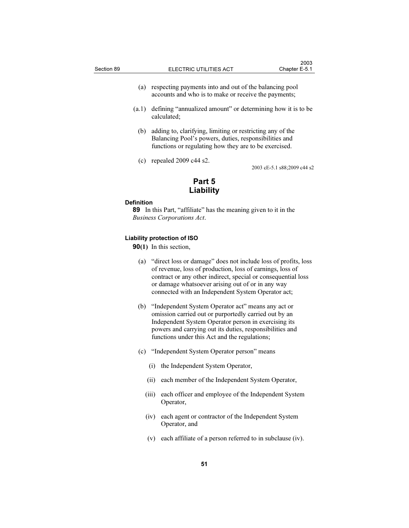- (a) respecting payments into and out of the balancing pool accounts and who is to make or receive the payments;
- (a.1) defining "annualized amount" or determining how it is to be calculated;
	- (b) adding to, clarifying, limiting or restricting any of the Balancing Pool's powers, duties, responsibilities and functions or regulating how they are to be exercised.
	- (c) repealed 2009 c44 s2.

2003 cE-5.1 s88;2009 c44 s2

# Part 5 Liability

#### Definition

89 In this Part, "affiliate" has the meaning given to it in the Business Corporations Act.

## Liability protection of ISO

90(1) In this section,

- (a) "direct loss or damage" does not include loss of profits, loss of revenue, loss of production, loss of earnings, loss of contract or any other indirect, special or consequential loss or damage whatsoever arising out of or in any way connected with an Independent System Operator act;
- (b) "Independent System Operator act" means any act or omission carried out or purportedly carried out by an Independent System Operator person in exercising its powers and carrying out its duties, responsibilities and functions under this Act and the regulations;
- (c) "Independent System Operator person" means
	- (i) the Independent System Operator,
	- (ii) each member of the Independent System Operator,
	- (iii) each officer and employee of the Independent System Operator,
	- (iv) each agent or contractor of the Independent System Operator, and
	- (v) each affiliate of a person referred to in subclause (iv).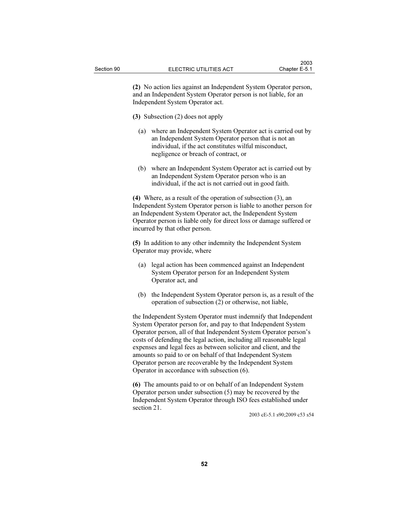(2) No action lies against an Independent System Operator person, and an Independent System Operator person is not liable, for an Independent System Operator act.

(3) Subsection (2) does not apply

- (a) where an Independent System Operator act is carried out by an Independent System Operator person that is not an individual, if the act constitutes wilful misconduct, negligence or breach of contract, or
- (b) where an Independent System Operator act is carried out by an Independent System Operator person who is an individual, if the act is not carried out in good faith.

(4) Where, as a result of the operation of subsection (3), an Independent System Operator person is liable to another person for an Independent System Operator act, the Independent System Operator person is liable only for direct loss or damage suffered or incurred by that other person.

(5) In addition to any other indemnity the Independent System Operator may provide, where

- (a) legal action has been commenced against an Independent System Operator person for an Independent System Operator act, and
- (b) the Independent System Operator person is, as a result of the operation of subsection (2) or otherwise, not liable,

the Independent System Operator must indemnify that Independent System Operator person for, and pay to that Independent System Operator person, all of that Independent System Operator person's costs of defending the legal action, including all reasonable legal expenses and legal fees as between solicitor and client, and the amounts so paid to or on behalf of that Independent System Operator person are recoverable by the Independent System Operator in accordance with subsection (6).

(6) The amounts paid to or on behalf of an Independent System Operator person under subsection (5) may be recovered by the Independent System Operator through ISO fees established under section 21.

2003 cE-5.1 s90;2009 c53 s54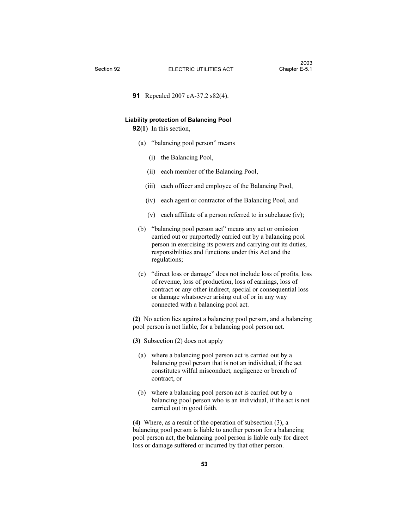91 Repealed 2007 cA-37.2 s82(4).

#### Liability protection of Balancing Pool

92(1) In this section,

- (a) "balancing pool person" means
	- (i) the Balancing Pool,
	- (ii) each member of the Balancing Pool,
	- (iii) each officer and employee of the Balancing Pool,
	- (iv) each agent or contractor of the Balancing Pool, and
	- (v) each affiliate of a person referred to in subclause (iv);
- (b) "balancing pool person act" means any act or omission carried out or purportedly carried out by a balancing pool person in exercising its powers and carrying out its duties, responsibilities and functions under this Act and the regulations;
- (c) "direct loss or damage" does not include loss of profits, loss of revenue, loss of production, loss of earnings, loss of contract or any other indirect, special or consequential loss or damage whatsoever arising out of or in any way connected with a balancing pool act.

(2) No action lies against a balancing pool person, and a balancing pool person is not liable, for a balancing pool person act.

(3) Subsection (2) does not apply

- (a) where a balancing pool person act is carried out by a balancing pool person that is not an individual, if the act constitutes wilful misconduct, negligence or breach of contract, or
- (b) where a balancing pool person act is carried out by a balancing pool person who is an individual, if the act is not carried out in good faith.

(4) Where, as a result of the operation of subsection (3), a balancing pool person is liable to another person for a balancing pool person act, the balancing pool person is liable only for direct loss or damage suffered or incurred by that other person.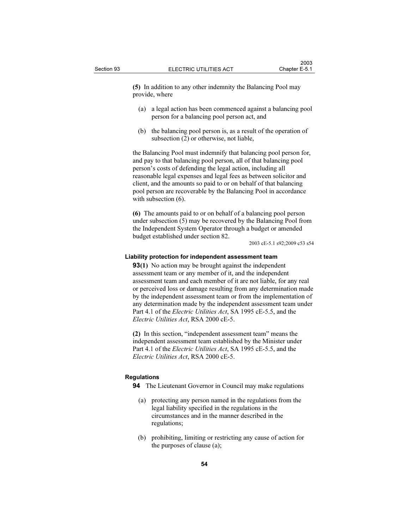(5) In addition to any other indemnity the Balancing Pool may provide, where

- (a) a legal action has been commenced against a balancing pool person for a balancing pool person act, and
- (b) the balancing pool person is, as a result of the operation of subsection (2) or otherwise, not liable,

the Balancing Pool must indemnify that balancing pool person for, and pay to that balancing pool person, all of that balancing pool person's costs of defending the legal action, including all reasonable legal expenses and legal fees as between solicitor and client, and the amounts so paid to or on behalf of that balancing pool person are recoverable by the Balancing Pool in accordance with subsection  $(6)$ .

(6) The amounts paid to or on behalf of a balancing pool person under subsection (5) may be recovered by the Balancing Pool from the Independent System Operator through a budget or amended budget established under section 82.

2003 cE-5.1 s92;2009 c53 s54

## Liability protection for independent assessment team

**93(1)** No action may be brought against the independent assessment team or any member of it, and the independent assessment team and each member of it are not liable, for any real or perceived loss or damage resulting from any determination made by the independent assessment team or from the implementation of any determination made by the independent assessment team under Part 4.1 of the *Electric Utilities Act*, SA 1995 cE-5.5, and the Electric Utilities Act, RSA 2000 cE-5.

(2) In this section, "independent assessment team" means the independent assessment team established by the Minister under Part 4.1 of the *Electric Utilities Act*, SA 1995 cE-5.5, and the Electric Utilities Act, RSA 2000 cE-5.

## Regulations

94 The Lieutenant Governor in Council may make regulations

- (a) protecting any person named in the regulations from the legal liability specified in the regulations in the circumstances and in the manner described in the regulations;
- (b) prohibiting, limiting or restricting any cause of action for the purposes of clause (a);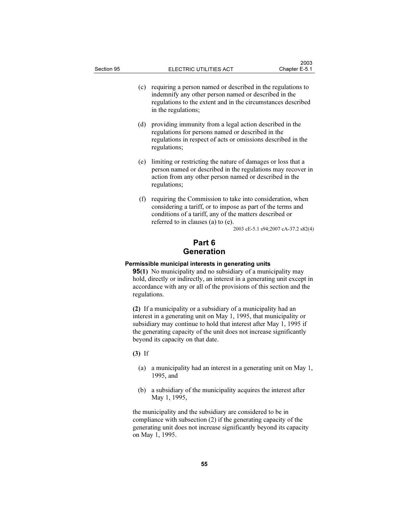- (c) requiring a person named or described in the regulations to indemnify any other person named or described in the regulations to the extent and in the circumstances described in the regulations;
- (d) providing immunity from a legal action described in the regulations for persons named or described in the regulations in respect of acts or omissions described in the regulations;
- (e) limiting or restricting the nature of damages or loss that a person named or described in the regulations may recover in action from any other person named or described in the regulations;
- (f) requiring the Commission to take into consideration, when considering a tariff, or to impose as part of the terms and conditions of a tariff, any of the matters described or referred to in clauses (a) to (e).

2003 cE-5.1 s94;2007 cA-37.2 s82(4)

# Part 6 Generation

## Permissible municipal interests in generating units

95(1) No municipality and no subsidiary of a municipality may hold, directly or indirectly, an interest in a generating unit except in accordance with any or all of the provisions of this section and the regulations.

(2) If a municipality or a subsidiary of a municipality had an interest in a generating unit on May 1, 1995, that municipality or subsidiary may continue to hold that interest after May 1, 1995 if the generating capacity of the unit does not increase significantly beyond its capacity on that date.

(3) If

- (a) a municipality had an interest in a generating unit on May 1, 1995, and
- (b) a subsidiary of the municipality acquires the interest after May 1, 1995,

the municipality and the subsidiary are considered to be in compliance with subsection (2) if the generating capacity of the generating unit does not increase significantly beyond its capacity on May 1, 1995.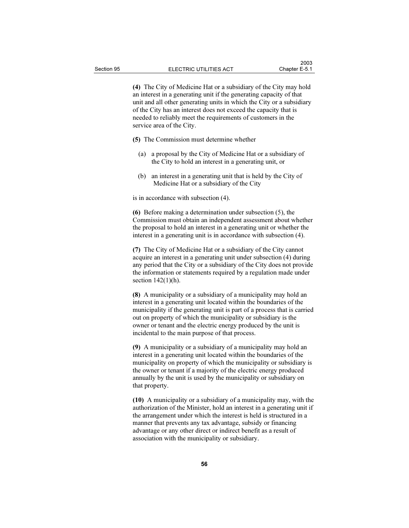(4) The City of Medicine Hat or a subsidiary of the City may hold an interest in a generating unit if the generating capacity of that unit and all other generating units in which the City or a subsidiary of the City has an interest does not exceed the capacity that is needed to reliably meet the requirements of customers in the service area of the City.

- (5) The Commission must determine whether
	- (a) a proposal by the City of Medicine Hat or a subsidiary of the City to hold an interest in a generating unit, or
	- (b) an interest in a generating unit that is held by the City of Medicine Hat or a subsidiary of the City

is in accordance with subsection (4).

(6) Before making a determination under subsection (5), the Commission must obtain an independent assessment about whether the proposal to hold an interest in a generating unit or whether the interest in a generating unit is in accordance with subsection (4).

(7) The City of Medicine Hat or a subsidiary of the City cannot acquire an interest in a generating unit under subsection (4) during any period that the City or a subsidiary of the City does not provide the information or statements required by a regulation made under section  $142(1)(h)$ .

(8) A municipality or a subsidiary of a municipality may hold an interest in a generating unit located within the boundaries of the municipality if the generating unit is part of a process that is carried out on property of which the municipality or subsidiary is the owner or tenant and the electric energy produced by the unit is incidental to the main purpose of that process.

(9) A municipality or a subsidiary of a municipality may hold an interest in a generating unit located within the boundaries of the municipality on property of which the municipality or subsidiary is the owner or tenant if a majority of the electric energy produced annually by the unit is used by the municipality or subsidiary on that property.

(10) A municipality or a subsidiary of a municipality may, with the authorization of the Minister, hold an interest in a generating unit if the arrangement under which the interest is held is structured in a manner that prevents any tax advantage, subsidy or financing advantage or any other direct or indirect benefit as a result of association with the municipality or subsidiary.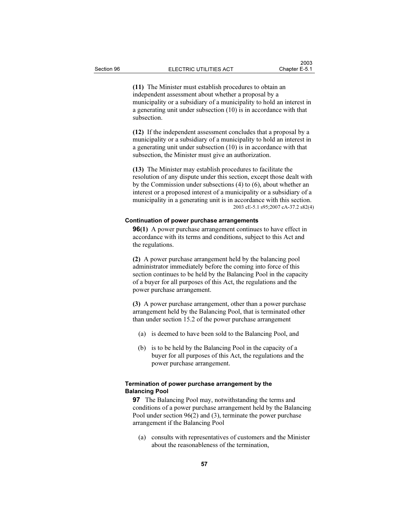(11) The Minister must establish procedures to obtain an independent assessment about whether a proposal by a municipality or a subsidiary of a municipality to hold an interest in a generating unit under subsection (10) is in accordance with that subsection.

(12) If the independent assessment concludes that a proposal by a municipality or a subsidiary of a municipality to hold an interest in a generating unit under subsection (10) is in accordance with that subsection, the Minister must give an authorization.

(13) The Minister may establish procedures to facilitate the resolution of any dispute under this section, except those dealt with by the Commission under subsections (4) to (6), about whether an interest or a proposed interest of a municipality or a subsidiary of a municipality in a generating unit is in accordance with this section. 2003 cE-5.1 s95;2007 cA-37.2 s82(4)

## Continuation of power purchase arrangements

**96(1)** A power purchase arrangement continues to have effect in accordance with its terms and conditions, subject to this Act and the regulations.

(2) A power purchase arrangement held by the balancing pool administrator immediately before the coming into force of this section continues to be held by the Balancing Pool in the capacity of a buyer for all purposes of this Act, the regulations and the power purchase arrangement.

(3) A power purchase arrangement, other than a power purchase arrangement held by the Balancing Pool, that is terminated other than under section 15.2 of the power purchase arrangement

- (a) is deemed to have been sold to the Balancing Pool, and
- (b) is to be held by the Balancing Pool in the capacity of a buyer for all purposes of this Act, the regulations and the power purchase arrangement.

## Termination of power purchase arrangement by the Balancing Pool

**97** The Balancing Pool may, notwithstanding the terms and conditions of a power purchase arrangement held by the Balancing Pool under section 96(2) and (3), terminate the power purchase arrangement if the Balancing Pool

 (a) consults with representatives of customers and the Minister about the reasonableness of the termination,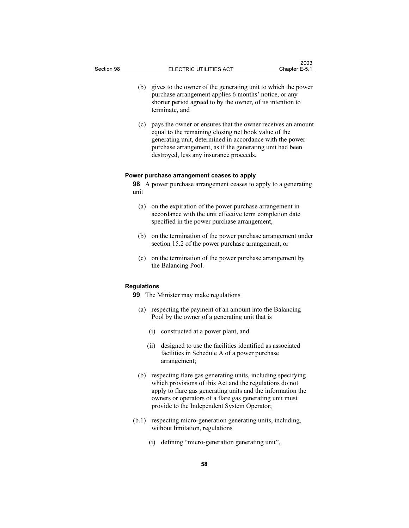- (b) gives to the owner of the generating unit to which the power purchase arrangement applies 6 months' notice, or any shorter period agreed to by the owner, of its intention to terminate, and
- (c) pays the owner or ensures that the owner receives an amount equal to the remaining closing net book value of the generating unit, determined in accordance with the power purchase arrangement, as if the generating unit had been destroyed, less any insurance proceeds.

## Power purchase arrangement ceases to apply

98 A power purchase arrangement ceases to apply to a generating unit

- (a) on the expiration of the power purchase arrangement in accordance with the unit effective term completion date specified in the power purchase arrangement,
- (b) on the termination of the power purchase arrangement under section 15.2 of the power purchase arrangement, or
- (c) on the termination of the power purchase arrangement by the Balancing Pool.

### Regulations

99 The Minister may make regulations

- (a) respecting the payment of an amount into the Balancing Pool by the owner of a generating unit that is
	- (i) constructed at a power plant, and
	- (ii) designed to use the facilities identified as associated facilities in Schedule A of a power purchase arrangement;
- (b) respecting flare gas generating units, including specifying which provisions of this Act and the regulations do not apply to flare gas generating units and the information the owners or operators of a flare gas generating unit must provide to the Independent System Operator;
- (b.1) respecting micro-generation generating units, including, without limitation, regulations
	- (i) defining "micro-generation generating unit",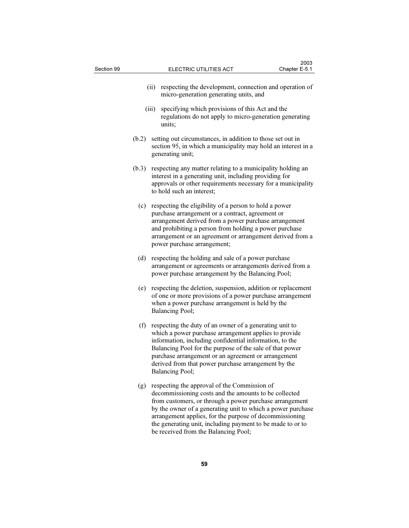| Section 99 |       |      | ELECTRIC UTILITIES ACT                                                                                                                                                                                                                                                                                                                                                   | Chapter E-5.1 |  |
|------------|-------|------|--------------------------------------------------------------------------------------------------------------------------------------------------------------------------------------------------------------------------------------------------------------------------------------------------------------------------------------------------------------------------|---------------|--|
|            |       | (ii) | respecting the development, connection and operation of<br>micro-generation generating units, and                                                                                                                                                                                                                                                                        |               |  |
| (iii)      |       |      | specifying which provisions of this Act and the<br>regulations do not apply to micro-generation generating<br>units;                                                                                                                                                                                                                                                     |               |  |
|            | (b.2) |      | setting out circumstances, in addition to those set out in<br>section 95, in which a municipality may hold an interest in a<br>generating unit;                                                                                                                                                                                                                          |               |  |
| (b.3)      |       |      | respecting any matter relating to a municipality holding an<br>interest in a generating unit, including providing for<br>approvals or other requirements necessary for a municipality<br>to hold such an interest;                                                                                                                                                       |               |  |
|            | (c)   |      | respecting the eligibility of a person to hold a power<br>purchase arrangement or a contract, agreement or<br>arrangement derived from a power purchase arrangement<br>and prohibiting a person from holding a power purchase<br>arrangement or an agreement or arrangement derived from a<br>power purchase arrangement;                                                |               |  |
|            | (d)   |      | respecting the holding and sale of a power purchase<br>arrangement or agreements or arrangements derived from a<br>power purchase arrangement by the Balancing Pool;                                                                                                                                                                                                     |               |  |
|            | (e)   |      | respecting the deletion, suspension, addition or replacement<br>of one or more provisions of a power purchase arrangement<br>when a power purchase arrangement is held by the<br>Balancing Pool;                                                                                                                                                                         |               |  |
|            | (f)   |      | respecting the duty of an owner of a generating unit to<br>which a power purchase arrangement applies to provide<br>information, including confidential information, to the<br>Balancing Pool for the purpose of the sale of that power<br>purchase arrangement or an agreement or arrangement<br>derived from that power purchase arrangement by the<br>Balancing Pool; |               |  |
|            | (g)   |      | respecting the approval of the Commission of<br>decommissioning costs and the amounts to be collected<br>from customers, or through a power purchase arrangement<br>by the owner of a generating unit to which a power purchase<br>arrangement applies, for the purpose of decommissioning<br>the generating unit, including payment to be made to or to                 |               |  |

 $2003$ 

59

be received from the Balancing Pool;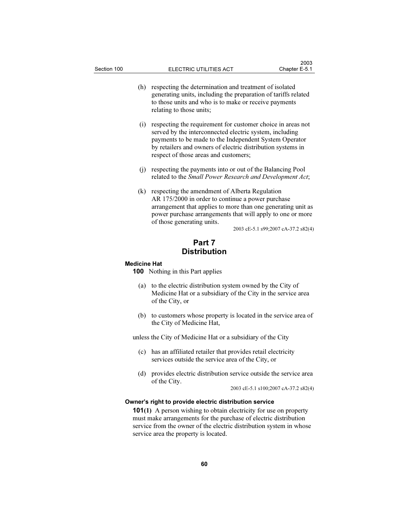- (h) respecting the determination and treatment of isolated generating units, including the preparation of tariffs related to those units and who is to make or receive payments relating to those units;
- (i) respecting the requirement for customer choice in areas not served by the interconnected electric system, including payments to be made to the Independent System Operator by retailers and owners of electric distribution systems in respect of those areas and customers;
- (j) respecting the payments into or out of the Balancing Pool related to the Small Power Research and Development Act;
- (k) respecting the amendment of Alberta Regulation AR 175/2000 in order to continue a power purchase arrangement that applies to more than one generating unit as power purchase arrangements that will apply to one or more of those generating units.

2003 cE-5.1 s99;2007 cA-37.2 s82(4)

# Part 7 **Distribution**

#### Medicine Hat

100 Nothing in this Part applies

- (a) to the electric distribution system owned by the City of Medicine Hat or a subsidiary of the City in the service area of the City, or
- (b) to customers whose property is located in the service area of the City of Medicine Hat,

unless the City of Medicine Hat or a subsidiary of the City

- (c) has an affiliated retailer that provides retail electricity services outside the service area of the City, or
- (d) provides electric distribution service outside the service area of the City.

2003 cE-5.1 s100;2007 cA-37.2 s82(4)

## Owner's right to provide electric distribution service

101(1) A person wishing to obtain electricity for use on property must make arrangements for the purchase of electric distribution service from the owner of the electric distribution system in whose service area the property is located.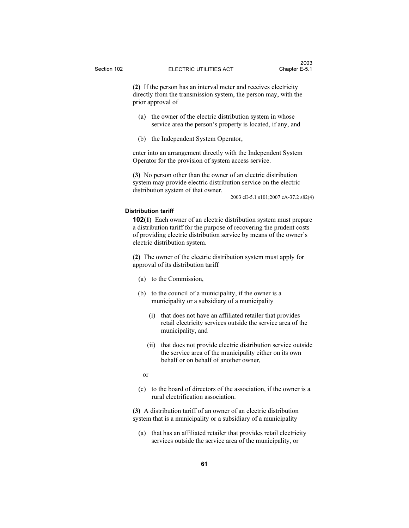(2) If the person has an interval meter and receives electricity directly from the transmission system, the person may, with the prior approval of

- (a) the owner of the electric distribution system in whose service area the person's property is located, if any, and
- (b) the Independent System Operator,

enter into an arrangement directly with the Independent System Operator for the provision of system access service.

(3) No person other than the owner of an electric distribution system may provide electric distribution service on the electric distribution system of that owner.

2003 cE-5.1 s101;2007 cA-37.2 s82(4)

### Distribution tariff

102(1) Each owner of an electric distribution system must prepare a distribution tariff for the purpose of recovering the prudent costs of providing electric distribution service by means of the owner's electric distribution system.

(2) The owner of the electric distribution system must apply for approval of its distribution tariff

- (a) to the Commission,
- (b) to the council of a municipality, if the owner is a municipality or a subsidiary of a municipality
	- (i) that does not have an affiliated retailer that provides retail electricity services outside the service area of the municipality, and
	- (ii) that does not provide electric distribution service outside the service area of the municipality either on its own behalf or on behalf of another owner,

or

 (c) to the board of directors of the association, if the owner is a rural electrification association.

(3) A distribution tariff of an owner of an electric distribution system that is a municipality or a subsidiary of a municipality

 (a) that has an affiliated retailer that provides retail electricity services outside the service area of the municipality, or

61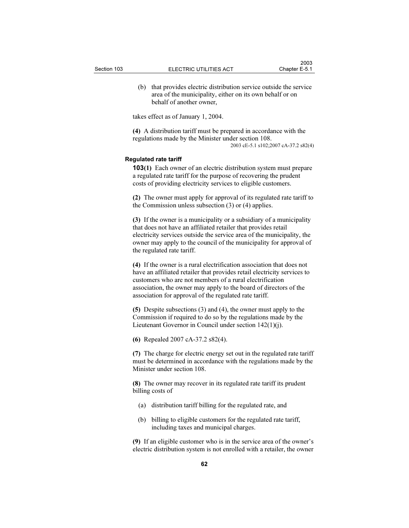(b) that provides electric distribution service outside the service area of the municipality, either on its own behalf or on behalf of another owner,

takes effect as of January 1, 2004.

(4) A distribution tariff must be prepared in accordance with the regulations made by the Minister under section 108. 2003 cE-5.1 s102;2007 cA-37.2 s82(4)

#### Regulated rate tariff

103(1) Each owner of an electric distribution system must prepare a regulated rate tariff for the purpose of recovering the prudent costs of providing electricity services to eligible customers.

(2) The owner must apply for approval of its regulated rate tariff to the Commission unless subsection (3) or (4) applies.

(3) If the owner is a municipality or a subsidiary of a municipality that does not have an affiliated retailer that provides retail electricity services outside the service area of the municipality, the owner may apply to the council of the municipality for approval of the regulated rate tariff.

(4) If the owner is a rural electrification association that does not have an affiliated retailer that provides retail electricity services to customers who are not members of a rural electrification association, the owner may apply to the board of directors of the association for approval of the regulated rate tariff.

(5) Despite subsections (3) and (4), the owner must apply to the Commission if required to do so by the regulations made by the Lieutenant Governor in Council under section 142(1)(j).

(6) Repealed 2007 cA-37.2 s82(4).

(7) The charge for electric energy set out in the regulated rate tariff must be determined in accordance with the regulations made by the Minister under section 108.

(8) The owner may recover in its regulated rate tariff its prudent billing costs of

- (a) distribution tariff billing for the regulated rate, and
- (b) billing to eligible customers for the regulated rate tariff, including taxes and municipal charges.

(9) If an eligible customer who is in the service area of the owner's electric distribution system is not enrolled with a retailer, the owner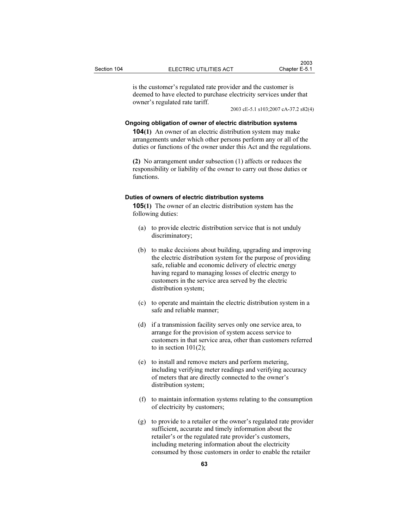is the customer's regulated rate provider and the customer is deemed to have elected to purchase electricity services under that owner's regulated rate tariff.

2003 cE-5.1 s103;2007 cA-37.2 s82(4)

#### Ongoing obligation of owner of electric distribution systems

104(1) An owner of an electric distribution system may make arrangements under which other persons perform any or all of the duties or functions of the owner under this Act and the regulations.

(2) No arrangement under subsection (1) affects or reduces the responsibility or liability of the owner to carry out those duties or functions.

## Duties of owners of electric distribution systems

105(1) The owner of an electric distribution system has the following duties:

- (a) to provide electric distribution service that is not unduly discriminatory;
- (b) to make decisions about building, upgrading and improving the electric distribution system for the purpose of providing safe, reliable and economic delivery of electric energy having regard to managing losses of electric energy to customers in the service area served by the electric distribution system;
- (c) to operate and maintain the electric distribution system in a safe and reliable manner;
- (d) if a transmission facility serves only one service area, to arrange for the provision of system access service to customers in that service area, other than customers referred to in section  $101(2)$ ;
- (e) to install and remove meters and perform metering, including verifying meter readings and verifying accuracy of meters that are directly connected to the owner's distribution system;
- (f) to maintain information systems relating to the consumption of electricity by customers;
- (g) to provide to a retailer or the owner's regulated rate provider sufficient, accurate and timely information about the retailer's or the regulated rate provider's customers, including metering information about the electricity consumed by those customers in order to enable the retailer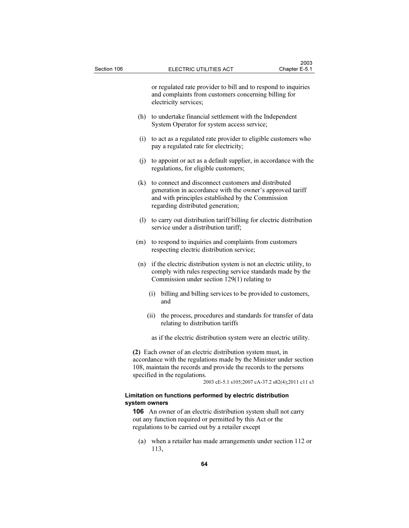or regulated rate provider to bill and to respond to inquiries and complaints from customers concerning billing for electricity services;

- (h) to undertake financial settlement with the Independent System Operator for system access service;
- (i) to act as a regulated rate provider to eligible customers who pay a regulated rate for electricity;
- (j) to appoint or act as a default supplier, in accordance with the regulations, for eligible customers;
- (k) to connect and disconnect customers and distributed generation in accordance with the owner's approved tariff and with principles established by the Commission regarding distributed generation;
- (l) to carry out distribution tariff billing for electric distribution service under a distribution tariff;
- (m) to respond to inquiries and complaints from customers respecting electric distribution service;
- (n) if the electric distribution system is not an electric utility, to comply with rules respecting service standards made by the Commission under section 129(1) relating to
	- (i) billing and billing services to be provided to customers, and
	- (ii) the process, procedures and standards for transfer of data relating to distribution tariffs
	- as if the electric distribution system were an electric utility.

(2) Each owner of an electric distribution system must, in accordance with the regulations made by the Minister under section 108, maintain the records and provide the records to the persons specified in the regulations.

2003 cE-5.1 s105;2007 cA-37.2 s82(4);2011 c11 s3

## Limitation on functions performed by electric distribution system owners

106 An owner of an electric distribution system shall not carry out any function required or permitted by this Act or the regulations to be carried out by a retailer except

 (a) when a retailer has made arrangements under section 112 or 113,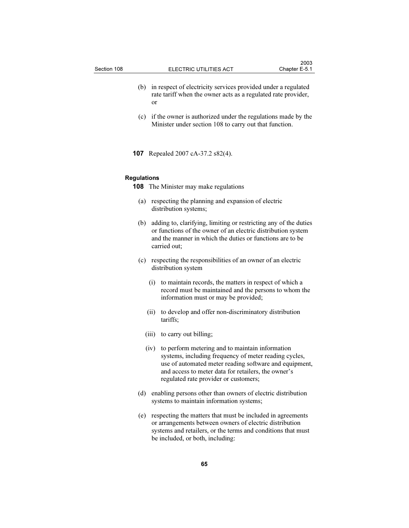- (b) in respect of electricity services provided under a regulated rate tariff when the owner acts as a regulated rate provider, or
- (c) if the owner is authorized under the regulations made by the Minister under section 108 to carry out that function.
- 107 Repealed 2007 cA-37.2 s82(4).

## Regulations

- 108 The Minister may make regulations
	- (a) respecting the planning and expansion of electric distribution systems;
	- (b) adding to, clarifying, limiting or restricting any of the duties or functions of the owner of an electric distribution system and the manner in which the duties or functions are to be carried out;
	- (c) respecting the responsibilities of an owner of an electric distribution system
		- (i) to maintain records, the matters in respect of which a record must be maintained and the persons to whom the information must or may be provided;
		- (ii) to develop and offer non-discriminatory distribution tariffs;
		- (iii) to carry out billing;
		- (iv) to perform metering and to maintain information systems, including frequency of meter reading cycles, use of automated meter reading software and equipment, and access to meter data for retailers, the owner's regulated rate provider or customers;
	- (d) enabling persons other than owners of electric distribution systems to maintain information systems;
	- (e) respecting the matters that must be included in agreements or arrangements between owners of electric distribution systems and retailers, or the terms and conditions that must be included, or both, including: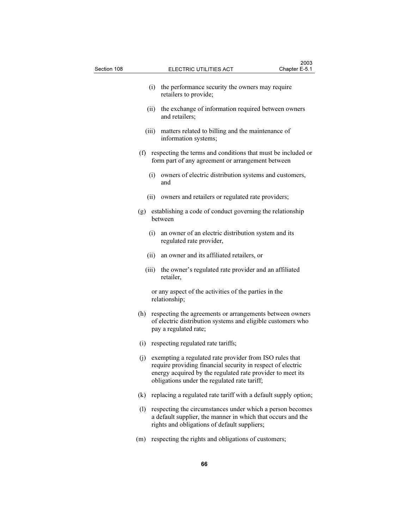| Section 108 |     |      | ELECTRIC UTILITIES ACT                                                                                                                                                                                                               | Chapter E-5.1 |  |  |
|-------------|-----|------|--------------------------------------------------------------------------------------------------------------------------------------------------------------------------------------------------------------------------------------|---------------|--|--|
|             |     | (i)  | the performance security the owners may require<br>retailers to provide;                                                                                                                                                             |               |  |  |
| (iii)       |     |      | (ii) the exchange of information required between owners<br>and retailers;                                                                                                                                                           |               |  |  |
|             |     |      | matters related to billing and the maintenance of<br>information systems;                                                                                                                                                            |               |  |  |
|             |     |      | (f) respecting the terms and conditions that must be included or<br>form part of any agreement or arrangement between                                                                                                                |               |  |  |
|             |     | (i)  | owners of electric distribution systems and customers,<br>and                                                                                                                                                                        |               |  |  |
|             |     |      | (ii) owners and retailers or regulated rate providers;                                                                                                                                                                               |               |  |  |
|             |     |      | (g) establishing a code of conduct governing the relationship<br>between                                                                                                                                                             |               |  |  |
|             |     | (i)  | an owner of an electric distribution system and its<br>regulated rate provider,                                                                                                                                                      |               |  |  |
|             |     | (ii) | an owner and its affiliated retailers, or                                                                                                                                                                                            |               |  |  |
|             |     |      | (iii) the owner's regulated rate provider and an affiliated<br>retailer,                                                                                                                                                             |               |  |  |
|             |     |      | or any aspect of the activities of the parties in the<br>relationship;                                                                                                                                                               |               |  |  |
|             | (h) |      | respecting the agreements or arrangements between owners<br>of electric distribution systems and eligible customers who<br>pay a regulated rate;                                                                                     |               |  |  |
|             |     |      | (i) respecting regulated rate tariffs;                                                                                                                                                                                               |               |  |  |
|             | (i) |      | exempting a regulated rate provider from ISO rules that<br>require providing financial security in respect of electric<br>energy acquired by the regulated rate provider to meet its<br>obligations under the regulated rate tariff; |               |  |  |
|             | (k) |      | replacing a regulated rate tariff with a default supply option;                                                                                                                                                                      |               |  |  |
|             | (1) |      | respecting the circumstances under which a person becomes<br>a default supplier, the manner in which that occurs and the<br>rights and obligations of default suppliers;                                                             |               |  |  |
|             | (m) |      | respecting the rights and obligations of customers;                                                                                                                                                                                  |               |  |  |

 $2003$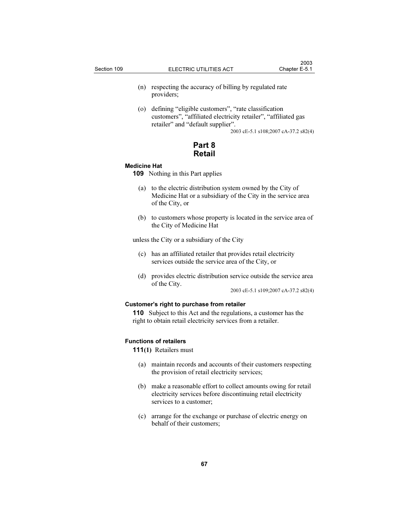- (n) respecting the accuracy of billing by regulated rate providers;
- (o) defining "eligible customers", "rate classification customers", "affiliated electricity retailer", "affiliated gas retailer" and "default supplier".

2003 cE-5.1 s108;2007 cA-37.2 s82(4)

Part 8 Retail

## Medicine Hat

109 Nothing in this Part applies

- (a) to the electric distribution system owned by the City of Medicine Hat or a subsidiary of the City in the service area of the City, or
- (b) to customers whose property is located in the service area of the City of Medicine Hat

unless the City or a subsidiary of the City

- (c) has an affiliated retailer that provides retail electricity services outside the service area of the City, or
- (d) provides electric distribution service outside the service area of the City.

2003 cE-5.1 s109;2007 cA-37.2 s82(4)

## Customer's right to purchase from retailer

110 Subject to this Act and the regulations, a customer has the right to obtain retail electricity services from a retailer.

## Functions of retailers

111(1) Retailers must

- (a) maintain records and accounts of their customers respecting the provision of retail electricity services;
- (b) make a reasonable effort to collect amounts owing for retail electricity services before discontinuing retail electricity services to a customer;
- (c) arrange for the exchange or purchase of electric energy on behalf of their customers;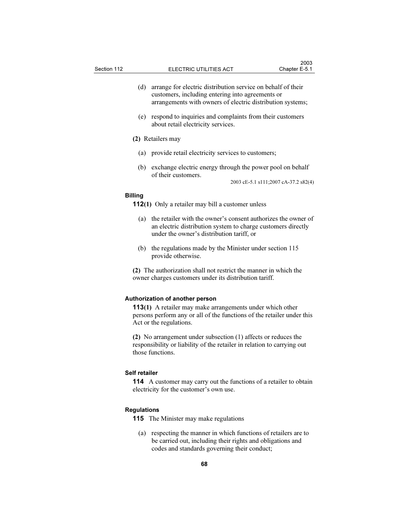- (d) arrange for electric distribution service on behalf of their customers, including entering into agreements or arrangements with owners of electric distribution systems;
- (e) respond to inquiries and complaints from their customers about retail electricity services.

## (2) Retailers may

- (a) provide retail electricity services to customers;
- (b) exchange electric energy through the power pool on behalf of their customers.

2003 cE-5.1 s111;2007 cA-37.2 s82(4)

## Billing

- 112(1) Only a retailer may bill a customer unless
	- (a) the retailer with the owner's consent authorizes the owner of an electric distribution system to charge customers directly under the owner's distribution tariff, or
	- (b) the regulations made by the Minister under section 115 provide otherwise.

(2) The authorization shall not restrict the manner in which the owner charges customers under its distribution tariff.

### Authorization of another person

113(1) A retailer may make arrangements under which other persons perform any or all of the functions of the retailer under this Act or the regulations.

(2) No arrangement under subsection (1) affects or reduces the responsibility or liability of the retailer in relation to carrying out those functions.

### Self retailer

114 A customer may carry out the functions of a retailer to obtain electricity for the customer's own use.

## Regulations

- 115 The Minister may make regulations
	- (a) respecting the manner in which functions of retailers are to be carried out, including their rights and obligations and codes and standards governing their conduct;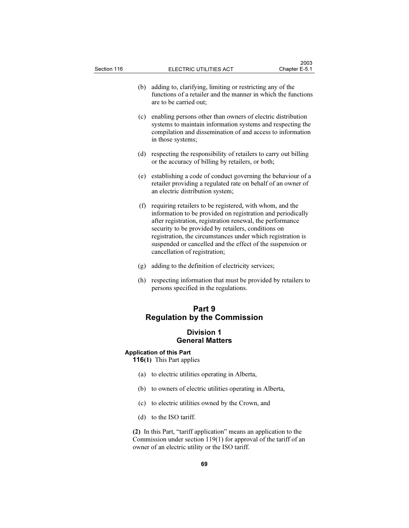- (b) adding to, clarifying, limiting or restricting any of the functions of a retailer and the manner in which the functions are to be carried out;
- (c) enabling persons other than owners of electric distribution systems to maintain information systems and respecting the compilation and dissemination of and access to information in those systems;
- (d) respecting the responsibility of retailers to carry out billing or the accuracy of billing by retailers, or both;
- (e) establishing a code of conduct governing the behaviour of a retailer providing a regulated rate on behalf of an owner of an electric distribution system;
- (f) requiring retailers to be registered, with whom, and the information to be provided on registration and periodically after registration, registration renewal, the performance security to be provided by retailers, conditions on registration, the circumstances under which registration is suspended or cancelled and the effect of the suspension or cancellation of registration;
- (g) adding to the definition of electricity services;
- (h) respecting information that must be provided by retailers to persons specified in the regulations.

# Part 9 Regulation by the Commission

# Division 1 General Matters

# Application of this Part

116(1) This Part applies

- (a) to electric utilities operating in Alberta,
- (b) to owners of electric utilities operating in Alberta,
- (c) to electric utilities owned by the Crown, and
- (d) to the ISO tariff.

(2) In this Part, "tariff application" means an application to the Commission under section 119(1) for approval of the tariff of an owner of an electric utility or the ISO tariff.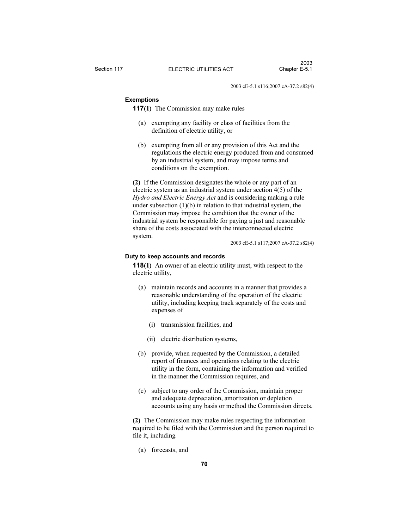2003 cE-5.1 s116;2007 cA-37.2 s82(4)

#### Exemptions

117(1) The Commission may make rules

- (a) exempting any facility or class of facilities from the definition of electric utility, or
- (b) exempting from all or any provision of this Act and the regulations the electric energy produced from and consumed by an industrial system, and may impose terms and conditions on the exemption.

(2) If the Commission designates the whole or any part of an electric system as an industrial system under section 4(5) of the Hydro and Electric Energy Act and is considering making a rule under subsection  $(1)(b)$  in relation to that industrial system, the Commission may impose the condition that the owner of the industrial system be responsible for paying a just and reasonable share of the costs associated with the interconnected electric system.

2003 cE-5.1 s117;2007 cA-37.2 s82(4)

#### Duty to keep accounts and records

118(1) An owner of an electric utility must, with respect to the electric utility,

- (a) maintain records and accounts in a manner that provides a reasonable understanding of the operation of the electric utility, including keeping track separately of the costs and expenses of
	- (i) transmission facilities, and
	- (ii) electric distribution systems,
- (b) provide, when requested by the Commission, a detailed report of finances and operations relating to the electric utility in the form, containing the information and verified in the manner the Commission requires, and
- (c) subject to any order of the Commission, maintain proper and adequate depreciation, amortization or depletion accounts using any basis or method the Commission directs.

(2) The Commission may make rules respecting the information required to be filed with the Commission and the person required to file it, including

(a) forecasts, and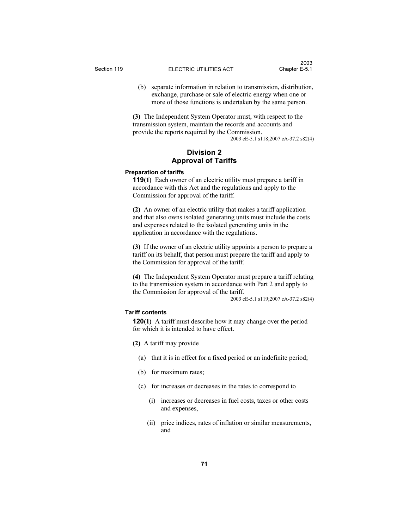(b) separate information in relation to transmission, distribution, exchange, purchase or sale of electric energy when one or more of those functions is undertaken by the same person.

(3) The Independent System Operator must, with respect to the transmission system, maintain the records and accounts and provide the reports required by the Commission.

2003 cE-5.1 s118;2007 cA-37.2 s82(4)

# Division 2 Approval of Tariffs

#### Preparation of tariffs

119(1) Each owner of an electric utility must prepare a tariff in accordance with this Act and the regulations and apply to the Commission for approval of the tariff.

(2) An owner of an electric utility that makes a tariff application and that also owns isolated generating units must include the costs and expenses related to the isolated generating units in the application in accordance with the regulations.

(3) If the owner of an electric utility appoints a person to prepare a tariff on its behalf, that person must prepare the tariff and apply to the Commission for approval of the tariff.

(4) The Independent System Operator must prepare a tariff relating to the transmission system in accordance with Part 2 and apply to the Commission for approval of the tariff.

2003 cE-5.1 s119;2007 cA-37.2 s82(4)

## Tariff contents

120(1) A tariff must describe how it may change over the period for which it is intended to have effect.

- (2) A tariff may provide
	- (a) that it is in effect for a fixed period or an indefinite period;
	- (b) for maximum rates;
	- (c) for increases or decreases in the rates to correspond to
		- (i) increases or decreases in fuel costs, taxes or other costs and expenses,
		- (ii) price indices, rates of inflation or similar measurements, and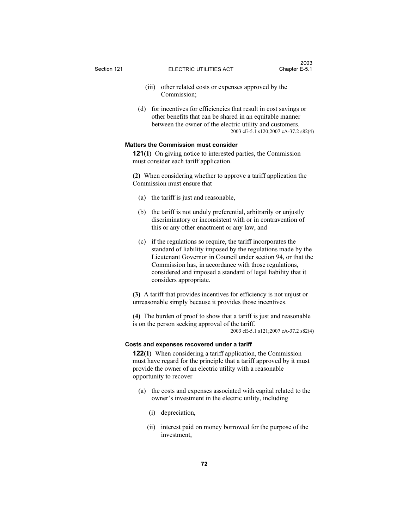- (iii) other related costs or expenses approved by the Commission;
- (d) for incentives for efficiencies that result in cost savings or other benefits that can be shared in an equitable manner between the owner of the electric utility and customers. 2003 cE-5.1 s120;2007 cA-37.2 s82(4)

## Matters the Commission must consider

121(1) On giving notice to interested parties, the Commission must consider each tariff application.

(2) When considering whether to approve a tariff application the Commission must ensure that

- (a) the tariff is just and reasonable,
- (b) the tariff is not unduly preferential, arbitrarily or unjustly discriminatory or inconsistent with or in contravention of this or any other enactment or any law, and
- (c) if the regulations so require, the tariff incorporates the standard of liability imposed by the regulations made by the Lieutenant Governor in Council under section 94, or that the Commission has, in accordance with those regulations, considered and imposed a standard of legal liability that it considers appropriate.

(3) A tariff that provides incentives for efficiency is not unjust or unreasonable simply because it provides those incentives.

(4) The burden of proof to show that a tariff is just and reasonable is on the person seeking approval of the tariff. 2003 cE-5.1 s121;2007 cA-37.2 s82(4)

## Costs and expenses recovered under a tariff

122(1) When considering a tariff application, the Commission must have regard for the principle that a tariff approved by it must provide the owner of an electric utility with a reasonable opportunity to recover

- (a) the costs and expenses associated with capital related to the owner's investment in the electric utility, including
	- (i) depreciation,
	- (ii) interest paid on money borrowed for the purpose of the investment,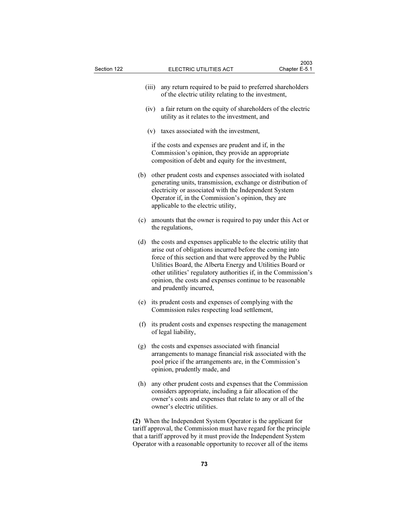| Section 122 |      |                                                                                                                                                                 | Chapter E-5.1                                                                                                                                                                                                                                                                                                                                                                                                     |  |  |  |  |
|-------------|------|-----------------------------------------------------------------------------------------------------------------------------------------------------------------|-------------------------------------------------------------------------------------------------------------------------------------------------------------------------------------------------------------------------------------------------------------------------------------------------------------------------------------------------------------------------------------------------------------------|--|--|--|--|
|             |      | (iii)                                                                                                                                                           | any return required to be paid to preferred shareholders<br>of the electric utility relating to the investment,                                                                                                                                                                                                                                                                                                   |  |  |  |  |
|             | (iv) |                                                                                                                                                                 | a fair return on the equity of shareholders of the electric<br>utility as it relates to the investment, and                                                                                                                                                                                                                                                                                                       |  |  |  |  |
|             |      |                                                                                                                                                                 | (v) taxes associated with the investment,                                                                                                                                                                                                                                                                                                                                                                         |  |  |  |  |
|             |      | if the costs and expenses are prudent and if, in the<br>Commission's opinion, they provide an appropriate<br>composition of debt and equity for the investment, |                                                                                                                                                                                                                                                                                                                                                                                                                   |  |  |  |  |
| (b)         |      |                                                                                                                                                                 | other prudent costs and expenses associated with isolated<br>generating units, transmission, exchange or distribution of<br>electricity or associated with the Independent System<br>Operator if, in the Commission's opinion, they are<br>applicable to the electric utility,                                                                                                                                    |  |  |  |  |
| (c)<br>(d)  |      |                                                                                                                                                                 | amounts that the owner is required to pay under this Act or<br>the regulations,                                                                                                                                                                                                                                                                                                                                   |  |  |  |  |
|             |      |                                                                                                                                                                 | the costs and expenses applicable to the electric utility that<br>arise out of obligations incurred before the coming into<br>force of this section and that were approved by the Public<br>Utilities Board, the Alberta Energy and Utilities Board or<br>other utilities' regulatory authorities if, in the Commission's<br>opinion, the costs and expenses continue to be reasonable<br>and prudently incurred, |  |  |  |  |
|             | (e)  |                                                                                                                                                                 | its prudent costs and expenses of complying with the<br>Commission rules respecting load settlement,                                                                                                                                                                                                                                                                                                              |  |  |  |  |
| (f)         |      | its prudent costs and expenses respecting the management<br>of legal liability,                                                                                 |                                                                                                                                                                                                                                                                                                                                                                                                                   |  |  |  |  |
|             | (g)  |                                                                                                                                                                 | the costs and expenses associated with financial<br>arrangements to manage financial risk associated with the<br>pool price if the arrangements are, in the Commission's<br>opinion, prudently made, and                                                                                                                                                                                                          |  |  |  |  |
|             | (h)  |                                                                                                                                                                 | any other prudent costs and expenses that the Commission<br>considers appropriate, including a fair allocation of the<br>owner's costs and expenses that relate to any or all of the<br>owner's electric utilities.                                                                                                                                                                                               |  |  |  |  |
|             |      |                                                                                                                                                                 | (2) When the Independent System Operator is the applicant for<br>tariff approval, the Commission must have regard for the principle<br>that a tariff approved by it must provide the Independent System                                                                                                                                                                                                           |  |  |  |  |

 $2003$ 

Operator with a reasonable opportunity to recover all of the items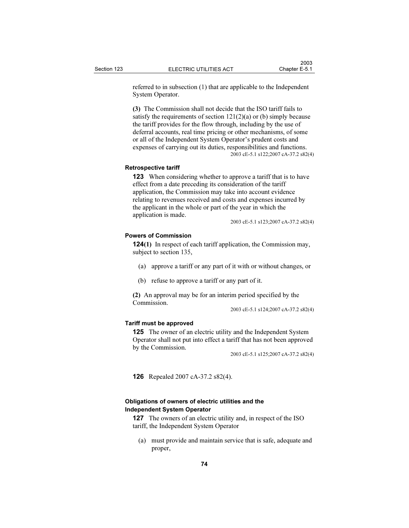referred to in subsection (1) that are applicable to the Independent System Operator.

(3) The Commission shall not decide that the ISO tariff fails to satisfy the requirements of section  $121(2)(a)$  or (b) simply because the tariff provides for the flow through, including by the use of deferral accounts, real time pricing or other mechanisms, of some or all of the Independent System Operator's prudent costs and expenses of carrying out its duties, responsibilities and functions. 2003 cE-5.1 s122;2007 cA-37.2 s82(4)

#### Retrospective tariff

123 When considering whether to approve a tariff that is to have effect from a date preceding its consideration of the tariff application, the Commission may take into account evidence relating to revenues received and costs and expenses incurred by the applicant in the whole or part of the year in which the application is made.

2003 cE-5.1 s123;2007 cA-37.2 s82(4)

# Powers of Commission

124(1) In respect of each tariff application, the Commission may, subject to section 135,

- (a) approve a tariff or any part of it with or without changes, or
- (b) refuse to approve a tariff or any part of it.

(2) An approval may be for an interim period specified by the Commission.

2003 cE-5.1 s124;2007 cA-37.2 s82(4)

#### Tariff must be approved

125 The owner of an electric utility and the Independent System Operator shall not put into effect a tariff that has not been approved by the Commission.

2003 cE-5.1 s125;2007 cA-37.2 s82(4)

126 Repealed 2007 cA-37.2 s82(4).

# Obligations of owners of electric utilities and the Independent System Operator

127 The owners of an electric utility and, in respect of the ISO tariff, the Independent System Operator

 (a) must provide and maintain service that is safe, adequate and proper,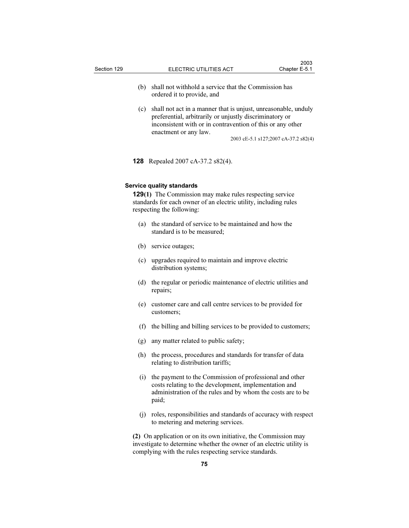- (b) shall not withhold a service that the Commission has ordered it to provide, and
- (c) shall not act in a manner that is unjust, unreasonable, unduly preferential, arbitrarily or unjustly discriminatory or inconsistent with or in contravention of this or any other enactment or any law.

2003 cE-5.1 s127;2007 cA-37.2 s82(4)

128 Repealed 2007 cA-37.2 s82(4).

## Service quality standards

129(1) The Commission may make rules respecting service standards for each owner of an electric utility, including rules respecting the following:

- (a) the standard of service to be maintained and how the standard is to be measured;
- (b) service outages;
- (c) upgrades required to maintain and improve electric distribution systems;
- (d) the regular or periodic maintenance of electric utilities and repairs;
- (e) customer care and call centre services to be provided for customers;
- (f) the billing and billing services to be provided to customers;
- (g) any matter related to public safety;
- (h) the process, procedures and standards for transfer of data relating to distribution tariffs;
- (i) the payment to the Commission of professional and other costs relating to the development, implementation and administration of the rules and by whom the costs are to be paid;
- (j) roles, responsibilities and standards of accuracy with respect to metering and metering services.

(2) On application or on its own initiative, the Commission may investigate to determine whether the owner of an electric utility is complying with the rules respecting service standards.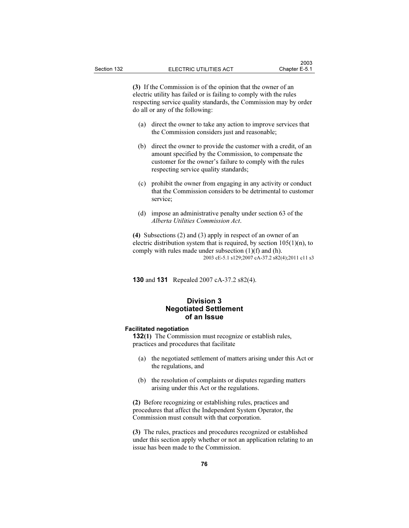(3) If the Commission is of the opinion that the owner of an electric utility has failed or is failing to comply with the rules respecting service quality standards, the Commission may by order do all or any of the following:

- (a) direct the owner to take any action to improve services that the Commission considers just and reasonable;
- (b) direct the owner to provide the customer with a credit, of an amount specified by the Commission, to compensate the customer for the owner's failure to comply with the rules respecting service quality standards;
- (c) prohibit the owner from engaging in any activity or conduct that the Commission considers to be detrimental to customer service;
- (d) impose an administrative penalty under section 63 of the Alberta Utilities Commission Act.

(4) Subsections (2) and (3) apply in respect of an owner of an electric distribution system that is required, by section  $105(1)(n)$ , to comply with rules made under subsection  $(1)(f)$  and  $(h)$ . 2003 cE-5.1 s129;2007 cA-37.2 s82(4);2011 c11 s3

130 and 131 Repealed 2007 cA-37.2 s82(4).

# Division 3 Negotiated Settlement of an Issue

## Facilitated negotiation

132(1) The Commission must recognize or establish rules, practices and procedures that facilitate

- (a) the negotiated settlement of matters arising under this Act or the regulations, and
- (b) the resolution of complaints or disputes regarding matters arising under this Act or the regulations.

(2) Before recognizing or establishing rules, practices and procedures that affect the Independent System Operator, the Commission must consult with that corporation.

(3) The rules, practices and procedures recognized or established under this section apply whether or not an application relating to an issue has been made to the Commission.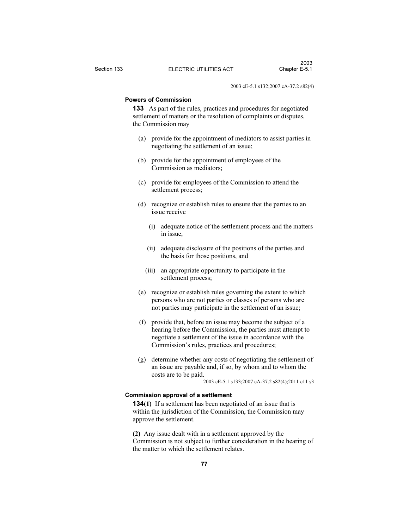2003 cE-5.1 s132;2007 cA-37.2 s82(4)

#### Powers of Commission

133 As part of the rules, practices and procedures for negotiated settlement of matters or the resolution of complaints or disputes, the Commission may

- (a) provide for the appointment of mediators to assist parties in negotiating the settlement of an issue;
- (b) provide for the appointment of employees of the Commission as mediators;
- (c) provide for employees of the Commission to attend the settlement process;
- (d) recognize or establish rules to ensure that the parties to an issue receive
	- (i) adequate notice of the settlement process and the matters in issue,
	- (ii) adequate disclosure of the positions of the parties and the basis for those positions, and
	- (iii) an appropriate opportunity to participate in the settlement process;
- (e) recognize or establish rules governing the extent to which persons who are not parties or classes of persons who are not parties may participate in the settlement of an issue;
- (f) provide that, before an issue may become the subject of a hearing before the Commission, the parties must attempt to negotiate a settlement of the issue in accordance with the Commission's rules, practices and procedures;
- (g) determine whether any costs of negotiating the settlement of an issue are payable and, if so, by whom and to whom the costs are to be paid.

2003 cE-5.1 s133;2007 cA-37.2 s82(4);2011 c11 s3

# Commission approval of a settlement

134(1) If a settlement has been negotiated of an issue that is within the jurisdiction of the Commission, the Commission may approve the settlement.

(2) Any issue dealt with in a settlement approved by the Commission is not subject to further consideration in the hearing of the matter to which the settlement relates.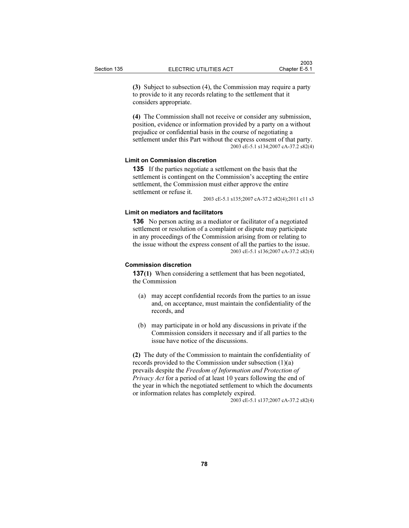(3) Subject to subsection (4), the Commission may require a party to provide to it any records relating to the settlement that it considers appropriate.

(4) The Commission shall not receive or consider any submission, position, evidence or information provided by a party on a without prejudice or confidential basis in the course of negotiating a settlement under this Part without the express consent of that party. 2003 cE-5.1 s134;2007 cA-37.2 s82(4)

#### Limit on Commission discretion

135 If the parties negotiate a settlement on the basis that the settlement is contingent on the Commission's accepting the entire settlement, the Commission must either approve the entire settlement or refuse it.

2003 cE-5.1 s135;2007 cA-37.2 s82(4);2011 c11 s3

### Limit on mediators and facilitators

136 No person acting as a mediator or facilitator of a negotiated settlement or resolution of a complaint or dispute may participate in any proceedings of the Commission arising from or relating to the issue without the express consent of all the parties to the issue. 2003 cE-5.1 s136;2007 cA-37.2 s82(4)

# Commission discretion

137(1) When considering a settlement that has been negotiated, the Commission

- (a) may accept confidential records from the parties to an issue and, on acceptance, must maintain the confidentiality of the records, and
- (b) may participate in or hold any discussions in private if the Commission considers it necessary and if all parties to the issue have notice of the discussions.

(2) The duty of the Commission to maintain the confidentiality of records provided to the Commission under subsection (1)(a) prevails despite the Freedom of Information and Protection of Privacy Act for a period of at least 10 years following the end of the year in which the negotiated settlement to which the documents or information relates has completely expired.

2003 cE-5.1 s137;2007 cA-37.2 s82(4)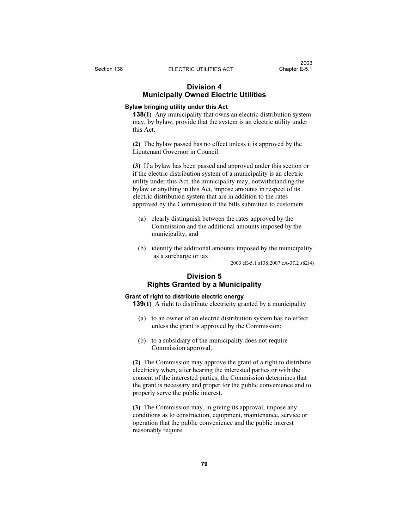# Division 4 Municipally Owned Electric Utilities

# Bylaw bringing utility under this Act

138(1) Any municipality that owns an electric distribution system may, by bylaw, provide that the system is an electric utility under this Act.

(2) The bylaw passed has no effect unless it is approved by the Lieutenant Governor in Council.

(3) If a bylaw has been passed and approved under this section or if the electric distribution system of a municipality is an electric utility under this Act, the municipality may, notwithstanding the bylaw or anything in this Act, impose amounts in respect of its electric distribution system that are in addition to the rates approved by the Commission if the bills submitted to customers

- (a) clearly distinguish between the rates approved by the Commission and the additional amounts imposed by the municipality, and
- (b) identify the additional amounts imposed by the municipality as a surcharge or tax.

2003 cE-5.1 s138;2007 cA-37.2 s82(4)

# Division 5 Rights Granted by a Municipality

## Grant of right to distribute electric energy

139(1) A right to distribute electricity granted by a municipality

- (a) to an owner of an electric distribution system has no effect unless the grant is approved by the Commission;
- (b) to a subsidiary of the municipality does not require Commission approval.

(2) The Commission may approve the grant of a right to distribute electricity when, after hearing the interested parties or with the consent of the interested parties, the Commission determines that the grant is necessary and proper for the public convenience and to properly serve the public interest.

(3) The Commission may, in giving its approval, impose any conditions as to construction, equipment, maintenance, service or operation that the public convenience and the public interest reasonably require.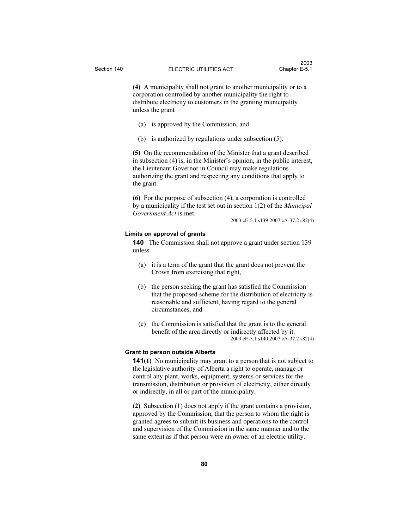(4) A municipality shall not grant to another municipality or to a corporation controlled by another municipality the right to distribute electricity to customers in the granting municipality unless the grant

- (a) is approved by the Commission, and
- (b) is authorized by regulations under subsection (5).

(5) On the recommendation of the Minister that a grant described in subsection (4) is, in the Minister's opinion, in the public interest, the Lieutenant Governor in Council may make regulations authorizing the grant and respecting any conditions that apply to the grant.

(6) For the purpose of subsection (4), a corporation is controlled by a municipality if the test set out in section 1(2) of the Municipal Government Act is met.

2003 cE-5.1 s139;2007 cA-37.2 s82(4)

#### Limits on approval of grants

140 The Commission shall not approve a grant under section 139 unless

- (a) it is a term of the grant that the grant does not prevent the Crown from exercising that right,
- (b) the person seeking the grant has satisfied the Commission that the proposed scheme for the distribution of electricity is reasonable and sufficient, having regard to the general circumstances, and
- (c) the Commission is satisfied that the grant is to the general benefit of the area directly or indirectly affected by it. 2003 cE-5.1 s140;2007 cA-37.2 s82(4)

## Grant to person outside Alberta

141(1) No municipality may grant to a person that is not subject to the legislative authority of Alberta a right to operate, manage or control any plant, works, equipment, systems or services for the transmission, distribution or provision of electricity, either directly or indirectly, in all or part of the municipality.

(2) Subsection (1) does not apply if the grant contains a provision, approved by the Commission, that the person to whom the right is granted agrees to submit its business and operations to the control and supervision of the Commission in the same manner and to the same extent as if that person were an owner of an electric utility.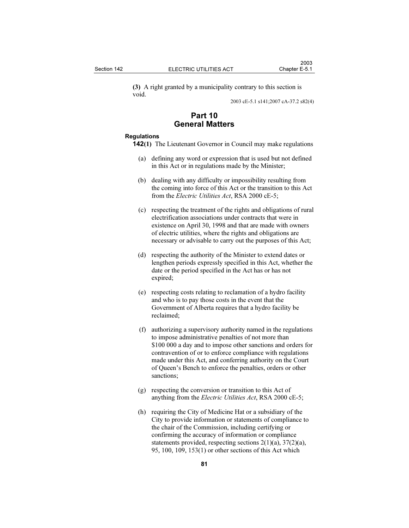(3) A right granted by a municipality contrary to this section is void.

2003 cE-5.1 s141;2007 cA-37.2 s82(4)

# Part 10 General Matters

#### Regulations

- 142(1) The Lieutenant Governor in Council may make regulations
	- (a) defining any word or expression that is used but not defined in this Act or in regulations made by the Minister;
	- (b) dealing with any difficulty or impossibility resulting from the coming into force of this Act or the transition to this Act from the *Electric Utilities Act*, RSA 2000 cE-5;
	- (c) respecting the treatment of the rights and obligations of rural electrification associations under contracts that were in existence on April 30, 1998 and that are made with owners of electric utilities, where the rights and obligations are necessary or advisable to carry out the purposes of this Act;
	- (d) respecting the authority of the Minister to extend dates or lengthen periods expressly specified in this Act, whether the date or the period specified in the Act has or has not expired;
	- (e) respecting costs relating to reclamation of a hydro facility and who is to pay those costs in the event that the Government of Alberta requires that a hydro facility be reclaimed;
	- (f) authorizing a supervisory authority named in the regulations to impose administrative penalties of not more than \$100 000 a day and to impose other sanctions and orders for contravention of or to enforce compliance with regulations made under this Act, and conferring authority on the Court of Queen's Bench to enforce the penalties, orders or other sanctions;
	- (g) respecting the conversion or transition to this Act of anything from the *Electric Utilities Act*, RSA 2000 cE-5;
	- (h) requiring the City of Medicine Hat or a subsidiary of the City to provide information or statements of compliance to the chair of the Commission, including certifying or confirming the accuracy of information or compliance statements provided, respecting sections 2(1)(a), 37(2)(a), 95, 100, 109, 153(1) or other sections of this Act which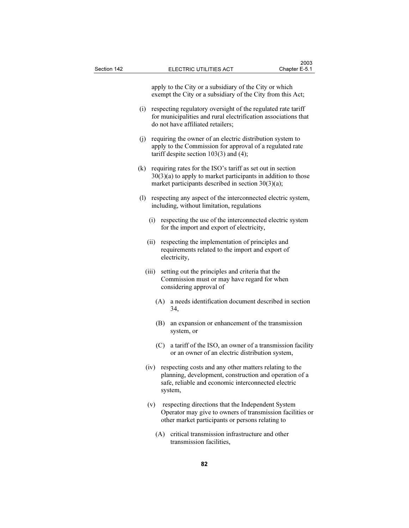apply to the City or a subsidiary of the City or which exempt the City or a subsidiary of the City from this Act;

- (i) respecting regulatory oversight of the regulated rate tariff for municipalities and rural electrification associations that do not have affiliated retailers;
- (j) requiring the owner of an electric distribution system to apply to the Commission for approval of a regulated rate tariff despite section 103(3) and (4);
- (k) requiring rates for the ISO's tariff as set out in section  $30(3)(a)$  to apply to market participants in addition to those market participants described in section 30(3)(a);
- (l) respecting any aspect of the interconnected electric system, including, without limitation, regulations
	- (i) respecting the use of the interconnected electric system for the import and export of electricity,
	- (ii) respecting the implementation of principles and requirements related to the import and export of electricity,
	- (iii) setting out the principles and criteria that the Commission must or may have regard for when considering approval of
		- (A) a needs identification document described in section 34,
		- (B) an expansion or enhancement of the transmission system, or
		- (C) a tariff of the ISO, an owner of a transmission facility or an owner of an electric distribution system,
	- (iv) respecting costs and any other matters relating to the planning, development, construction and operation of a safe, reliable and economic interconnected electric system,
	- (v) respecting directions that the Independent System Operator may give to owners of transmission facilities or other market participants or persons relating to
		- (A) critical transmission infrastructure and other transmission facilities,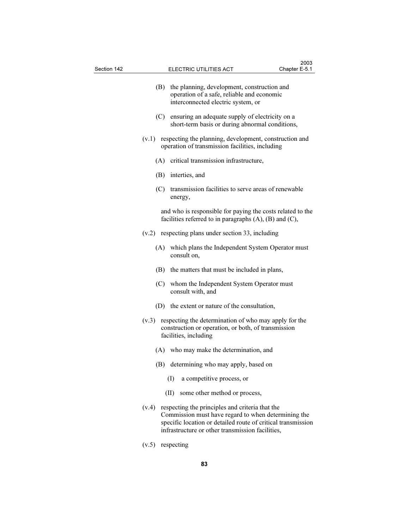| Section 142 | Chapter E-5.1<br>ELECTRIC UTILITIES ACT                                                                                                        |                                                                                                                                                                                                                            |  |  |  |  |  |  |  |
|-------------|------------------------------------------------------------------------------------------------------------------------------------------------|----------------------------------------------------------------------------------------------------------------------------------------------------------------------------------------------------------------------------|--|--|--|--|--|--|--|
|             | (B)                                                                                                                                            | the planning, development, construction and<br>operation of a safe, reliable and economic<br>interconnected electric system, or                                                                                            |  |  |  |  |  |  |  |
|             |                                                                                                                                                | (C) ensuring an adequate supply of electricity on a<br>short-term basis or during abnormal conditions,                                                                                                                     |  |  |  |  |  |  |  |
|             | respecting the planning, development, construction and<br>(v.1)<br>operation of transmission facilities, including                             |                                                                                                                                                                                                                            |  |  |  |  |  |  |  |
|             |                                                                                                                                                | (A) critical transmission infrastructure,                                                                                                                                                                                  |  |  |  |  |  |  |  |
|             |                                                                                                                                                | (B) interties, and                                                                                                                                                                                                         |  |  |  |  |  |  |  |
|             |                                                                                                                                                | (C) transmission facilities to serve areas of renewable<br>energy,                                                                                                                                                         |  |  |  |  |  |  |  |
|             |                                                                                                                                                | and who is responsible for paying the costs related to the<br>facilities referred to in paragraphs $(A)$ , $(B)$ and $(C)$ ,                                                                                               |  |  |  |  |  |  |  |
|             |                                                                                                                                                | $(v.2)$ respecting plans under section 33, including                                                                                                                                                                       |  |  |  |  |  |  |  |
|             | (A)                                                                                                                                            | which plans the Independent System Operator must<br>consult on,                                                                                                                                                            |  |  |  |  |  |  |  |
|             | (B)                                                                                                                                            | the matters that must be included in plans,                                                                                                                                                                                |  |  |  |  |  |  |  |
|             |                                                                                                                                                | (C) whom the Independent System Operator must<br>consult with, and                                                                                                                                                         |  |  |  |  |  |  |  |
|             |                                                                                                                                                | (D) the extent or nature of the consultation,                                                                                                                                                                              |  |  |  |  |  |  |  |
|             | respecting the determination of who may apply for the<br>(v.3)<br>construction or operation, or both, of transmission<br>facilities, including |                                                                                                                                                                                                                            |  |  |  |  |  |  |  |
|             |                                                                                                                                                | (A) who may make the determination, and                                                                                                                                                                                    |  |  |  |  |  |  |  |
|             |                                                                                                                                                | (B) determining who may apply, based on                                                                                                                                                                                    |  |  |  |  |  |  |  |
|             |                                                                                                                                                | a competitive process, or<br>(I)                                                                                                                                                                                           |  |  |  |  |  |  |  |
|             |                                                                                                                                                | some other method or process,<br>(II)                                                                                                                                                                                      |  |  |  |  |  |  |  |
|             | (v.4)                                                                                                                                          | respecting the principles and criteria that the<br>Commission must have regard to when determining the<br>specific location or detailed route of critical transmission<br>infrastructure or other transmission facilities, |  |  |  |  |  |  |  |

 $2003$ 

(v.5) respecting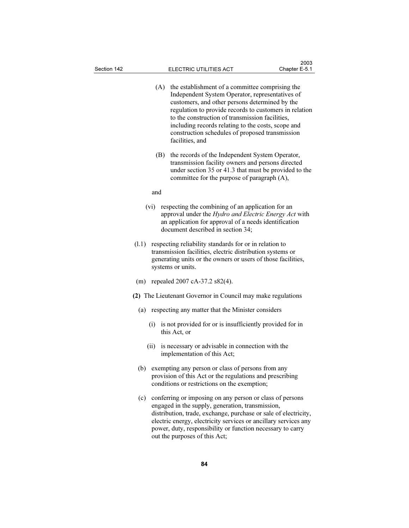| Section 142                                                 |                                                                                                                                                                                                                   | ELECTRIC UTILITIES ACT                                                                                                                                                                                                                                                                                                                                                                        | Chapter E-5.1 |  |  |  |
|-------------------------------------------------------------|-------------------------------------------------------------------------------------------------------------------------------------------------------------------------------------------------------------------|-----------------------------------------------------------------------------------------------------------------------------------------------------------------------------------------------------------------------------------------------------------------------------------------------------------------------------------------------------------------------------------------------|---------------|--|--|--|
|                                                             | (A)                                                                                                                                                                                                               | the establishment of a committee comprising the<br>Independent System Operator, representatives of<br>customers, and other persons determined by the<br>regulation to provide records to customers in relation<br>to the construction of transmission facilities,<br>including records relating to the costs, scope and<br>construction schedules of proposed transmission<br>facilities, and |               |  |  |  |
|                                                             | (B)                                                                                                                                                                                                               | the records of the Independent System Operator,<br>transmission facility owners and persons directed<br>under section 35 or 41.3 that must be provided to the<br>committee for the purpose of paragraph (A),                                                                                                                                                                                  |               |  |  |  |
|                                                             | and                                                                                                                                                                                                               |                                                                                                                                                                                                                                                                                                                                                                                               |               |  |  |  |
|                                                             | (vi)                                                                                                                                                                                                              | respecting the combining of an application for an<br>approval under the Hydro and Electric Energy Act with<br>an application for approval of a needs identification<br>document described in section 34;                                                                                                                                                                                      |               |  |  |  |
|                                                             | respecting reliability standards for or in relation to<br>(1.1)<br>transmission facilities, electric distribution systems or<br>generating units or the owners or users of those facilities,<br>systems or units. |                                                                                                                                                                                                                                                                                                                                                                                               |               |  |  |  |
| (m)                                                         |                                                                                                                                                                                                                   | repealed 2007 cA-37.2 s82(4).                                                                                                                                                                                                                                                                                                                                                                 |               |  |  |  |
| (2) The Lieutenant Governor in Council may make regulations |                                                                                                                                                                                                                   |                                                                                                                                                                                                                                                                                                                                                                                               |               |  |  |  |
|                                                             |                                                                                                                                                                                                                   | (a) respecting any matter that the Minister considers                                                                                                                                                                                                                                                                                                                                         |               |  |  |  |
|                                                             | (i)                                                                                                                                                                                                               | is not provided for or is insufficiently provided for in<br>this Act, or                                                                                                                                                                                                                                                                                                                      |               |  |  |  |
|                                                             | (ii)                                                                                                                                                                                                              | is necessary or advisable in connection with the<br>implementation of this Act;                                                                                                                                                                                                                                                                                                               |               |  |  |  |
| (b)                                                         |                                                                                                                                                                                                                   | exempting any person or class of persons from any<br>provision of this Act or the regulations and prescribing<br>conditions or restrictions on the exemption;                                                                                                                                                                                                                                 |               |  |  |  |
| (c)                                                         |                                                                                                                                                                                                                   | conferring or imposing on any person or class of persons<br>engaged in the supply, generation, transmission,<br>distribution, trade, exchange, purchase or sale of electricity,<br>electric energy, electricity services or ancillary services any<br>power, duty, responsibility or function necessary to carry<br>out the purposes of this Act;                                             |               |  |  |  |

 $2003$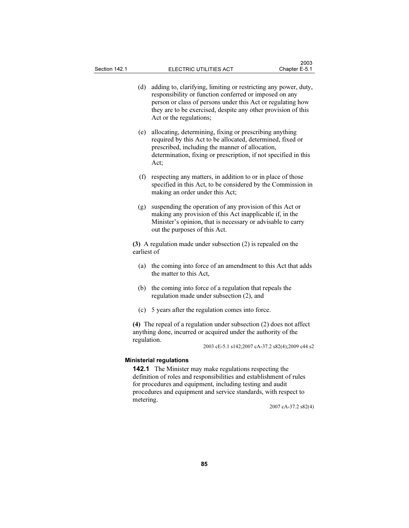- (d) adding to, clarifying, limiting or restricting any power, duty, responsibility or function conferred or imposed on any person or class of persons under this Act or regulating how they are to be exercised, despite any other provision of this Act or the regulations;
- (e) allocating, determining, fixing or prescribing anything required by this Act to be allocated, determined, fixed or prescribed, including the manner of allocation, determination, fixing or prescription, if not specified in this Act;
- (f) respecting any matters, in addition to or in place of those specified in this Act, to be considered by the Commission in making an order under this Act;
- (g) suspending the operation of any provision of this Act or making any provision of this Act inapplicable if, in the Minister's opinion, that is necessary or advisable to carry out the purposes of this Act.

(3) A regulation made under subsection (2) is repealed on the earliest of

- (a) the coming into force of an amendment to this Act that adds the matter to this Act,
- (b) the coming into force of a regulation that repeals the regulation made under subsection (2), and
- (c) 5 years after the regulation comes into force.

(4) The repeal of a regulation under subsection (2) does not affect anything done, incurred or acquired under the authority of the regulation.

2003 cE-5.1 s142;2007 cA-37.2 s82(4);2009 c44 s2

#### Ministerial regulations

142.1 The Minister may make regulations respecting the definition of roles and responsibilities and establishment of rules for procedures and equipment, including testing and audit procedures and equipment and service standards, with respect to metering.

2007 cA-37.2 s82(4)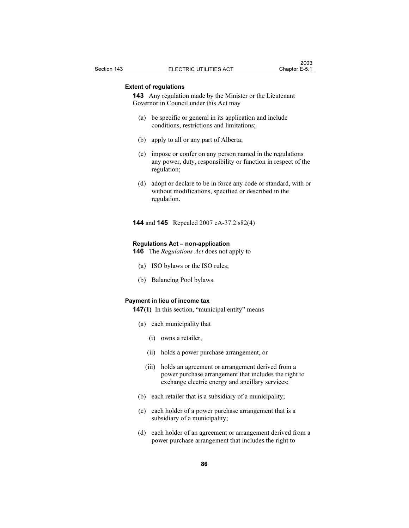## Extent of regulations

143 Any regulation made by the Minister or the Lieutenant Governor in Council under this Act may

- (a) be specific or general in its application and include conditions, restrictions and limitations;
- (b) apply to all or any part of Alberta;
- (c) impose or confer on any person named in the regulations any power, duty, responsibility or function in respect of the regulation;
- (d) adopt or declare to be in force any code or standard, with or without modifications, specified or described in the regulation.
- 144 and 145 Repealed 2007 cA-37.2 s82(4)

#### Regulations Act – non-application

- **146** The *Regulations Act* does not apply to
	- (a) ISO bylaws or the ISO rules;
	- (b) Balancing Pool bylaws.

## Payment in lieu of income tax

147(1) In this section, "municipal entity" means

- (a) each municipality that
	- (i) owns a retailer,
	- (ii) holds a power purchase arrangement, or
	- (iii) holds an agreement or arrangement derived from a power purchase arrangement that includes the right to exchange electric energy and ancillary services;
- (b) each retailer that is a subsidiary of a municipality;
- (c) each holder of a power purchase arrangement that is a subsidiary of a municipality;
- (d) each holder of an agreement or arrangement derived from a power purchase arrangement that includes the right to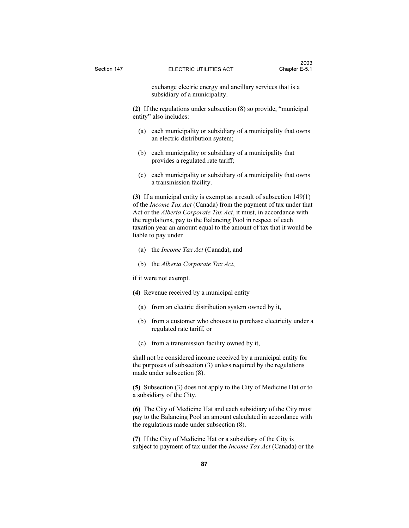exchange electric energy and ancillary services that is a subsidiary of a municipality.

(2) If the regulations under subsection (8) so provide, "municipal entity" also includes:

- (a) each municipality or subsidiary of a municipality that owns an electric distribution system;
- (b) each municipality or subsidiary of a municipality that provides a regulated rate tariff;
- (c) each municipality or subsidiary of a municipality that owns a transmission facility.

(3) If a municipal entity is exempt as a result of subsection 149(1) of the Income Tax Act (Canada) from the payment of tax under that Act or the Alberta Corporate Tax Act, it must, in accordance with the regulations, pay to the Balancing Pool in respect of each taxation year an amount equal to the amount of tax that it would be liable to pay under

- (a) the Income Tax Act (Canada), and
- (b) the Alberta Corporate Tax Act,

if it were not exempt.

- (4) Revenue received by a municipal entity
	- (a) from an electric distribution system owned by it,
	- (b) from a customer who chooses to purchase electricity under a regulated rate tariff, or
	- (c) from a transmission facility owned by it,

shall not be considered income received by a municipal entity for the purposes of subsection (3) unless required by the regulations made under subsection (8).

(5) Subsection (3) does not apply to the City of Medicine Hat or to a subsidiary of the City.

(6) The City of Medicine Hat and each subsidiary of the City must pay to the Balancing Pool an amount calculated in accordance with the regulations made under subsection (8).

(7) If the City of Medicine Hat or a subsidiary of the City is subject to payment of tax under the *Income Tax Act* (Canada) or the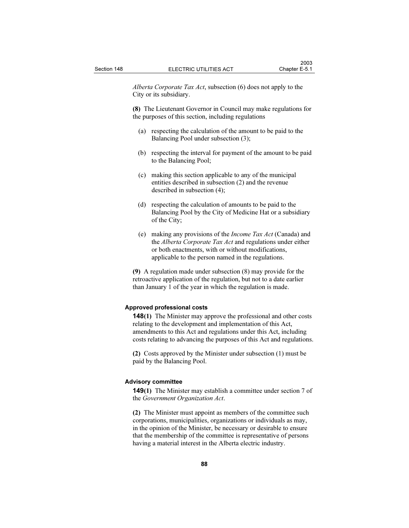Alberta Corporate Tax Act, subsection (6) does not apply to the City or its subsidiary.

(8) The Lieutenant Governor in Council may make regulations for the purposes of this section, including regulations

- (a) respecting the calculation of the amount to be paid to the Balancing Pool under subsection (3);
- (b) respecting the interval for payment of the amount to be paid to the Balancing Pool;
- (c) making this section applicable to any of the municipal entities described in subsection (2) and the revenue described in subsection (4);
- (d) respecting the calculation of amounts to be paid to the Balancing Pool by the City of Medicine Hat or a subsidiary of the City;
- (e) making any provisions of the Income Tax Act (Canada) and the Alberta Corporate Tax Act and regulations under either or both enactments, with or without modifications, applicable to the person named in the regulations.

(9) A regulation made under subsection (8) may provide for the retroactive application of the regulation, but not to a date earlier than January 1 of the year in which the regulation is made.

### Approved professional costs

148(1) The Minister may approve the professional and other costs relating to the development and implementation of this Act, amendments to this Act and regulations under this Act, including costs relating to advancing the purposes of this Act and regulations.

(2) Costs approved by the Minister under subsection (1) must be paid by the Balancing Pool.

### Advisory committee

149(1) The Minister may establish a committee under section 7 of the Government Organization Act.

(2) The Minister must appoint as members of the committee such corporations, municipalities, organizations or individuals as may, in the opinion of the Minister, be necessary or desirable to ensure that the membership of the committee is representative of persons having a material interest in the Alberta electric industry.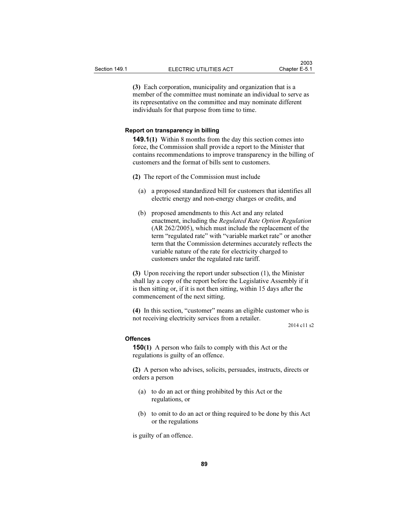(3) Each corporation, municipality and organization that is a member of the committee must nominate an individual to serve as its representative on the committee and may nominate different individuals for that purpose from time to time.

#### Report on transparency in billing

149.1(1) Within 8 months from the day this section comes into force, the Commission shall provide a report to the Minister that contains recommendations to improve transparency in the billing of customers and the format of bills sent to customers.

(2) The report of the Commission must include

- (a) a proposed standardized bill for customers that identifies all electric energy and non-energy charges or credits, and
- (b) proposed amendments to this Act and any related enactment, including the Regulated Rate Option Regulation (AR 262/2005), which must include the replacement of the term "regulated rate" with "variable market rate" or another term that the Commission determines accurately reflects the variable nature of the rate for electricity charged to customers under the regulated rate tariff.

(3) Upon receiving the report under subsection (1), the Minister shall lay a copy of the report before the Legislative Assembly if it is then sitting or, if it is not then sitting, within 15 days after the commencement of the next sitting.

(4) In this section, "customer" means an eligible customer who is not receiving electricity services from a retailer.

2014 c11 s2

#### **Offences**

150(1) A person who fails to comply with this Act or the regulations is guilty of an offence.

(2) A person who advises, solicits, persuades, instructs, directs or orders a person

- (a) to do an act or thing prohibited by this Act or the regulations, or
- (b) to omit to do an act or thing required to be done by this Act or the regulations

is guilty of an offence.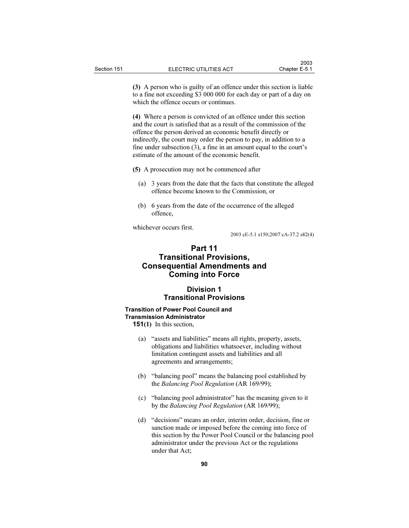(3) A person who is guilty of an offence under this section is liable to a fine not exceeding \$3 000 000 for each day or part of a day on which the offence occurs or continues.

(4) Where a person is convicted of an offence under this section and the court is satisfied that as a result of the commission of the offence the person derived an economic benefit directly or indirectly, the court may order the person to pay, in addition to a fine under subsection (3), a fine in an amount equal to the court's estimate of the amount of the economic benefit.

- (5) A prosecution may not be commenced after
	- (a) 3 years from the date that the facts that constitute the alleged offence become known to the Commission, or
	- (b) 6 years from the date of the occurrence of the alleged offence,

whichever occurs first.

2003 cE-5.1 s150;2007 cA-37.2 s82(4)

# Part 11 Transitional Provisions, Consequential Amendments and Coming into Force

# Division 1 Transitional Provisions

# Transition of Power Pool Council and Transmission Administrator

151(1) In this section,

- (a) "assets and liabilities" means all rights, property, assets, obligations and liabilities whatsoever, including without limitation contingent assets and liabilities and all agreements and arrangements;
- (b) "balancing pool" means the balancing pool established by the Balancing Pool Regulation (AR 169/99);
- (c) "balancing pool administrator" has the meaning given to it by the Balancing Pool Regulation (AR 169/99);
- (d) "decisions" means an order, interim order, decision, fine or sanction made or imposed before the coming into force of this section by the Power Pool Council or the balancing pool administrator under the previous Act or the regulations under that Act;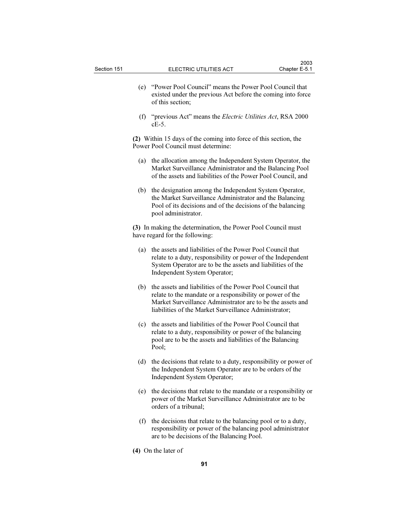- (e) "Power Pool Council" means the Power Pool Council that existed under the previous Act before the coming into force of this section;
- (f) "previous Act" means the Electric Utilities Act, RSA 2000 cE-5.

(2) Within 15 days of the coming into force of this section, the Power Pool Council must determine:

- (a) the allocation among the Independent System Operator, the Market Surveillance Administrator and the Balancing Pool of the assets and liabilities of the Power Pool Council, and
- (b) the designation among the Independent System Operator, the Market Surveillance Administrator and the Balancing Pool of its decisions and of the decisions of the balancing pool administrator.

(3) In making the determination, the Power Pool Council must have regard for the following:

- (a) the assets and liabilities of the Power Pool Council that relate to a duty, responsibility or power of the Independent System Operator are to be the assets and liabilities of the Independent System Operator;
- (b) the assets and liabilities of the Power Pool Council that relate to the mandate or a responsibility or power of the Market Surveillance Administrator are to be the assets and liabilities of the Market Surveillance Administrator;
- (c) the assets and liabilities of the Power Pool Council that relate to a duty, responsibility or power of the balancing pool are to be the assets and liabilities of the Balancing Pool;
- (d) the decisions that relate to a duty, responsibility or power of the Independent System Operator are to be orders of the Independent System Operator;
- (e) the decisions that relate to the mandate or a responsibility or power of the Market Surveillance Administrator are to be orders of a tribunal;
- (f) the decisions that relate to the balancing pool or to a duty, responsibility or power of the balancing pool administrator are to be decisions of the Balancing Pool.
- (4) On the later of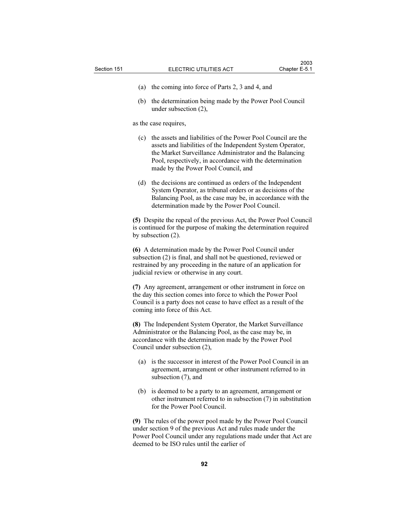- 
- (a) the coming into force of Parts 2, 3 and 4, and
- (b) the determination being made by the Power Pool Council under subsection (2),

as the case requires,

- (c) the assets and liabilities of the Power Pool Council are the assets and liabilities of the Independent System Operator, the Market Surveillance Administrator and the Balancing Pool, respectively, in accordance with the determination made by the Power Pool Council, and
- (d) the decisions are continued as orders of the Independent System Operator, as tribunal orders or as decisions of the Balancing Pool, as the case may be, in accordance with the determination made by the Power Pool Council.

(5) Despite the repeal of the previous Act, the Power Pool Council is continued for the purpose of making the determination required by subsection (2).

(6) A determination made by the Power Pool Council under subsection (2) is final, and shall not be questioned, reviewed or restrained by any proceeding in the nature of an application for judicial review or otherwise in any court.

(7) Any agreement, arrangement or other instrument in force on the day this section comes into force to which the Power Pool Council is a party does not cease to have effect as a result of the coming into force of this Act.

(8) The Independent System Operator, the Market Surveillance Administrator or the Balancing Pool, as the case may be, in accordance with the determination made by the Power Pool Council under subsection (2),

- (a) is the successor in interest of the Power Pool Council in an agreement, arrangement or other instrument referred to in subsection (7), and
- (b) is deemed to be a party to an agreement, arrangement or other instrument referred to in subsection (7) in substitution for the Power Pool Council.

(9) The rules of the power pool made by the Power Pool Council under section 9 of the previous Act and rules made under the Power Pool Council under any regulations made under that Act are deemed to be ISO rules until the earlier of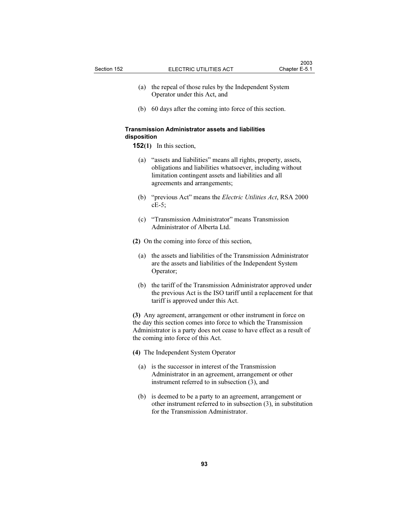- (a) the repeal of those rules by the Independent System Operator under this Act, and
- (b) 60 days after the coming into force of this section.

# Transmission Administrator assets and liabilities disposition

- 152(1) In this section,
	- (a) "assets and liabilities" means all rights, property, assets, obligations and liabilities whatsoever, including without limitation contingent assets and liabilities and all agreements and arrangements;
	- (b) "previous Act" means the *Electric Utilities Act*, RSA 2000 cE-5;
	- (c) "Transmission Administrator" means Transmission Administrator of Alberta Ltd.

(2) On the coming into force of this section,

- (a) the assets and liabilities of the Transmission Administrator are the assets and liabilities of the Independent System Operator;
- (b) the tariff of the Transmission Administrator approved under the previous Act is the ISO tariff until a replacement for that tariff is approved under this Act.

(3) Any agreement, arrangement or other instrument in force on the day this section comes into force to which the Transmission Administrator is a party does not cease to have effect as a result of the coming into force of this Act.

(4) The Independent System Operator

- (a) is the successor in interest of the Transmission Administrator in an agreement, arrangement or other instrument referred to in subsection (3), and
- (b) is deemed to be a party to an agreement, arrangement or other instrument referred to in subsection (3), in substitution for the Transmission Administrator.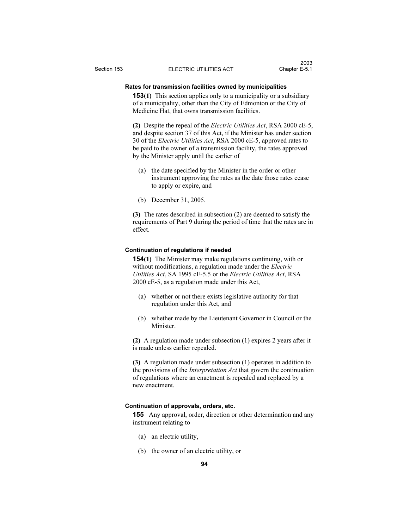#### Rates for transmission facilities owned by municipalities

153(1) This section applies only to a municipality or a subsidiary of a municipality, other than the City of Edmonton or the City of Medicine Hat, that owns transmission facilities.

(2) Despite the repeal of the Electric Utilities Act, RSA 2000 cE-5, and despite section 37 of this Act, if the Minister has under section 30 of the Electric Utilities Act, RSA 2000 cE-5, approved rates to be paid to the owner of a transmission facility, the rates approved by the Minister apply until the earlier of

- (a) the date specified by the Minister in the order or other instrument approving the rates as the date those rates cease to apply or expire, and
- (b) December 31, 2005.

(3) The rates described in subsection (2) are deemed to satisfy the requirements of Part 9 during the period of time that the rates are in effect.

#### Continuation of regulations if needed

154(1) The Minister may make regulations continuing, with or without modifications, a regulation made under the *Electric* Utilities Act, SA 1995 cE-5.5 or the Electric Utilities Act, RSA 2000 cE-5, as a regulation made under this Act,

- (a) whether or not there exists legislative authority for that regulation under this Act, and
- (b) whether made by the Lieutenant Governor in Council or the Minister.

(2) A regulation made under subsection (1) expires 2 years after it is made unless earlier repealed.

(3) A regulation made under subsection (1) operates in addition to the provisions of the Interpretation Act that govern the continuation of regulations where an enactment is repealed and replaced by a new enactment.

#### Continuation of approvals, orders, etc.

155 Any approval, order, direction or other determination and any instrument relating to

- (a) an electric utility,
- (b) the owner of an electric utility, or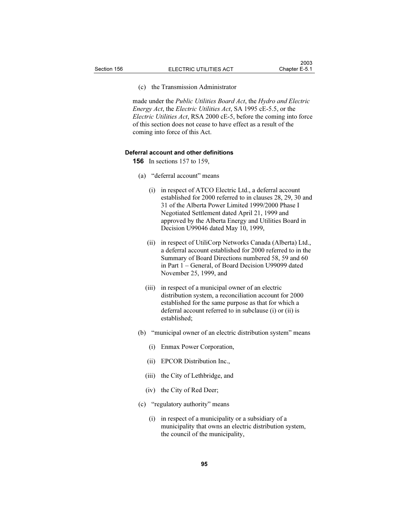#### (c) the Transmission Administrator

made under the Public Utilities Board Act, the Hydro and Electric Energy Act, the Electric Utilities Act, SA 1995 cE-5.5, or the Electric Utilities Act, RSA 2000 cE-5, before the coming into force of this section does not cease to have effect as a result of the coming into force of this Act.

#### Deferral account and other definitions

156 In sections 157 to 159,

#### (a) "deferral account" means

- (i) in respect of ATCO Electric Ltd., a deferral account established for 2000 referred to in clauses 28, 29, 30 and 31 of the Alberta Power Limited 1999/2000 Phase I Negotiated Settlement dated April 21, 1999 and approved by the Alberta Energy and Utilities Board in Decision U99046 dated May 10, 1999,
- (ii) in respect of UtiliCorp Networks Canada (Alberta) Ltd., a deferral account established for 2000 referred to in the Summary of Board Directions numbered 58, 59 and 60 in Part 1 – General, of Board Decision U99099 dated November 25, 1999, and
- (iii) in respect of a municipal owner of an electric distribution system, a reconciliation account for 2000 established for the same purpose as that for which a deferral account referred to in subclause (i) or (ii) is established;
- (b) "municipal owner of an electric distribution system" means
	- (i) Enmax Power Corporation,
	- (ii) EPCOR Distribution Inc.,
	- (iii) the City of Lethbridge, and
	- (iv) the City of Red Deer;
- (c) "regulatory authority" means
	- (i) in respect of a municipality or a subsidiary of a municipality that owns an electric distribution system, the council of the municipality,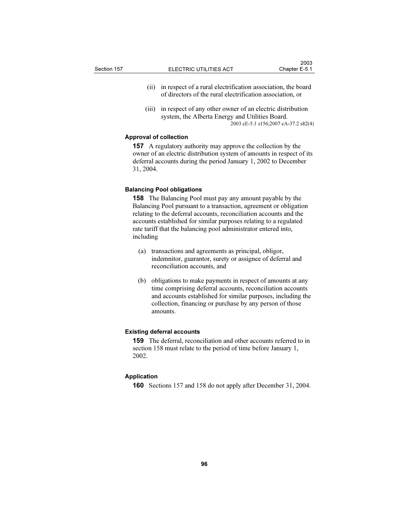- (ii) in respect of a rural electrification association, the board of directors of the rural electrification association, or
- (iii) in respect of any other owner of an electric distribution system, the Alberta Energy and Utilities Board. 2003 cE-5.1 s156;2007 cA-37.2 s82(4)

## Approval of collection

157 A regulatory authority may approve the collection by the owner of an electric distribution system of amounts in respect of its deferral accounts during the period January 1, 2002 to December 31, 2004.

#### Balancing Pool obligations

158 The Balancing Pool must pay any amount payable by the Balancing Pool pursuant to a transaction, agreement or obligation relating to the deferral accounts, reconciliation accounts and the accounts established for similar purposes relating to a regulated rate tariff that the balancing pool administrator entered into, including

- (a) transactions and agreements as principal, obligor, indemnitor, guarantor, surety or assignee of deferral and reconciliation accounts, and
- (b) obligations to make payments in respect of amounts at any time comprising deferral accounts, reconciliation accounts and accounts established for similar purposes, including the collection, financing or purchase by any person of those amounts.

#### Existing deferral accounts

159 The deferral, reconciliation and other accounts referred to in section 158 must relate to the period of time before January 1, 2002.

#### Application

160 Sections 157 and 158 do not apply after December 31, 2004.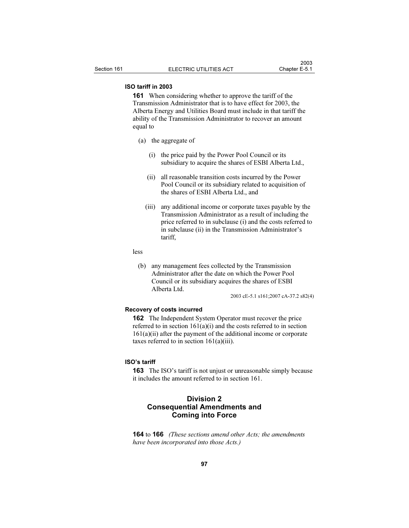## ISO tariff in 2003

161 When considering whether to approve the tariff of the Transmission Administrator that is to have effect for 2003, the Alberta Energy and Utilities Board must include in that tariff the ability of the Transmission Administrator to recover an amount equal to

- (a) the aggregate of
	- (i) the price paid by the Power Pool Council or its subsidiary to acquire the shares of ESBI Alberta Ltd.,
	- (ii) all reasonable transition costs incurred by the Power Pool Council or its subsidiary related to acquisition of the shares of ESBI Alberta Ltd., and
	- (iii) any additional income or corporate taxes payable by the Transmission Administrator as a result of including the price referred to in subclause (i) and the costs referred to in subclause (ii) in the Transmission Administrator's tariff,

less

 (b) any management fees collected by the Transmission Administrator after the date on which the Power Pool Council or its subsidiary acquires the shares of ESBI Alberta Ltd.

2003 cE-5.1 s161;2007 cA-37.2 s82(4)

## Recovery of costs incurred

162 The Independent System Operator must recover the price referred to in section 161(a)(i) and the costs referred to in section 161(a)(ii) after the payment of the additional income or corporate taxes referred to in section  $161(a)(iii)$ .

#### ISO's tariff

163 The ISO's tariff is not unjust or unreasonable simply because it includes the amount referred to in section 161.

# Division 2 Consequential Amendments and Coming into Force

**164** to **166** (These sections amend other Acts; the amendments have been incorporated into those Acts.)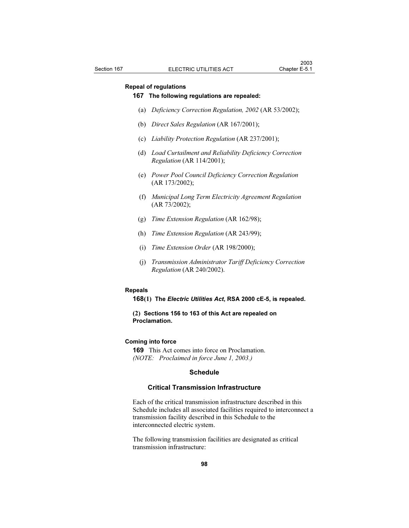# Repeal of regulations

# 167 The following regulations are repealed:

- (a) Deficiency Correction Regulation, 2002 (AR 53/2002);
- (b) Direct Sales Regulation (AR 167/2001);
- (c) Liability Protection Regulation (AR 237/2001);
- (d) Load Curtailment and Reliability Deficiency Correction Regulation (AR 114/2001);
- (e) Power Pool Council Deficiency Correction Regulation (AR 173/2002);
- (f) Municipal Long Term Electricity Agreement Regulation (AR 73/2002);
- (g) Time Extension Regulation (AR 162/98);
- (h) Time Extension Regulation (AR 243/99);
- (i) Time Extension Order (AR 198/2000);
- (j) Transmission Administrator Tariff Deficiency Correction Regulation (AR 240/2002).

#### Repeals

168(1) The Electric Utilities Act, RSA 2000 cE-5, is repealed.

(2) Sections 156 to 163 of this Act are repealed on Proclamation.

## Coming into force

169 This Act comes into force on Proclamation. (NOTE: Proclaimed in force June 1, 2003.)

#### **Schedule**

#### Critical Transmission Infrastructure

Each of the critical transmission infrastructure described in this Schedule includes all associated facilities required to interconnect a transmission facility described in this Schedule to the interconnected electric system.

The following transmission facilities are designated as critical transmission infrastructure: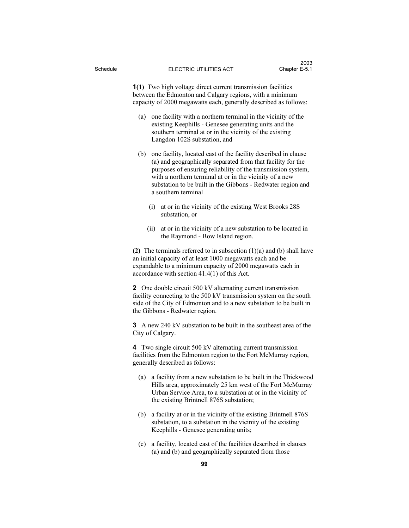1(1) Two high voltage direct current transmission facilities between the Edmonton and Calgary regions, with a minimum capacity of 2000 megawatts each, generally described as follows:

- (a) one facility with a northern terminal in the vicinity of the existing Keephills - Genesee generating units and the southern terminal at or in the vicinity of the existing Langdon 102S substation, and
- (b) one facility, located east of the facility described in clause (a) and geographically separated from that facility for the purposes of ensuring reliability of the transmission system, with a northern terminal at or in the vicinity of a new substation to be built in the Gibbons - Redwater region and a southern terminal
	- (i) at or in the vicinity of the existing West Brooks 28S substation, or
	- (ii) at or in the vicinity of a new substation to be located in the Raymond - Bow Island region.

(2) The terminals referred to in subsection  $(1)(a)$  and  $(b)$  shall have an initial capacity of at least 1000 megawatts each and be expandable to a minimum capacity of 2000 megawatts each in accordance with section 41.4(1) of this Act.

2 One double circuit 500 kV alternating current transmission facility connecting to the 500 kV transmission system on the south side of the City of Edmonton and to a new substation to be built in the Gibbons - Redwater region.

3 A new 240 kV substation to be built in the southeast area of the City of Calgary.

4 Two single circuit 500 kV alternating current transmission facilities from the Edmonton region to the Fort McMurray region, generally described as follows:

- (a) a facility from a new substation to be built in the Thickwood Hills area, approximately 25 km west of the Fort McMurray Urban Service Area, to a substation at or in the vicinity of the existing Brintnell 876S substation;
- (b) a facility at or in the vicinity of the existing Brintnell 876S substation, to a substation in the vicinity of the existing Keephills - Genesee generating units;
- (c) a facility, located east of the facilities described in clauses (a) and (b) and geographically separated from those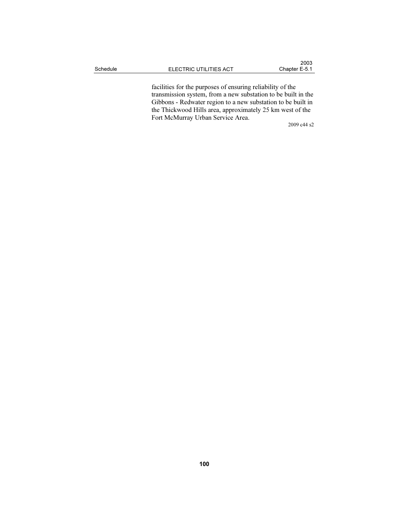facilities for the purposes of ensuring reliability of the transmission system, from a new substation to be built in the Gibbons - Redwater region to a new substation to be built in the Thickwood Hills area, approximately 25 km west of the Fort McMurray Urban Service Area.

2009 c44 s2